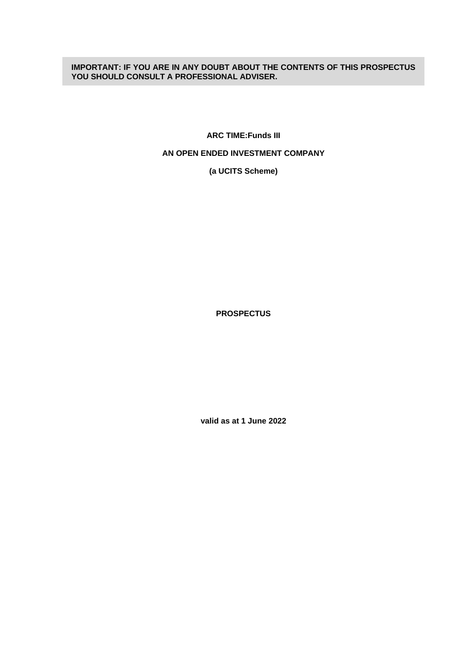# **IMPORTANT: IF YOU ARE IN ANY DOUBT ABOUT THE CONTENTS OF THIS PROSPECTUS YOU SHOULD CONSULT A PROFESSIONAL ADVISER.**

**ARC TIME:Funds III**

# **AN OPEN ENDED INVESTMENT COMPANY**

**(a UCITS Scheme)**

**PROSPECTUS**

**valid as at 1 June 2022**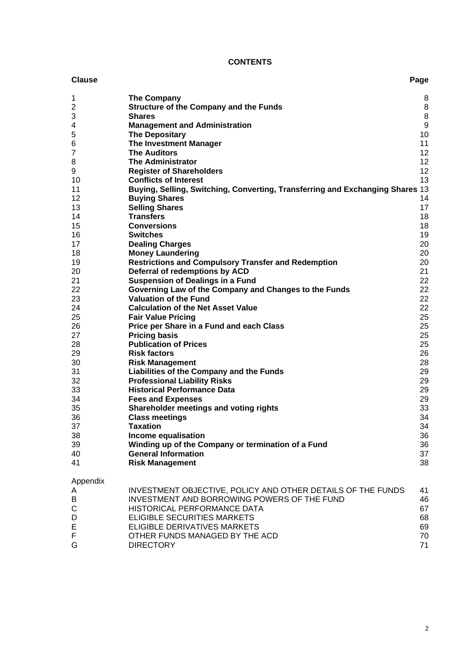# **CONTENTS**

#### **Clause Page**

| 1              | <b>The Company</b>                                                                                         | 8                 |
|----------------|------------------------------------------------------------------------------------------------------------|-------------------|
| $\overline{c}$ | <b>Structure of the Company and the Funds</b>                                                              | 8                 |
| 3              | <b>Shares</b>                                                                                              | $\bf 8$           |
| 4              | <b>Management and Administration</b>                                                                       | $\boldsymbol{9}$  |
| 5              | <b>The Depositary</b>                                                                                      | 10                |
| 6              | <b>The Investment Manager</b>                                                                              | 11                |
| $\overline{7}$ | <b>The Auditors</b>                                                                                        | $12 \overline{ }$ |
| 8              | <b>The Administrator</b>                                                                                   | 12                |
| 9              | <b>Register of Shareholders</b>                                                                            | 12                |
| 10             | <b>Conflicts of Interest</b>                                                                               | 13                |
| 11             | Buying, Selling, Switching, Converting, Transferring and Exchanging Shares 13                              |                   |
| 12             | <b>Buying Shares</b>                                                                                       | 14                |
| 13             | <b>Selling Shares</b>                                                                                      | 17                |
| 14             | <b>Transfers</b>                                                                                           | 18                |
| 15             | <b>Conversions</b>                                                                                         | 18                |
| 16             | <b>Switches</b>                                                                                            | 19                |
| 17             | <b>Dealing Charges</b>                                                                                     | 20                |
| 18             | <b>Money Laundering</b>                                                                                    | 20                |
| 19             | <b>Restrictions and Compulsory Transfer and Redemption</b>                                                 | 20                |
| 20             | Deferral of redemptions by ACD                                                                             | 21                |
| 21             | <b>Suspension of Dealings in a Fund</b>                                                                    | 22                |
| 22             | Governing Law of the Company and Changes to the Funds                                                      | 22                |
| 23             | <b>Valuation of the Fund</b>                                                                               | 22                |
| 24             | <b>Calculation of the Net Asset Value</b>                                                                  | 22                |
| 25             | <b>Fair Value Pricing</b>                                                                                  | 25                |
| 26             | Price per Share in a Fund and each Class                                                                   | 25                |
| 27             | <b>Pricing basis</b>                                                                                       | 25                |
| 28             | <b>Publication of Prices</b>                                                                               | 25                |
| 29             | <b>Risk factors</b>                                                                                        | 26                |
| 30             | <b>Risk Management</b>                                                                                     | 28                |
| 31             | Liabilities of the Company and the Funds                                                                   | 29                |
| 32             | <b>Professional Liability Risks</b>                                                                        | 29                |
| 33             | <b>Historical Performance Data</b>                                                                         | 29                |
| 34             | <b>Fees and Expenses</b>                                                                                   | 29                |
| 35             | Shareholder meetings and voting rights                                                                     | 33                |
| 36             | <b>Class meetings</b>                                                                                      | 34                |
| 37             | <b>Taxation</b>                                                                                            | 34                |
| 38             | Income equalisation                                                                                        | 36                |
| 39             | Winding up of the Company or termination of a Fund                                                         | 36                |
| 40             | <b>General Information</b>                                                                                 | 37                |
| 41             | <b>Risk Management</b>                                                                                     | 38                |
| Appendix       |                                                                                                            |                   |
| A<br>D         | INVESTMENT OBJECTIVE, POLICY AND OTHER DETAILS OF THE FUNDS<br>INVECTMENT AND BOBBOWING BOWERS OF THE FUND | 41<br>AC          |

| $\mathbf{r}$ | <u>INVEDIMENT ODJEVITVE, I OLIV I AND OTHER DETAILO OF THE FONDO</u> | <u>т н</u> |
|--------------|----------------------------------------------------------------------|------------|
| В            | INVESTMENT AND BORROWING POWERS OF THE FUND                          | 46         |
| C.           | HISTORICAL PERFORMANCE DATA                                          | 67         |
| D            | ELIGIBLE SECURITIES MARKETS                                          | 68         |
| E            | ELIGIBLE DERIVATIVES MARKETS                                         | 69         |
| F.           | OTHER FUNDS MANAGED BY THE ACD                                       | 70         |
| G.           | <b>DIRECTORY</b>                                                     | 71         |
|              |                                                                      |            |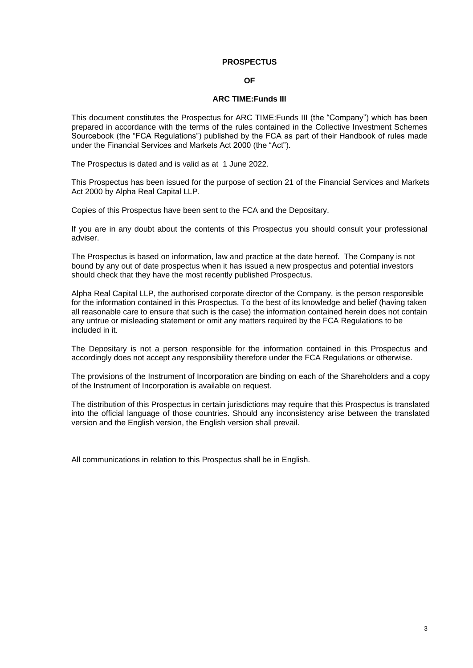### **PROSPECTUS**

#### **OF**

#### **ARC TIME:Funds III**

This document constitutes the Prospectus for ARC TIME:Funds III (the "Company") which has been prepared in accordance with the terms of the rules contained in the Collective Investment Schemes Sourcebook (the "FCA Regulations") published by the FCA as part of their Handbook of rules made under the Financial Services and Markets Act 2000 (the "Act").

The Prospectus is dated and is valid as at 1 June 2022.

This Prospectus has been issued for the purpose of section 21 of the Financial Services and Markets Act 2000 by Alpha Real Capital LLP.

Copies of this Prospectus have been sent to the FCA and the Depositary.

If you are in any doubt about the contents of this Prospectus you should consult your professional adviser.

The Prospectus is based on information, law and practice at the date hereof. The Company is not bound by any out of date prospectus when it has issued a new prospectus and potential investors should check that they have the most recently published Prospectus.

Alpha Real Capital LLP, the authorised corporate director of the Company, is the person responsible for the information contained in this Prospectus. To the best of its knowledge and belief (having taken all reasonable care to ensure that such is the case) the information contained herein does not contain any untrue or misleading statement or omit any matters required by the FCA Regulations to be included in it.

The Depositary is not a person responsible for the information contained in this Prospectus and accordingly does not accept any responsibility therefore under the FCA Regulations or otherwise.

The provisions of the Instrument of Incorporation are binding on each of the Shareholders and a copy of the Instrument of Incorporation is available on request.

The distribution of this Prospectus in certain jurisdictions may require that this Prospectus is translated into the official language of those countries. Should any inconsistency arise between the translated version and the English version, the English version shall prevail.

All communications in relation to this Prospectus shall be in English.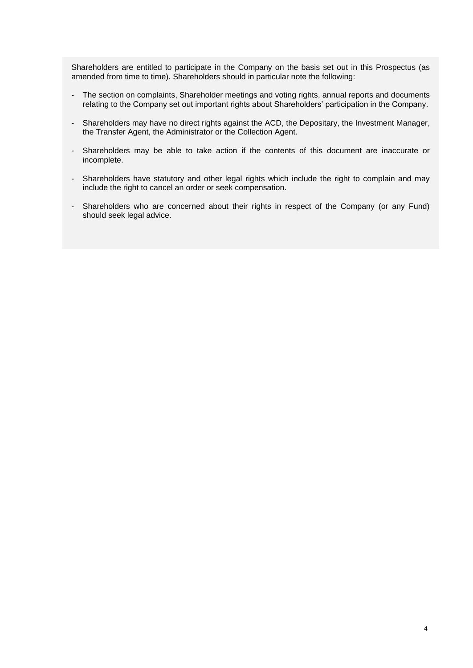Shareholders are entitled to participate in the Company on the basis set out in this Prospectus (as amended from time to time). Shareholders should in particular note the following:

- The section on complaints, Shareholder meetings and voting rights, annual reports and documents relating to the Company set out important rights about Shareholders' participation in the Company.
- Shareholders may have no direct rights against the ACD, the Depositary, the Investment Manager, the Transfer Agent, the Administrator or the Collection Agent.
- Shareholders may be able to take action if the contents of this document are inaccurate or incomplete.
- Shareholders have statutory and other legal rights which include the right to complain and may include the right to cancel an order or seek compensation.
- Shareholders who are concerned about their rights in respect of the Company (or any Fund) should seek legal advice.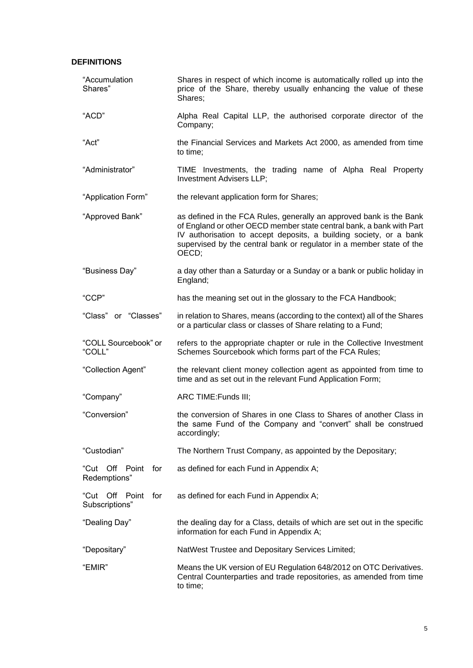# **DEFINITIONS**

| "Accumulation<br>Shares"             | Shares in respect of which income is automatically rolled up into the<br>price of the Share, thereby usually enhancing the value of these<br>Shares;                                                                                                                                               |  |  |  |
|--------------------------------------|----------------------------------------------------------------------------------------------------------------------------------------------------------------------------------------------------------------------------------------------------------------------------------------------------|--|--|--|
| "ACD"                                | Alpha Real Capital LLP, the authorised corporate director of the<br>Company;                                                                                                                                                                                                                       |  |  |  |
| "Act"                                | the Financial Services and Markets Act 2000, as amended from time<br>to time;                                                                                                                                                                                                                      |  |  |  |
| "Administrator"                      | TIME Investments, the trading name of Alpha Real Property<br>Investment Advisers LLP;                                                                                                                                                                                                              |  |  |  |
| "Application Form"                   | the relevant application form for Shares;                                                                                                                                                                                                                                                          |  |  |  |
| "Approved Bank"                      | as defined in the FCA Rules, generally an approved bank is the Bank<br>of England or other OECD member state central bank, a bank with Part<br>IV authorisation to accept deposits, a building society, or a bank<br>supervised by the central bank or regulator in a member state of the<br>OECD; |  |  |  |
| "Business Day"                       | a day other than a Saturday or a Sunday or a bank or public holiday in<br>England;                                                                                                                                                                                                                 |  |  |  |
| "CCP"                                | has the meaning set out in the glossary to the FCA Handbook;                                                                                                                                                                                                                                       |  |  |  |
| "Class" or "Classes"                 | in relation to Shares, means (according to the context) all of the Shares<br>or a particular class or classes of Share relating to a Fund;                                                                                                                                                         |  |  |  |
| "COLL Sourcebook" or<br>"COLL"       | refers to the appropriate chapter or rule in the Collective Investment<br>Schemes Sourcebook which forms part of the FCA Rules;                                                                                                                                                                    |  |  |  |
| "Collection Agent"                   | the relevant client money collection agent as appointed from time to<br>time and as set out in the relevant Fund Application Form;                                                                                                                                                                 |  |  |  |
| "Company"                            | ARC TIME: Funds III;                                                                                                                                                                                                                                                                               |  |  |  |
| "Conversion"                         | the conversion of Shares in one Class to Shares of another Class in<br>the same Fund of the Company and "convert" shall be construed<br>accordingly;                                                                                                                                               |  |  |  |
| "Custodian"                          | The Northern Trust Company, as appointed by the Depositary;                                                                                                                                                                                                                                        |  |  |  |
| "Cut Off Point for<br>Redemptions"   | as defined for each Fund in Appendix A;                                                                                                                                                                                                                                                            |  |  |  |
| "Cut Off Point for<br>Subscriptions" | as defined for each Fund in Appendix A;                                                                                                                                                                                                                                                            |  |  |  |
| "Dealing Day"                        | the dealing day for a Class, details of which are set out in the specific<br>information for each Fund in Appendix A;                                                                                                                                                                              |  |  |  |
| "Depositary"                         | NatWest Trustee and Depositary Services Limited;                                                                                                                                                                                                                                                   |  |  |  |
| "EMIR"                               | Means the UK version of EU Regulation 648/2012 on OTC Derivatives.<br>Central Counterparties and trade repositories, as amended from time<br>to time;                                                                                                                                              |  |  |  |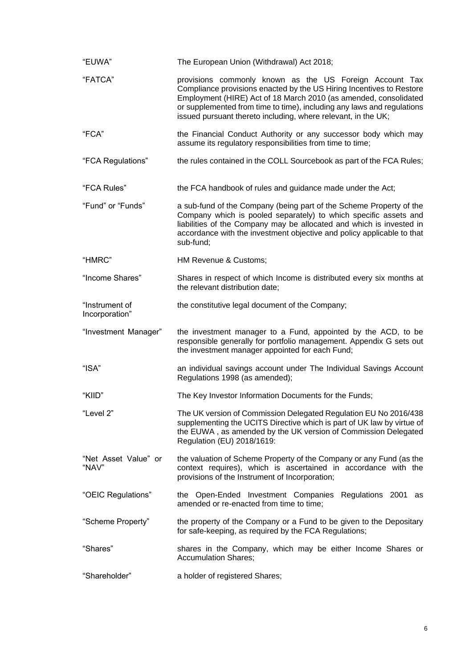| "EUWA"                           | The European Union (Withdrawal) Act 2018;                                                                                                                                                                                                                                                                                                      |
|----------------------------------|------------------------------------------------------------------------------------------------------------------------------------------------------------------------------------------------------------------------------------------------------------------------------------------------------------------------------------------------|
| "FATCA"                          | provisions commonly known as the US Foreign Account Tax<br>Compliance provisions enacted by the US Hiring Incentives to Restore<br>Employment (HIRE) Act of 18 March 2010 (as amended, consolidated<br>or supplemented from time to time), including any laws and regulations<br>issued pursuant thereto including, where relevant, in the UK; |
| "FCA"                            | the Financial Conduct Authority or any successor body which may<br>assume its regulatory responsibilities from time to time;                                                                                                                                                                                                                   |
| "FCA Regulations"                | the rules contained in the COLL Sourcebook as part of the FCA Rules;                                                                                                                                                                                                                                                                           |
| "FCA Rules"                      | the FCA handbook of rules and guidance made under the Act;                                                                                                                                                                                                                                                                                     |
| "Fund" or "Funds"                | a sub-fund of the Company (being part of the Scheme Property of the<br>Company which is pooled separately) to which specific assets and<br>liabilities of the Company may be allocated and which is invested in<br>accordance with the investment objective and policy applicable to that<br>sub-fund;                                         |
| "HMRC"                           | HM Revenue & Customs;                                                                                                                                                                                                                                                                                                                          |
| "Income Shares"                  | Shares in respect of which Income is distributed every six months at<br>the relevant distribution date;                                                                                                                                                                                                                                        |
| "Instrument of<br>Incorporation" | the constitutive legal document of the Company;                                                                                                                                                                                                                                                                                                |
|                                  |                                                                                                                                                                                                                                                                                                                                                |
| "Investment Manager"             | the investment manager to a Fund, appointed by the ACD, to be<br>responsible generally for portfolio management. Appendix G sets out<br>the investment manager appointed for each Fund;                                                                                                                                                        |
| "ISA"                            | an individual savings account under The Individual Savings Account<br>Regulations 1998 (as amended);                                                                                                                                                                                                                                           |
| "KIID"                           | The Key Investor Information Documents for the Funds;                                                                                                                                                                                                                                                                                          |
| "Level 2"                        | The UK version of Commission Delegated Regulation EU No 2016/438<br>supplementing the UCITS Directive which is part of UK law by virtue of<br>the EUWA, as amended by the UK version of Commission Delegated<br>Regulation (EU) 2018/1619:                                                                                                     |
| "Net Asset Value" or<br>"NAV"    | the valuation of Scheme Property of the Company or any Fund (as the<br>context requires), which is ascertained in accordance with the<br>provisions of the Instrument of Incorporation;                                                                                                                                                        |
| "OEIC Regulations"               | the Open-Ended Investment Companies Regulations 2001<br>as<br>amended or re-enacted from time to time;                                                                                                                                                                                                                                         |
| "Scheme Property"                | the property of the Company or a Fund to be given to the Depositary<br>for safe-keeping, as required by the FCA Regulations;                                                                                                                                                                                                                   |
| "Shares"                         | shares in the Company, which may be either Income Shares or<br><b>Accumulation Shares;</b>                                                                                                                                                                                                                                                     |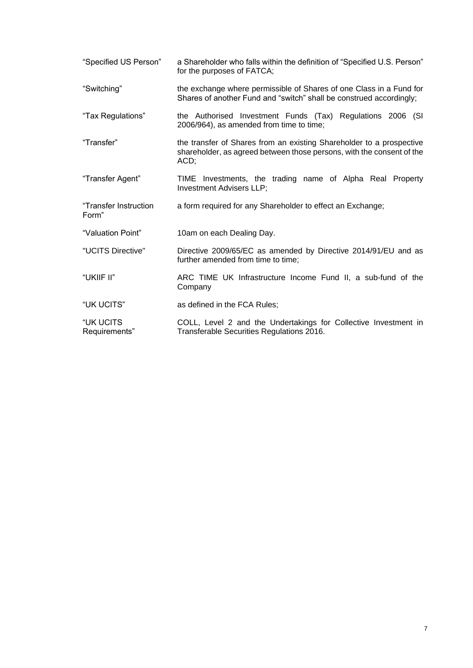| "Specified US Person"          | a Shareholder who falls within the definition of "Specified U.S. Person"<br>for the purposes of FATCA;                                                |  |  |  |  |  |
|--------------------------------|-------------------------------------------------------------------------------------------------------------------------------------------------------|--|--|--|--|--|
| "Switching"                    | the exchange where permissible of Shares of one Class in a Fund for<br>Shares of another Fund and "switch" shall be construed accordingly;            |  |  |  |  |  |
| "Tax Regulations"              | the Authorised Investment Funds (Tax) Regulations 2006 (SI<br>2006/964), as amended from time to time;                                                |  |  |  |  |  |
| "Transfer"                     | the transfer of Shares from an existing Shareholder to a prospective<br>shareholder, as agreed between those persons, with the consent of the<br>ACD; |  |  |  |  |  |
| "Transfer Agent"               | TIME Investments, the trading name of Alpha Real Property<br>Investment Advisers LLP;                                                                 |  |  |  |  |  |
| "Transfer Instruction<br>Form" | a form required for any Shareholder to effect an Exchange;                                                                                            |  |  |  |  |  |
| "Valuation Point"              | 10am on each Dealing Day.                                                                                                                             |  |  |  |  |  |
| "UCITS Directive"              | Directive 2009/65/EC as amended by Directive 2014/91/EU and as<br>further amended from time to time;                                                  |  |  |  |  |  |
| "UKIIF II"                     | ARC TIME UK Infrastructure Income Fund II, a sub-fund of the<br>Company                                                                               |  |  |  |  |  |
| "UK UCITS"                     | as defined in the FCA Rules;                                                                                                                          |  |  |  |  |  |
| "UK UCITS<br>Requirements"     | COLL, Level 2 and the Undertakings for Collective Investment in<br>Transferable Securities Regulations 2016.                                          |  |  |  |  |  |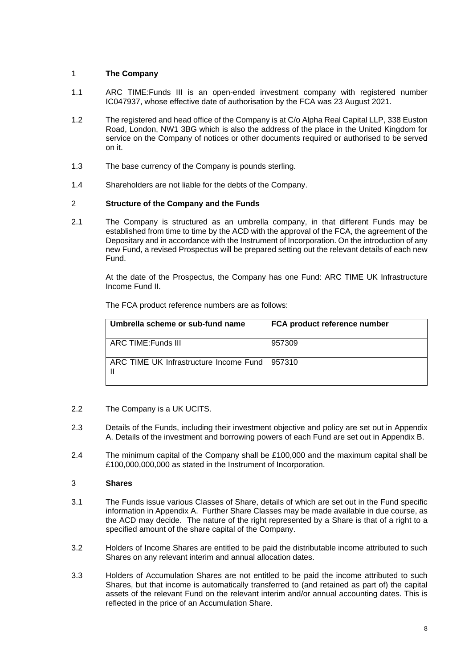# <span id="page-7-0"></span>1 **The Company**

- 1.1 ARC TIME:Funds III is an open-ended investment company with registered number IC047937, whose effective date of authorisation by the FCA was 23 August 2021.
- 1.2 The registered and head office of the Company is at C/o Alpha Real Capital LLP, 338 Euston Road, London, NW1 3BG which is also the address of the place in the United Kingdom for service on the Company of notices or other documents required or authorised to be served on it.
- 1.3 The base currency of the Company is pounds sterling.
- 1.4 Shareholders are not liable for the debts of the Company.

# <span id="page-7-1"></span>2 **Structure of the Company and the Funds**

2.1 The Company is structured as an umbrella company, in that different Funds may be established from time to time by the ACD with the approval of the FCA, the agreement of the Depositary and in accordance with the Instrument of Incorporation. On the introduction of any new Fund, a revised Prospectus will be prepared setting out the relevant details of each new Fund.

At the date of the Prospectus, the Company has one Fund: ARC TIME UK Infrastructure Income Fund II.

| Umbrella scheme or sub-fund name                | FCA product reference number |
|-------------------------------------------------|------------------------------|
| ARC TIME:Funds III                              | 957309                       |
| ARC TIME UK Infrastructure Income Fund   957310 |                              |

The FCA product reference numbers are as follows:

- 2.2 The Company is a UK UCITS.
- 2.3 Details of the Funds, including their investment objective and policy are set out in Appendix A. Details of the investment and borrowing powers of each Fund are set out in Appendix B.
- 2.4 The minimum capital of the Company shall be £100,000 and the maximum capital shall be £100,000,000,000 as stated in the Instrument of Incorporation.

# <span id="page-7-2"></span>3 **Shares**

- 3.1 The Funds issue various Classes of Share, details of which are set out in the Fund specific information in Appendix A. Further Share Classes may be made available in due course, as the ACD may decide. The nature of the right represented by a Share is that of a right to a specified amount of the share capital of the Company.
- 3.2 Holders of Income Shares are entitled to be paid the distributable income attributed to such Shares on any relevant interim and annual allocation dates.
- 3.3 Holders of Accumulation Shares are not entitled to be paid the income attributed to such Shares, but that income is automatically transferred to (and retained as part of) the capital assets of the relevant Fund on the relevant interim and/or annual accounting dates. This is reflected in the price of an Accumulation Share.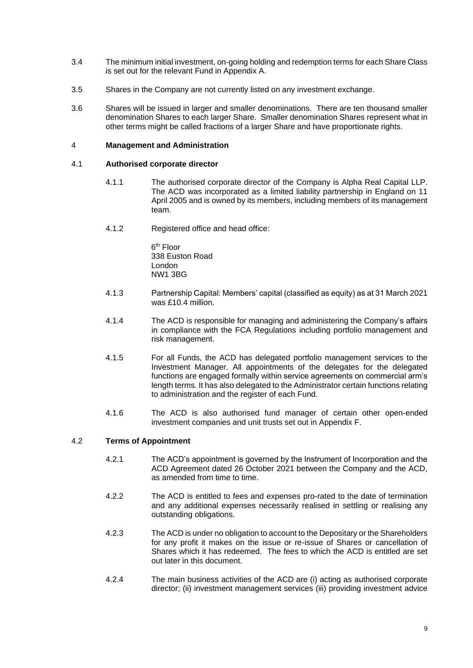- 3.4 The minimum initial investment, on-going holding and redemption terms for each Share Class is set out for the relevant Fund in Appendix A.
- 3.5 Shares in the Company are not currently listed on any investment exchange.
- 3.6 Shares will be issued in larger and smaller denominations. There are ten thousand smaller denomination Shares to each larger Share. Smaller denomination Shares represent what in other terms might be called fractions of a larger Share and have proportionate rights.

### <span id="page-8-0"></span>4 **Management and Administration**

### 4.1 **Authorised corporate director**

- 4.1.1 The authorised corporate director of the Company is Alpha Real Capital LLP. The ACD was incorporated as a limited liability partnership in England on 11 April 2005 and is owned by its members, including members of its management team.
- 4.1.2 Registered office and head office:

6<sup>th</sup> Floor 338 Euston Road London NW1 3BG

- 4.1.3 Partnership Capital: Members' capital (classified as equity) as at 31 March 2021 was £10.4 million.
- 4.1.4 The ACD is responsible for managing and administering the Company's affairs in compliance with the FCA Regulations including portfolio management and risk management.
- 4.1.5 For all Funds, the ACD has delegated portfolio management services to the Investment Manager. All appointments of the delegates for the delegated functions are engaged formally within service agreements on commercial arm's length terms. It has also delegated to the Administrator certain functions relating to administration and the register of each Fund.
- 4.1.6 The ACD is also authorised fund manager of certain other open-ended investment companies and unit trusts set out in Appendix F.

# 4.2 **Terms of Appointment**

- 4.2.1 The ACD's appointment is governed by the Instrument of Incorporation and the ACD Agreement dated 26 October 2021 between the Company and the ACD, as amended from time to time.
- 4.2.2 The ACD is entitled to fees and expenses pro-rated to the date of termination and any additional expenses necessarily realised in settling or realising any outstanding obligations.
- 4.2.3 The ACD is under no obligation to account to the Depositary or the Shareholders for any profit it makes on the issue or re-issue of Shares or cancellation of Shares which it has redeemed. The fees to which the ACD is entitled are set out later in this document.
- 4.2.4 The main business activities of the ACD are (i) acting as authorised corporate director; (ii) investment management services (iii) providing investment advice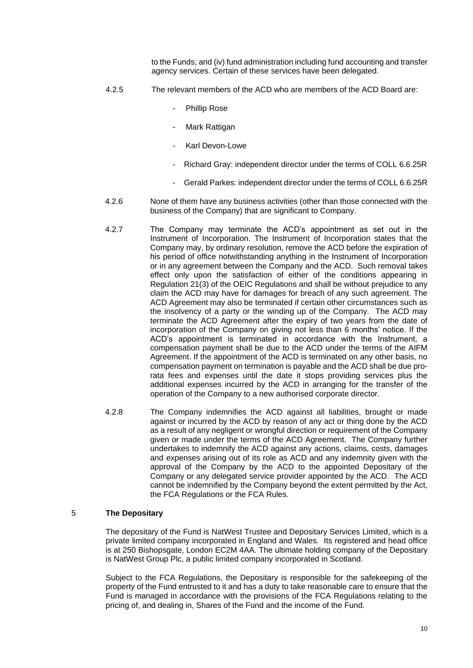to the Funds; and (iv) fund administration including fund accounting and transfer agency services. Certain of these services have been delegated.

- 4.2.5 The relevant members of the ACD who are members of the ACD Board are:
	- Phillip Rose
	- Mark Rattigan
	- Karl Devon-Lowe
	- Richard Gray: independent director under the terms of COLL 6.6.25R
	- Gerald Parkes: independent director under the terms of COLL 6.6.25R
- 4.2.6 None of them have any business activities (other than those connected with the business of the Company) that are significant to Company.
- 4.2.7 The Company may terminate the ACD's appointment as set out in the Instrument of Incorporation. The Instrument of Incorporation states that the Company may, by ordinary resolution, remove the ACD before the expiration of his period of office notwithstanding anything in the Instrument of Incorporation or in any agreement between the Company and the ACD. Such removal takes effect only upon the satisfaction of either of the conditions appearing in Regulation 21(3) of the OEIC Regulations and shall be without prejudice to any claim the ACD may have for damages for breach of any such agreement. The ACD Agreement may also be terminated if certain other circumstances such as the insolvency of a party or the winding up of the Company. The ACD may terminate the ACD Agreement after the expiry of two years from the date of incorporation of the Company on giving not less than 6 months' notice. If the ACD's appointment is terminated in accordance with the Instrument, a compensation payment shall be due to the ACD under the terms of the AIFM Agreement. If the appointment of the ACD is terminated on any other basis, no compensation payment on termination is payable and the ACD shall be due prorata fees and expenses until the date it stops providing services plus the additional expenses incurred by the ACD in arranging for the transfer of the operation of the Company to a new authorised corporate director.
- 4.2.8 The Company indemnifies the ACD against all liabilities, brought or made against or incurred by the ACD by reason of any act or thing done by the ACD as a result of any negligent or wrongful direction or requirement of the Company given or made under the terms of the ACD Agreement. The Company further undertakes to indemnify the ACD against any actions, claims, costs, damages and expenses arising out of its role as ACD and any indemnity given with the approval of the Company by the ACD to the appointed Depositary of the Company or any delegated service provider appointed by the ACD. The ACD cannot be indemnified by the Company beyond the extent permitted by the Act, the FCA Regulations or the FCA Rules.

#### <span id="page-9-0"></span>5 **The Depositary**

The depositary of the Fund is NatWest Trustee and Depositary Services Limited, which is a private limited company incorporated in England and Wales. Its registered and head office is at 250 Bishopsgate, London EC2M 4AA. The ultimate holding company of the Depositary is NatWest Group Plc, a public limited company incorporated in Scotland.

Subject to the FCA Regulations, the Depositary is responsible for the safekeeping of the property of the Fund entrusted to it and has a duty to take reasonable care to ensure that the Fund is managed in accordance with the provisions of the FCA Regulations relating to the pricing of, and dealing in, Shares of the Fund and the income of the Fund.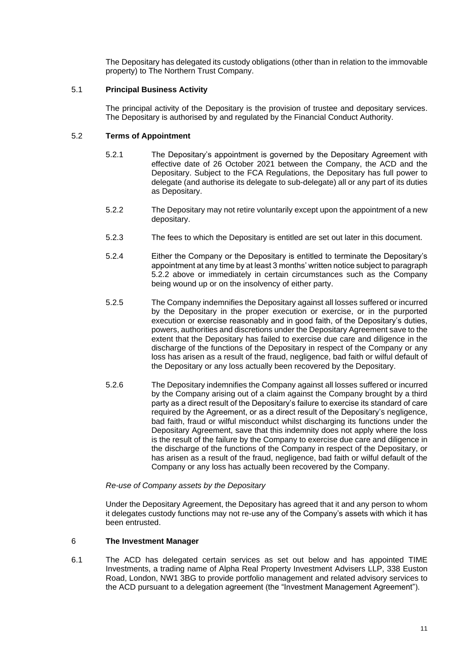The Depositary has delegated its custody obligations (other than in relation to the immovable property) to The Northern Trust Company.

# 5.1 **Principal Business Activity**

The principal activity of the Depositary is the provision of trustee and depositary services. The Depositary is authorised by and regulated by the Financial Conduct Authority.

# 5.2 **Terms of Appointment**

- 5.2.1 The Depositary's appointment is governed by the Depositary Agreement with effective date of 26 October 2021 between the Company, the ACD and the Depositary. Subject to the FCA Regulations, the Depositary has full power to delegate (and authorise its delegate to sub-delegate) all or any part of its duties as Depositary.
- 5.2.2 The Depositary may not retire voluntarily except upon the appointment of a new depositary.
- 5.2.3 The fees to which the Depositary is entitled are set out later in this document.
- 5.2.4 Either the Company or the Depositary is entitled to terminate the Depositary's appointment at any time by at least 3 months' written notice subject to paragraph 5.2.2 above or immediately in certain circumstances such as the Company being wound up or on the insolvency of either party.
- 5.2.5 The Company indemnifies the Depositary against all losses suffered or incurred by the Depositary in the proper execution or exercise, or in the purported execution or exercise reasonably and in good faith, of the Depositary's duties, powers, authorities and discretions under the Depositary Agreement save to the extent that the Depositary has failed to exercise due care and diligence in the discharge of the functions of the Depositary in respect of the Company or any loss has arisen as a result of the fraud, negligence, bad faith or wilful default of the Depositary or any loss actually been recovered by the Depositary.
- 5.2.6 The Depositary indemnifies the Company against all losses suffered or incurred by the Company arising out of a claim against the Company brought by a third party as a direct result of the Depositary's failure to exercise its standard of care required by the Agreement, or as a direct result of the Depositary's negligence, bad faith, fraud or wilful misconduct whilst discharging its functions under the Depositary Agreement, save that this indemnity does not apply where the loss is the result of the failure by the Company to exercise due care and diligence in the discharge of the functions of the Company in respect of the Depositary, or has arisen as a result of the fraud, negligence, bad faith or wilful default of the Company or any loss has actually been recovered by the Company.

# *Re-use of Company assets by the Depositary*

Under the Depositary Agreement, the Depositary has agreed that it and any person to whom it delegates custody functions may not re-use any of the Company's assets with which it has been entrusted.

# <span id="page-10-0"></span>6 **The Investment Manager**

6.1 The ACD has delegated certain services as set out below and has appointed TIME Investments, a trading name of Alpha Real Property Investment Advisers LLP, 338 Euston Road, London, NW1 3BG to provide portfolio management and related advisory services to the ACD pursuant to a delegation agreement (the "Investment Management Agreement").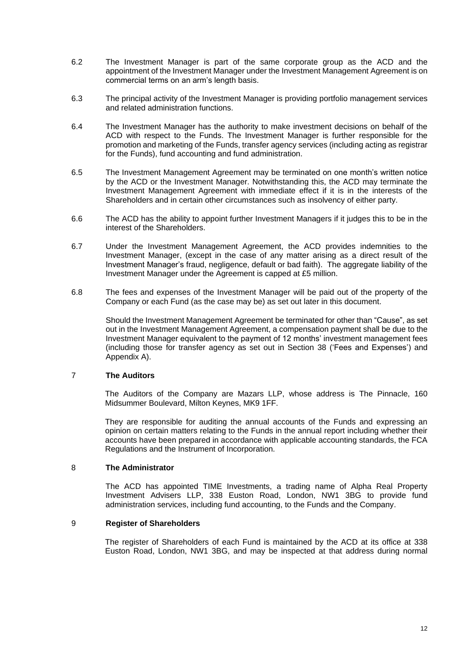- 6.2 The Investment Manager is part of the same corporate group as the ACD and the appointment of the Investment Manager under the Investment Management Agreement is on commercial terms on an arm's length basis.
- 6.3 The principal activity of the Investment Manager is providing portfolio management services and related administration functions.
- 6.4 The Investment Manager has the authority to make investment decisions on behalf of the ACD with respect to the Funds. The Investment Manager is further responsible for the promotion and marketing of the Funds, transfer agency services (including acting as registrar for the Funds), fund accounting and fund administration.
- 6.5 The Investment Management Agreement may be terminated on one month's written notice by the ACD or the Investment Manager. Notwithstanding this, the ACD may terminate the Investment Management Agreement with immediate effect if it is in the interests of the Shareholders and in certain other circumstances such as insolvency of either party.
- 6.6 The ACD has the ability to appoint further Investment Managers if it judges this to be in the interest of the Shareholders.
- 6.7 Under the Investment Management Agreement, the ACD provides indemnities to the Investment Manager, (except in the case of any matter arising as a direct result of the Investment Manager's fraud, negligence, default or bad faith). The aggregate liability of the Investment Manager under the Agreement is capped at £5 million.
- 6.8 The fees and expenses of the Investment Manager will be paid out of the property of the Company or each Fund (as the case may be) as set out later in this document.

Should the Investment Management Agreement be terminated for other than "Cause", as set out in the Investment Management Agreement, a compensation payment shall be due to the Investment Manager equivalent to the payment of 12 months' investment management fees (including those for transfer agency as set out in Section 38 ('Fees and Expenses') and Appendix A).

## <span id="page-11-0"></span>7 **The Auditors**

The Auditors of the Company are Mazars LLP, whose address is The Pinnacle, 160 Midsummer Boulevard, Milton Keynes, MK9 1FF.

They are responsible for auditing the annual accounts of the Funds and expressing an opinion on certain matters relating to the Funds in the annual report including whether their accounts have been prepared in accordance with applicable accounting standards, the FCA Regulations and the Instrument of Incorporation.

#### <span id="page-11-1"></span>8 **The Administrator**

The ACD has appointed TIME Investments, a trading name of Alpha Real Property Investment Advisers LLP, 338 Euston Road, London, NW1 3BG to provide fund administration services, including fund accounting, to the Funds and the Company.

#### <span id="page-11-2"></span>9 **Register of Shareholders**

The register of Shareholders of each Fund is maintained by the ACD at its office at 338 Euston Road, London, NW1 3BG, and may be inspected at that address during normal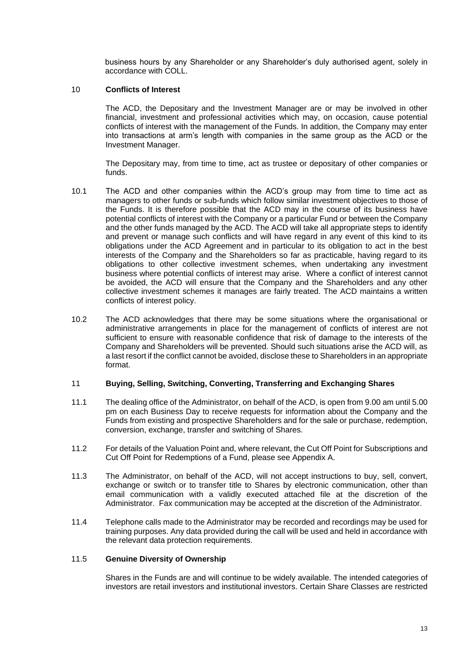business hours by any Shareholder or any Shareholder's duly authorised agent, solely in accordance with COLL.

# <span id="page-12-0"></span>10 **Conflicts of Interest**

The ACD, the Depositary and the Investment Manager are or may be involved in other financial, investment and professional activities which may, on occasion, cause potential conflicts of interest with the management of the Funds. In addition, the Company may enter into transactions at arm's length with companies in the same group as the ACD or the Investment Manager.

The Depositary may, from time to time, act as trustee or depositary of other companies or funds.

- 10.1 The ACD and other companies within the ACD's group may from time to time act as managers to other funds or sub-funds which follow similar investment objectives to those of the Funds. It is therefore possible that the ACD may in the course of its business have potential conflicts of interest with the Company or a particular Fund or between the Company and the other funds managed by the ACD. The ACD will take all appropriate steps to identify and prevent or manage such conflicts and will have regard in any event of this kind to its obligations under the ACD Agreement and in particular to its obligation to act in the best interests of the Company and the Shareholders so far as practicable, having regard to its obligations to other collective investment schemes, when undertaking any investment business where potential conflicts of interest may arise. Where a conflict of interest cannot be avoided, the ACD will ensure that the Company and the Shareholders and any other collective investment schemes it manages are fairly treated. The ACD maintains a written conflicts of interest policy.
- 10.2 The ACD acknowledges that there may be some situations where the organisational or administrative arrangements in place for the management of conflicts of interest are not sufficient to ensure with reasonable confidence that risk of damage to the interests of the Company and Shareholders will be prevented. Should such situations arise the ACD will, as a last resort if the conflict cannot be avoided, disclose these to Shareholders in an appropriate format.

#### <span id="page-12-1"></span>11 **Buying, Selling, Switching, Converting, Transferring and Exchanging Shares**

- 11.1 The dealing office of the Administrator, on behalf of the ACD, is open from 9.00 am until 5.00 pm on each Business Day to receive requests for information about the Company and the Funds from existing and prospective Shareholders and for the sale or purchase, redemption, conversion, exchange, transfer and switching of Shares.
- 11.2 For details of the Valuation Point and, where relevant, the Cut Off Point for Subscriptions and Cut Off Point for Redemptions of a Fund, please see Appendix A.
- 11.3 The Administrator, on behalf of the ACD, will not accept instructions to buy, sell, convert, exchange or switch or to transfer title to Shares by electronic communication, other than email communication with a validly executed attached file at the discretion of the Administrator. Fax communication may be accepted at the discretion of the Administrator.
- 11.4 Telephone calls made to the Administrator may be recorded and recordings may be used for training purposes. Any data provided during the call will be used and held in accordance with the relevant data protection requirements.

# 11.5 **Genuine Diversity of Ownership**

Shares in the Funds are and will continue to be widely available. The intended categories of investors are retail investors and institutional investors. Certain Share Classes are restricted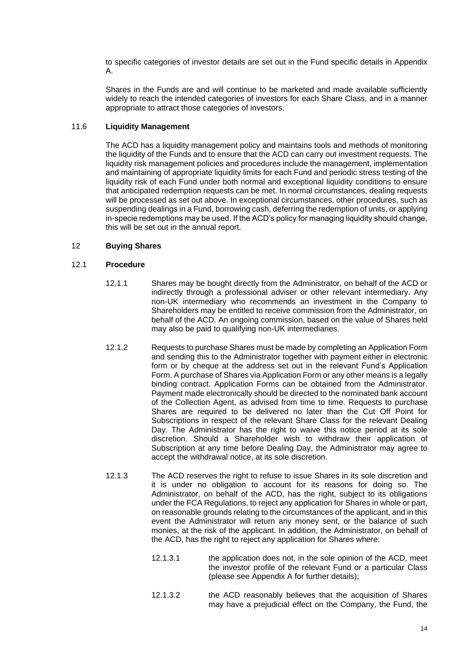to specific categories of investor details are set out in the Fund specific details in Appendix A.

Shares in the Funds are and will continue to be marketed and made available sufficiently widely to reach the intended categories of investors for each Share Class, and in a manner appropriate to attract those categories of investors.

# 11.6 **Liquidity Management**

The ACD has a liquidity management policy and maintains tools and methods of monitoring the liquidity of the Funds and to ensure that the ACD can carry out investment requests. The liquidity risk management policies and procedures include the management, implementation and maintaining of appropriate liquidity limits for each Fund and periodic stress testing of the liquidity risk of each Fund under both normal and exceptional liquidity conditions to ensure that anticipated redemption requests can be met. In normal circumstances, dealing requests will be processed as set out above. In exceptional circumstances, other procedures, such as suspending dealings in a Fund, borrowing cash, deferring the redemption of units, or applying in-specie redemptions may be used. If the ACD's policy for managing liquidity should change, this will be set out in the annual report.

# <span id="page-13-0"></span>12 **Buying Shares**

# 12.1 **Procedure**

- 12.1.1 Shares may be bought directly from the Administrator, on behalf of the ACD or indirectly through a professional adviser or other relevant intermediary. Any non-UK intermediary who recommends an investment in the Company to Shareholders may be entitled to receive commission from the Administrator, on behalf of the ACD. An ongoing commission, based on the value of Shares held may also be paid to qualifying non-UK intermediaries.
- 12.1.2 Requests to purchase Shares must be made by completing an Application Form and sending this to the Administrator together with payment either in electronic form or by cheque at the address set out in the relevant Fund's Application Form. A purchase of Shares via Application Form or any other means is a legally binding contract. Application Forms can be obtained from the Administrator. Payment made electronically should be directed to the nominated bank account of the Collection Agent, as advised from time to time. Requests to purchase Shares are required to be delivered no later than the Cut Off Point for Subscriptions in respect of the relevant Share Class for the relevant Dealing Day. The Administrator has the right to waive this notice period at its sole discretion. Should a Shareholder wish to withdraw their application of Subscription at any time before Dealing Day, the Administrator may agree to accept the withdrawal notice, at its sole discretion.
- 12.1.3 The ACD reserves the right to refuse to issue Shares in its sole discretion and it is under no obligation to account for its reasons for doing so. The Administrator, on behalf of the ACD, has the right, subject to its obligations under the FCA Regulations, to reject any application for Shares in whole or part, on reasonable grounds relating to the circumstances of the applicant, and in this event the Administrator will return any money sent, or the balance of such monies, at the risk of the applicant. In addition, the Administrator, on behalf of the ACD, has the right to reject any application for Shares where:
	- 12.1.3.1 the application does not, in the sole opinion of the ACD, meet the investor profile of the relevant Fund or a particular Class (please see Appendix A for further details);
	- 12.1.3.2 the ACD reasonably believes that the acquisition of Shares may have a prejudicial effect on the Company, the Fund, the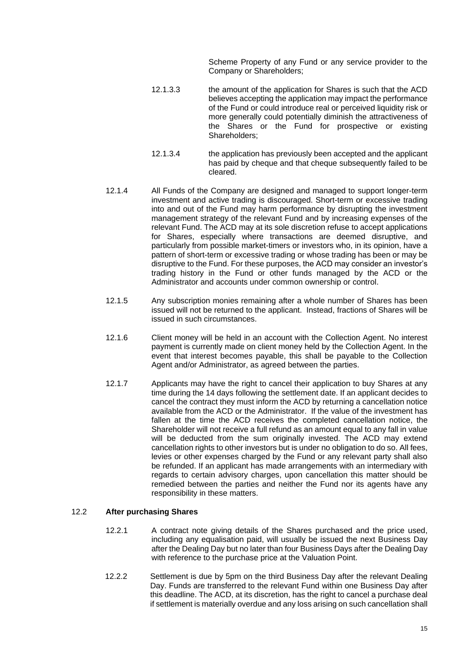Scheme Property of any Fund or any service provider to the Company or Shareholders;

- 12.1.3.3 the amount of the application for Shares is such that the ACD believes accepting the application may impact the performance of the Fund or could introduce real or perceived liquidity risk or more generally could potentially diminish the attractiveness of the Shares or the Fund for prospective or existing Shareholders;
- 12.1.3.4 the application has previously been accepted and the applicant has paid by cheque and that cheque subsequently failed to be cleared.
- 12.1.4 All Funds of the Company are designed and managed to support longer-term investment and active trading is discouraged. Short-term or excessive trading into and out of the Fund may harm performance by disrupting the investment management strategy of the relevant Fund and by increasing expenses of the relevant Fund. The ACD may at its sole discretion refuse to accept applications for Shares, especially where transactions are deemed disruptive, and particularly from possible market-timers or investors who, in its opinion, have a pattern of short-term or excessive trading or whose trading has been or may be disruptive to the Fund. For these purposes, the ACD may consider an investor's trading history in the Fund or other funds managed by the ACD or the Administrator and accounts under common ownership or control.
- 12.1.5 Any subscription monies remaining after a whole number of Shares has been issued will not be returned to the applicant. Instead, fractions of Shares will be issued in such circumstances.
- 12.1.6 Client money will be held in an account with the Collection Agent. No interest payment is currently made on client money held by the Collection Agent. In the event that interest becomes payable, this shall be payable to the Collection Agent and/or Administrator, as agreed between the parties.
- 12.1.7 Applicants may have the right to cancel their application to buy Shares at any time during the 14 days following the settlement date. If an applicant decides to cancel the contract they must inform the ACD by returning a cancellation notice available from the ACD or the Administrator. If the value of the investment has fallen at the time the ACD receives the completed cancellation notice, the Shareholder will not receive a full refund as an amount equal to any fall in value will be deducted from the sum originally invested. The ACD may extend cancellation rights to other investors but is under no obligation to do so. All fees, levies or other expenses charged by the Fund or any relevant party shall also be refunded. If an applicant has made arrangements with an intermediary with regards to certain advisory charges, upon cancellation this matter should be remedied between the parties and neither the Fund nor its agents have any responsibility in these matters.

# 12.2 **After purchasing Shares**

- 12.2.1 A contract note giving details of the Shares purchased and the price used, including any equalisation paid, will usually be issued the next Business Day after the Dealing Day but no later than four Business Days after the Dealing Day with reference to the purchase price at the Valuation Point.
- 12.2.2 Settlement is due by 5pm on the third Business Day after the relevant Dealing Day. Funds are transferred to the relevant Fund within one Business Day after this deadline. The ACD, at its discretion, has the right to cancel a purchase deal if settlement is materially overdue and any loss arising on such cancellation shall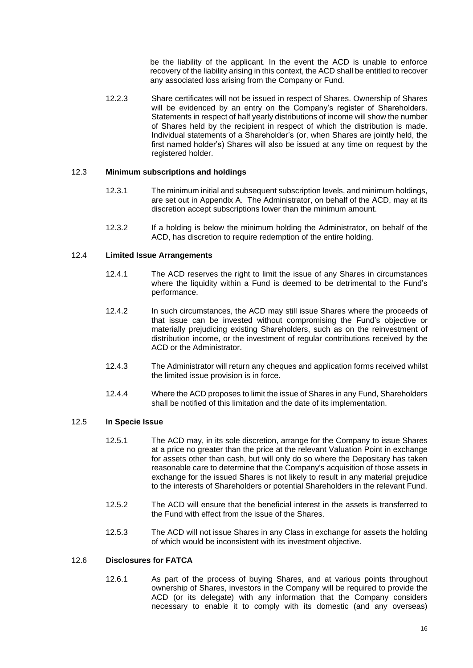be the liability of the applicant. In the event the ACD is unable to enforce recovery of the liability arising in this context, the ACD shall be entitled to recover any associated loss arising from the Company or Fund.

12.2.3 Share certificates will not be issued in respect of Shares. Ownership of Shares will be evidenced by an entry on the Company's register of Shareholders. Statements in respect of half yearly distributions of income will show the number of Shares held by the recipient in respect of which the distribution is made. Individual statements of a Shareholder's (or, when Shares are jointly held, the first named holder's) Shares will also be issued at any time on request by the registered holder.

# 12.3 **Minimum subscriptions and holdings**

- 12.3.1 The minimum initial and subsequent subscription levels, and minimum holdings, are set out in Appendix A. The Administrator, on behalf of the ACD, may at its discretion accept subscriptions lower than the minimum amount.
- 12.3.2 If a holding is below the minimum holding the Administrator, on behalf of the ACD, has discretion to require redemption of the entire holding.

# 12.4 **Limited Issue Arrangements**

- 12.4.1 The ACD reserves the right to limit the issue of any Shares in circumstances where the liquidity within a Fund is deemed to be detrimental to the Fund's performance.
- 12.4.2 In such circumstances, the ACD may still issue Shares where the proceeds of that issue can be invested without compromising the Fund's objective or materially prejudicing existing Shareholders, such as on the reinvestment of distribution income, or the investment of regular contributions received by the ACD or the Administrator.
- 12.4.3 The Administrator will return any cheques and application forms received whilst the limited issue provision is in force.
- 12.4.4 Where the ACD proposes to limit the issue of Shares in any Fund, Shareholders shall be notified of this limitation and the date of its implementation.

### 12.5 **In Specie Issue**

- 12.5.1 The ACD may, in its sole discretion, arrange for the Company to issue Shares at a price no greater than the price at the relevant Valuation Point in exchange for assets other than cash, but will only do so where the Depositary has taken reasonable care to determine that the Company's acquisition of those assets in exchange for the issued Shares is not likely to result in any material prejudice to the interests of Shareholders or potential Shareholders in the relevant Fund.
- 12.5.2 The ACD will ensure that the beneficial interest in the assets is transferred to the Fund with effect from the issue of the Shares.
- 12.5.3 The ACD will not issue Shares in any Class in exchange for assets the holding of which would be inconsistent with its investment objective.

# 12.6 **Disclosures for FATCA**

12.6.1 As part of the process of buying Shares, and at various points throughout ownership of Shares, investors in the Company will be required to provide the ACD (or its delegate) with any information that the Company considers necessary to enable it to comply with its domestic (and any overseas)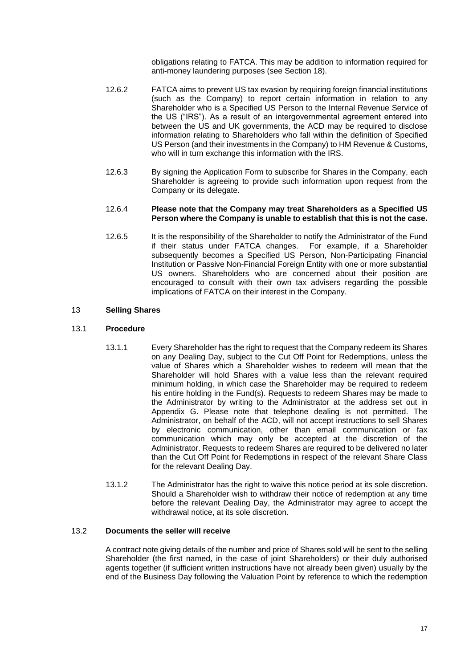obligations relating to FATCA. This may be addition to information required for anti-money laundering purposes (see Section [18\)](#page-19-1).

- 12.6.2 FATCA aims to prevent US tax evasion by requiring foreign financial institutions (such as the Company) to report certain information in relation to any Shareholder who is a Specified US Person to the Internal Revenue Service of the US ("IRS"). As a result of an intergovernmental agreement entered into between the US and UK governments, the ACD may be required to disclose information relating to Shareholders who fall within the definition of Specified US Person (and their investments in the Company) to HM Revenue & Customs, who will in turn exchange this information with the IRS.
- 12.6.3 By signing the Application Form to subscribe for Shares in the Company, each Shareholder is agreeing to provide such information upon request from the Company or its delegate.

### 12.6.4 **Please note that the Company may treat Shareholders as a Specified US Person where the Company is unable to establish that this is not the case.**

12.6.5 It is the responsibility of the Shareholder to notify the Administrator of the Fund if their status under FATCA changes. For example, if a Shareholder subsequently becomes a Specified US Person, Non-Participating Financial Institution or Passive Non-Financial Foreign Entity with one or more substantial US owners. Shareholders who are concerned about their position are encouraged to consult with their own tax advisers regarding the possible implications of FATCA on their interest in the Company.

# <span id="page-16-0"></span>13 **Selling Shares**

# 13.1 **Procedure**

- 13.1.1 Every Shareholder has the right to request that the Company redeem its Shares on any Dealing Day, subject to the Cut Off Point for Redemptions, unless the value of Shares which a Shareholder wishes to redeem will mean that the Shareholder will hold Shares with a value less than the relevant required minimum holding, in which case the Shareholder may be required to redeem his entire holding in the Fund(s). Requests to redeem Shares may be made to the Administrator by writing to the Administrator at the address set out in Appendix G. Please note that telephone dealing is not permitted. The Administrator, on behalf of the ACD, will not accept instructions to sell Shares by electronic communication, other than email communication or fax communication which may only be accepted at the discretion of the Administrator. Requests to redeem Shares are required to be delivered no later than the Cut Off Point for Redemptions in respect of the relevant Share Class for the relevant Dealing Day.
- 13.1.2 The Administrator has the right to waive this notice period at its sole discretion. Should a Shareholder wish to withdraw their notice of redemption at any time before the relevant Dealing Day, the Administrator may agree to accept the withdrawal notice, at its sole discretion.

# 13.2 **Documents the seller will receive**

A contract note giving details of the number and price of Shares sold will be sent to the selling Shareholder (the first named, in the case of joint Shareholders) or their duly authorised agents together (if sufficient written instructions have not already been given) usually by the end of the Business Day following the Valuation Point by reference to which the redemption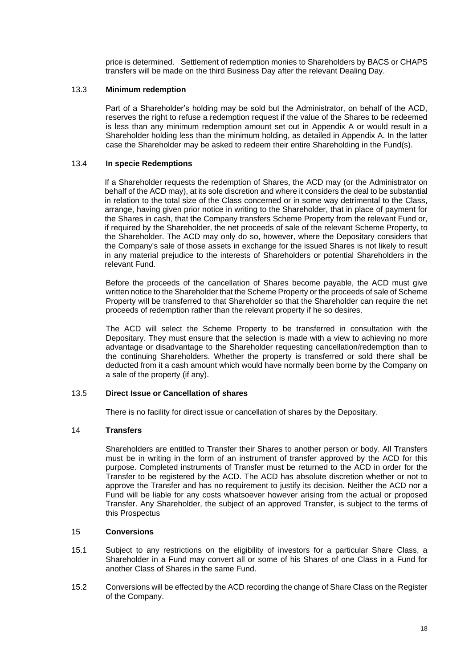price is determined. Settlement of redemption monies to Shareholders by BACS or CHAPS transfers will be made on the third Business Day after the relevant Dealing Day.

### 13.3 **Minimum redemption**

Part of a Shareholder's holding may be sold but the Administrator, on behalf of the ACD, reserves the right to refuse a redemption request if the value of the Shares to be redeemed is less than any minimum redemption amount set out in Appendix A or would result in a Shareholder holding less than the minimum holding, as detailed in Appendix A. In the latter case the Shareholder may be asked to redeem their entire Shareholding in the Fund(s).

### 13.4 **In specie Redemptions**

If a Shareholder requests the redemption of Shares, the ACD may (or the Administrator on behalf of the ACD may), at its sole discretion and where it considers the deal to be substantial in relation to the total size of the Class concerned or in some way detrimental to the Class, arrange, having given prior notice in writing to the Shareholder, that in place of payment for the Shares in cash, that the Company transfers Scheme Property from the relevant Fund or, if required by the Shareholder, the net proceeds of sale of the relevant Scheme Property, to the Shareholder. The ACD may only do so, however, where the Depositary considers that the Company's sale of those assets in exchange for the issued Shares is not likely to result in any material prejudice to the interests of Shareholders or potential Shareholders in the relevant Fund.

Before the proceeds of the cancellation of Shares become payable, the ACD must give written notice to the Shareholder that the Scheme Property or the proceeds of sale of Scheme Property will be transferred to that Shareholder so that the Shareholder can require the net proceeds of redemption rather than the relevant property if he so desires.

The ACD will select the Scheme Property to be transferred in consultation with the Depositary. They must ensure that the selection is made with a view to achieving no more advantage or disadvantage to the Shareholder requesting cancellation/redemption than to the continuing Shareholders. Whether the property is transferred or sold there shall be deducted from it a cash amount which would have normally been borne by the Company on a sale of the property (if any).

#### 13.5 **Direct Issue or Cancellation of shares**

There is no facility for direct issue or cancellation of shares by the Depositary.

# <span id="page-17-0"></span>14 **Transfers**

<span id="page-17-1"></span>Shareholders are entitled to Transfer their Shares to another person or body. All Transfers must be in writing in the form of an instrument of transfer approved by the ACD for this purpose. Completed instruments of Transfer must be returned to the ACD in order for the Transfer to be registered by the ACD. The ACD has absolute discretion whether or not to approve the Transfer and has no requirement to justify its decision. Neither the ACD nor a Fund will be liable for any costs whatsoever however arising from the actual or proposed Transfer. Any Shareholder, the subject of an approved Transfer, is subject to the terms of this Prospectus

#### 15 **Conversions**

- 15.1 Subject to any restrictions on the eligibility of investors for a particular Share Class, a Shareholder in a Fund may convert all or some of his Shares of one Class in a Fund for another Class of Shares in the same Fund.
- 15.2 Conversions will be effected by the ACD recording the change of Share Class on the Register of the Company.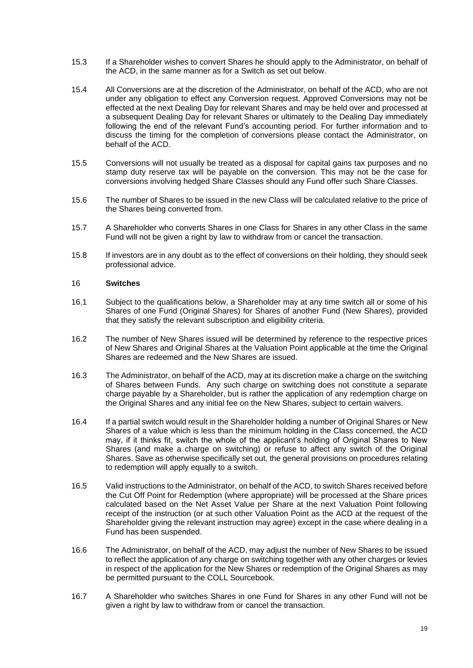- 15.3 If a Shareholder wishes to convert Shares he should apply to the Administrator, on behalf of the ACD, in the same manner as for a Switch as set out below.
- 15.4 All Conversions are at the discretion of the Administrator, on behalf of the ACD, who are not under any obligation to effect any Conversion request. Approved Conversions may not be effected at the next Dealing Day for relevant Shares and may be held over and processed at a subsequent Dealing Day for relevant Shares or ultimately to the Dealing Day immediately following the end of the relevant Fund's accounting period. For further information and to discuss the timing for the completion of conversions please contact the Administrator, on behalf of the ACD.
- 15.5 Conversions will not usually be treated as a disposal for capital gains tax purposes and no stamp duty reserve tax will be payable on the conversion. This may not be the case for conversions involving hedged Share Classes should any Fund offer such Share Classes.
- 15.6 The number of Shares to be issued in the new Class will be calculated relative to the price of the Shares being converted from.
- 15.7 A Shareholder who converts Shares in one Class for Shares in any other Class in the same Fund will not be given a right by law to withdraw from or cancel the transaction.
- 15.8 If investors are in any doubt as to the effect of conversions on their holding, they should seek professional advice.

# <span id="page-18-0"></span>16 **Switches**

- 16.1 Subject to the qualifications below, a Shareholder may at any time switch all or some of his Shares of one Fund (Original Shares) for Shares of another Fund (New Shares), provided that they satisfy the relevant subscription and eligibility criteria.
- 16.2 The number of New Shares issued will be determined by reference to the respective prices of New Shares and Original Shares at the Valuation Point applicable at the time the Original Shares are redeemed and the New Shares are issued.
- 16.3 The Administrator, on behalf of the ACD, may at its discretion make a charge on the switching of Shares between Funds. Any such charge on switching does not constitute a separate charge payable by a Shareholder, but is rather the application of any redemption charge on the Original Shares and any initial fee on the New Shares, subject to certain waivers.
- 16.4 If a partial switch would result in the Shareholder holding a number of Original Shares or New Shares of a value which is less than the minimum holding in the Class concerned, the ACD may, if it thinks fit, switch the whole of the applicant's holding of Original Shares to New Shares (and make a charge on switching) or refuse to affect any switch of the Original Shares. Save as otherwise specifically set out, the general provisions on procedures relating to redemption will apply equally to a switch.
- 16.5 Valid instructions to the Administrator, on behalf of the ACD, to switch Shares received before the Cut Off Point for Redemption (where appropriate) will be processed at the Share prices calculated based on the Net Asset Value per Share at the next Valuation Point following receipt of the instruction (or at such other Valuation Point as the ACD at the request of the Shareholder giving the relevant instruction may agree) except in the case where dealing in a Fund has been suspended.
- 16.6 The Administrator, on behalf of the ACD, may adjust the number of New Shares to be issued to reflect the application of any charge on switching together with any other charges or levies in respect of the application for the New Shares or redemption of the Original Shares as may be permitted pursuant to the COLL Sourcebook.
- 16.7 A Shareholder who switches Shares in one Fund for Shares in any other Fund will not be given a right by law to withdraw from or cancel the transaction.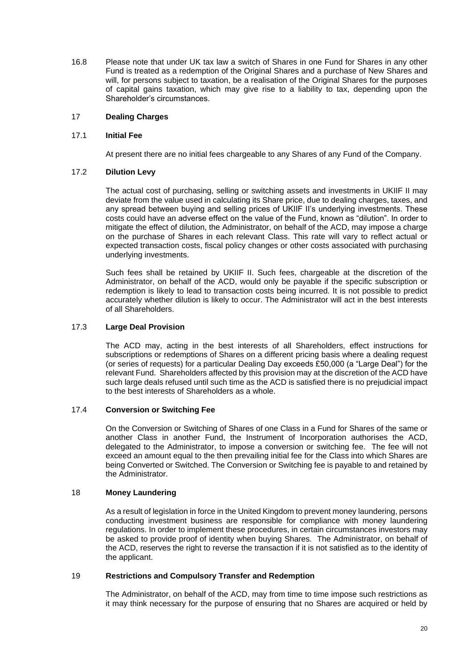16.8 Please note that under UK tax law a switch of Shares in one Fund for Shares in any other Fund is treated as a redemption of the Original Shares and a purchase of New Shares and will, for persons subject to taxation, be a realisation of the Original Shares for the purposes of capital gains taxation, which may give rise to a liability to tax, depending upon the Shareholder's circumstances.

# <span id="page-19-0"></span>17 **Dealing Charges**

# 17.1 **Initial Fee**

At present there are no initial fees chargeable to any Shares of any Fund of the Company.

# 17.2 **Dilution Levy**

The actual cost of purchasing, selling or switching assets and investments in UKIIF II may deviate from the value used in calculating its Share price, due to dealing charges, taxes, and any spread between buying and selling prices of UKIIF II's underlying investments. These costs could have an adverse effect on the value of the Fund, known as "dilution". In order to mitigate the effect of dilution, the Administrator, on behalf of the ACD, may impose a charge on the purchase of Shares in each relevant Class. This rate will vary to reflect actual or expected transaction costs, fiscal policy changes or other costs associated with purchasing underlying investments.

Such fees shall be retained by UKIIF II. Such fees, chargeable at the discretion of the Administrator, on behalf of the ACD, would only be payable if the specific subscription or redemption is likely to lead to transaction costs being incurred. It is not possible to predict accurately whether dilution is likely to occur. The Administrator will act in the best interests of all Shareholders.

# 17.3 **Large Deal Provision**

The ACD may, acting in the best interests of all Shareholders, effect instructions for subscriptions or redemptions of Shares on a different pricing basis where a dealing request (or series of requests) for a particular Dealing Day exceeds £50,000 (a "Large Deal") for the relevant Fund. Shareholders affected by this provision may at the discretion of the ACD have such large deals refused until such time as the ACD is satisfied there is no prejudicial impact to the best interests of Shareholders as a whole.

# 17.4 **Conversion or Switching Fee**

On the Conversion or Switching of Shares of one Class in a Fund for Shares of the same or another Class in another Fund, the Instrument of Incorporation authorises the ACD, delegated to the Administrator, to impose a conversion or switching fee. The fee will not exceed an amount equal to the then prevailing initial fee for the Class into which Shares are being Converted or Switched. The Conversion or Switching fee is payable to and retained by the Administrator.

# <span id="page-19-1"></span>18 **Money Laundering**

As a result of legislation in force in the United Kingdom to prevent money laundering, persons conducting investment business are responsible for compliance with money laundering regulations. In order to implement these procedures, in certain circumstances investors may be asked to provide proof of identity when buying Shares. The Administrator, on behalf of the ACD, reserves the right to reverse the transaction if it is not satisfied as to the identity of the applicant.

# <span id="page-19-2"></span>19 **Restrictions and Compulsory Transfer and Redemption**

The Administrator, on behalf of the ACD, may from time to time impose such restrictions as it may think necessary for the purpose of ensuring that no Shares are acquired or held by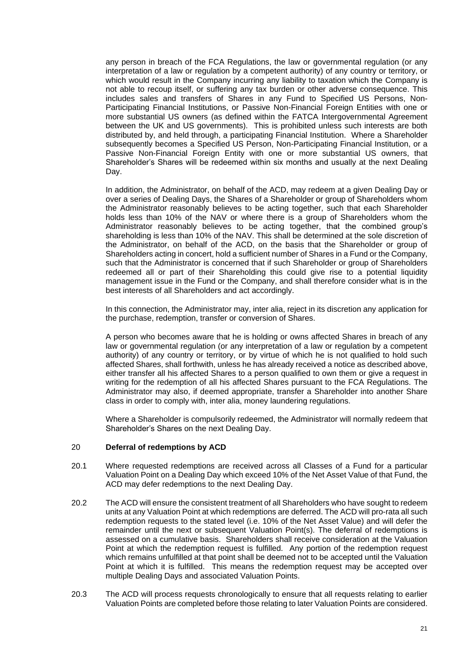any person in breach of the FCA Regulations, the law or governmental regulation (or any interpretation of a law or regulation by a competent authority) of any country or territory, or which would result in the Company incurring any liability to taxation which the Company is not able to recoup itself, or suffering any tax burden or other adverse consequence. This includes sales and transfers of Shares in any Fund to Specified US Persons, Non-Participating Financial Institutions, or Passive Non-Financial Foreign Entities with one or more substantial US owners (as defined within the FATCA Intergovernmental Agreement between the UK and US governments). This is prohibited unless such interests are both distributed by, and held through, a participating Financial Institution. Where a Shareholder subsequently becomes a Specified US Person, Non-Participating Financial Institution, or a Passive Non-Financial Foreign Entity with one or more substantial US owners, that Shareholder's Shares will be redeemed within six months and usually at the next Dealing Day.

In addition, the Administrator, on behalf of the ACD, may redeem at a given Dealing Day or over a series of Dealing Days, the Shares of a Shareholder or group of Shareholders whom the Administrator reasonably believes to be acting together, such that each Shareholder holds less than 10% of the NAV or where there is a group of Shareholders whom the Administrator reasonably believes to be acting together, that the combined group's shareholding is less than 10% of the NAV. This shall be determined at the sole discretion of the Administrator, on behalf of the ACD, on the basis that the Shareholder or group of Shareholders acting in concert, hold a sufficient number of Shares in a Fund or the Company, such that the Administrator is concerned that if such Shareholder or group of Shareholders redeemed all or part of their Shareholding this could give rise to a potential liquidity management issue in the Fund or the Company, and shall therefore consider what is in the best interests of all Shareholders and act accordingly.

In this connection, the Administrator may, inter alia, reject in its discretion any application for the purchase, redemption, transfer or conversion of Shares.

A person who becomes aware that he is holding or owns affected Shares in breach of any law or governmental regulation (or any interpretation of a law or regulation by a competent authority) of any country or territory, or by virtue of which he is not qualified to hold such affected Shares, shall forthwith, unless he has already received a notice as described above, either transfer all his affected Shares to a person qualified to own them or give a request in writing for the redemption of all his affected Shares pursuant to the FCA Regulations. The Administrator may also, if deemed appropriate, transfer a Shareholder into another Share class in order to comply with, inter alia, money laundering regulations.

Where a Shareholder is compulsorily redeemed, the Administrator will normally redeem that Shareholder's Shares on the next Dealing Day.

#### <span id="page-20-0"></span>20 **Deferral of redemptions by ACD**

- 20.1 Where requested redemptions are received across all Classes of a Fund for a particular Valuation Point on a Dealing Day which exceed 10% of the Net Asset Value of that Fund, the ACD may defer redemptions to the next Dealing Day.
- 20.2 The ACD will ensure the consistent treatment of all Shareholders who have sought to redeem units at any Valuation Point at which redemptions are deferred. The ACD will pro-rata all such redemption requests to the stated level (i.e. 10% of the Net Asset Value) and will defer the remainder until the next or subsequent Valuation Point(s). The deferral of redemptions is assessed on a cumulative basis. Shareholders shall receive consideration at the Valuation Point at which the redemption request is fulfilled. Any portion of the redemption request which remains unfulfilled at that point shall be deemed not to be accepted until the Valuation Point at which it is fulfilled. This means the redemption request may be accepted over multiple Dealing Days and associated Valuation Points.
- 20.3 The ACD will process requests chronologically to ensure that all requests relating to earlier Valuation Points are completed before those relating to later Valuation Points are considered.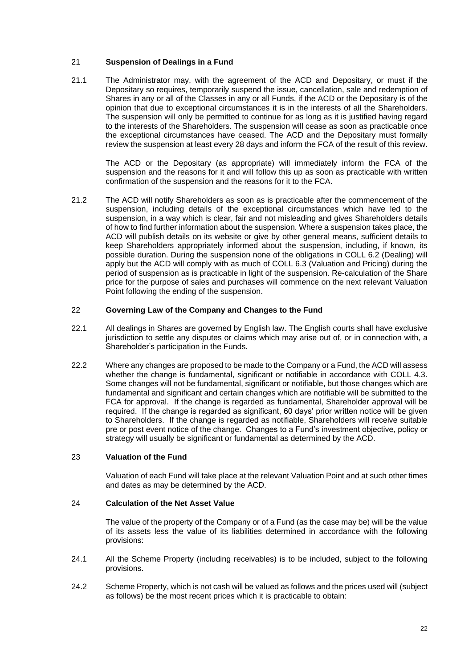# <span id="page-21-0"></span>21 **Suspension of Dealings in a Fund**

21.1 The Administrator may, with the agreement of the ACD and Depositary, or must if the Depositary so requires, temporarily suspend the issue, cancellation, sale and redemption of Shares in any or all of the Classes in any or all Funds, if the ACD or the Depositary is of the opinion that due to exceptional circumstances it is in the interests of all the Shareholders. The suspension will only be permitted to continue for as long as it is justified having regard to the interests of the Shareholders. The suspension will cease as soon as practicable once the exceptional circumstances have ceased. The ACD and the Depositary must formally review the suspension at least every 28 days and inform the FCA of the result of this review.

The ACD or the Depositary (as appropriate) will immediately inform the FCA of the suspension and the reasons for it and will follow this up as soon as practicable with written confirmation of the suspension and the reasons for it to the FCA.

21.2 The ACD will notify Shareholders as soon as is practicable after the commencement of the suspension, including details of the exceptional circumstances which have led to the suspension, in a way which is clear, fair and not misleading and gives Shareholders details of how to find further information about the suspension. Where a suspension takes place, the ACD will publish details on its website or give by other general means, sufficient details to keep Shareholders appropriately informed about the suspension, including, if known, its possible duration. During the suspension none of the obligations in COLL 6.2 (Dealing) will apply but the ACD will comply with as much of COLL 6.3 (Valuation and Pricing) during the period of suspension as is practicable in light of the suspension. Re-calculation of the Share price for the purpose of sales and purchases will commence on the next relevant Valuation Point following the ending of the suspension.

# <span id="page-21-1"></span>22 **Governing Law of the Company and Changes to the Fund**

- 22.1 All dealings in Shares are governed by English law. The English courts shall have exclusive jurisdiction to settle any disputes or claims which may arise out of, or in connection with, a Shareholder's participation in the Funds.
- 22.2 Where any changes are proposed to be made to the Company or a Fund, the ACD will assess whether the change is fundamental, significant or notifiable in accordance with COLL 4.3. Some changes will not be fundamental, significant or notifiable, but those changes which are fundamental and significant and certain changes which are notifiable will be submitted to the FCA for approval. If the change is regarded as fundamental, Shareholder approval will be required. If the change is regarded as significant, 60 days' prior written notice will be given to Shareholders. If the change is regarded as notifiable, Shareholders will receive suitable pre or post event notice of the change. Changes to a Fund's investment objective, policy or strategy will usually be significant or fundamental as determined by the ACD.

# <span id="page-21-2"></span>23 **Valuation of the Fund**

Valuation of each Fund will take place at the relevant Valuation Point and at such other times and dates as may be determined by the ACD.

# <span id="page-21-3"></span>24 **Calculation of the Net Asset Value**

The value of the property of the Company or of a Fund (as the case may be) will be the value of its assets less the value of its liabilities determined in accordance with the following provisions:

- 24.1 All the Scheme Property (including receivables) is to be included, subject to the following provisions.
- 24.2 Scheme Property, which is not cash will be valued as follows and the prices used will (subject as follows) be the most recent prices which it is practicable to obtain: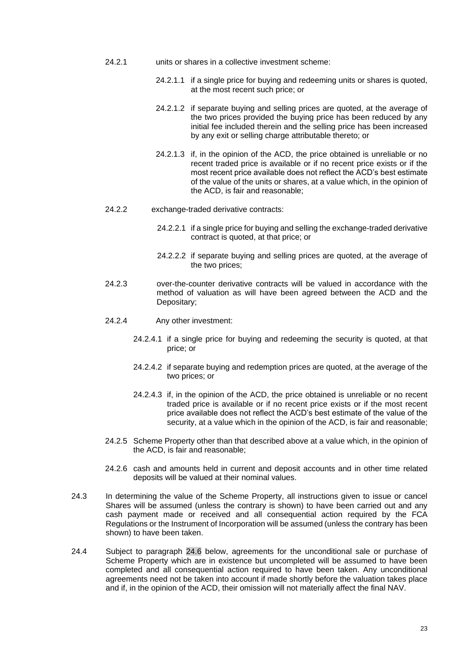- 24.2.1 units or shares in a collective investment scheme:
	- 24.2.1.1 if a single price for buying and redeeming units or shares is quoted, at the most recent such price; or
	- 24.2.1.2 if separate buying and selling prices are quoted, at the average of the two prices provided the buying price has been reduced by any initial fee included therein and the selling price has been increased by any exit or selling charge attributable thereto; or
	- 24.2.1.3 if, in the opinion of the ACD, the price obtained is unreliable or no recent traded price is available or if no recent price exists or if the most recent price available does not reflect the ACD's best estimate of the value of the units or shares, at a value which, in the opinion of the ACD, is fair and reasonable;
- 24.2.2 exchange-traded derivative contracts:
	- 24.2.2.1 if a single price for buying and selling the exchange-traded derivative contract is quoted, at that price; or
	- 24.2.2.2 if separate buying and selling prices are quoted, at the average of the two prices;
- 24.2.3 over-the-counter derivative contracts will be valued in accordance with the method of valuation as will have been agreed between the ACD and the Depositary;
- 24.2.4 Any other investment:
	- 24.2.4.1 if a single price for buying and redeeming the security is quoted, at that price; or
	- 24.2.4.2 if separate buying and redemption prices are quoted, at the average of the two prices; or
	- 24.2.4.3 if, in the opinion of the ACD, the price obtained is unreliable or no recent traded price is available or if no recent price exists or if the most recent price available does not reflect the ACD's best estimate of the value of the security, at a value which in the opinion of the ACD, is fair and reasonable;
- 24.2.5 Scheme Property other than that described above at a value which, in the opinion of the ACD, is fair and reasonable;
- 24.2.6 cash and amounts held in current and deposit accounts and in other time related deposits will be valued at their nominal values.
- 24.3 In determining the value of the Scheme Property, all instructions given to issue or cancel Shares will be assumed (unless the contrary is shown) to have been carried out and any cash payment made or received and all consequential action required by the FCA Regulations or the Instrument of Incorporation will be assumed (unless the contrary has been shown) to have been taken.
- <span id="page-22-0"></span>24.4 Subject to paragraph [24.6](#page-23-0) below, agreements for the unconditional sale or purchase of Scheme Property which are in existence but uncompleted will be assumed to have been completed and all consequential action required to have been taken. Any unconditional agreements need not be taken into account if made shortly before the valuation takes place and if, in the opinion of the ACD, their omission will not materially affect the final NAV.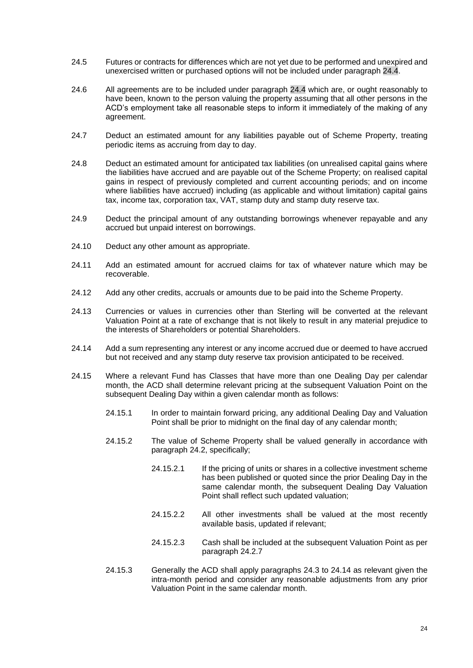- 24.5 Futures or contracts for differences which are not yet due to be performed and unexpired and unexercised written or purchased options will not be included under paragraph [24.4.](#page-22-0)
- <span id="page-23-0"></span>24.6 All agreements are to be included under paragraph [24.4](#page-22-0) which are, or ought reasonably to have been, known to the person valuing the property assuming that all other persons in the ACD's employment take all reasonable steps to inform it immediately of the making of any agreement.
- 24.7 Deduct an estimated amount for any liabilities payable out of Scheme Property, treating periodic items as accruing from day to day.
- 24.8 Deduct an estimated amount for anticipated tax liabilities (on unrealised capital gains where the liabilities have accrued and are payable out of the Scheme Property; on realised capital gains in respect of previously completed and current accounting periods; and on income where liabilities have accrued) including (as applicable and without limitation) capital gains tax, income tax, corporation tax, VAT, stamp duty and stamp duty reserve tax.
- 24.9 Deduct the principal amount of any outstanding borrowings whenever repayable and any accrued but unpaid interest on borrowings.
- 24.10 Deduct any other amount as appropriate.
- 24.11 Add an estimated amount for accrued claims for tax of whatever nature which may be recoverable.
- 24.12 Add any other credits, accruals or amounts due to be paid into the Scheme Property.
- 24.13 Currencies or values in currencies other than Sterling will be converted at the relevant Valuation Point at a rate of exchange that is not likely to result in any material prejudice to the interests of Shareholders or potential Shareholders.
- <span id="page-23-1"></span>24.14 Add a sum representing any interest or any income accrued due or deemed to have accrued but not received and any stamp duty reserve tax provision anticipated to be received.
- 24.15 Where a relevant Fund has Classes that have more than one Dealing Day per calendar month, the ACD shall determine relevant pricing at the subsequent Valuation Point on the subsequent Dealing Day within a given calendar month as follows:
	- 24.15.1 In order to maintain forward pricing, any additional Dealing Day and Valuation Point shall be prior to midnight on the final day of any calendar month;
	- 24.15.2 The value of Scheme Property shall be valued generally in accordance with paragraph 24.2, specifically;
		- 24.15.2.1 If the pricing of units or shares in a collective investment scheme has been published or quoted since the prior Dealing Day in the same calendar month, the subsequent Dealing Day Valuation Point shall reflect such updated valuation;
		- 24.15.2.2 All other investments shall be valued at the most recently available basis, updated if relevant;
		- 24.15.2.3 Cash shall be included at the subsequent Valuation Point as per paragraph 24.2.7
	- 24.15.3 Generally the ACD shall apply paragraphs 24.3 to [24.14](#page-23-1) as relevant given the intra-month period and consider any reasonable adjustments from any prior Valuation Point in the same calendar month.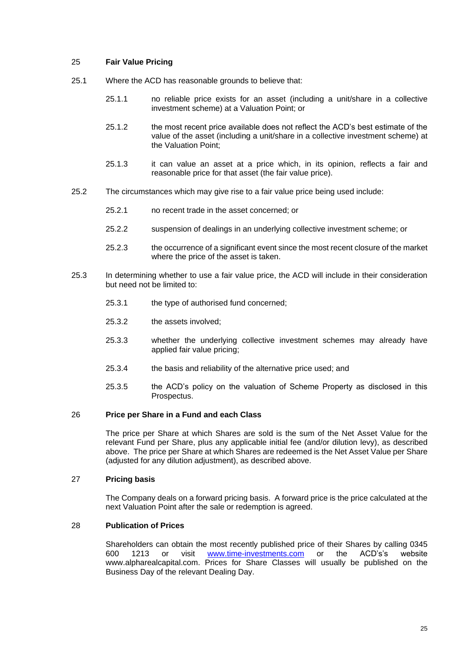# <span id="page-24-0"></span>25 **Fair Value Pricing**

- 25.1 Where the ACD has reasonable grounds to believe that:
	- 25.1.1 no reliable price exists for an asset (including a unit/share in a collective investment scheme) at a Valuation Point; or
	- 25.1.2 the most recent price available does not reflect the ACD's best estimate of the value of the asset (including a unit/share in a collective investment scheme) at the Valuation Point;
	- 25.1.3 it can value an asset at a price which, in its opinion, reflects a fair and reasonable price for that asset (the fair value price).
- 25.2 The circumstances which may give rise to a fair value price being used include:
	- 25.2.1 no recent trade in the asset concerned; or
	- 25.2.2 suspension of dealings in an underlying collective investment scheme; or
	- 25.2.3 the occurrence of a significant event since the most recent closure of the market where the price of the asset is taken.
- 25.3 In determining whether to use a fair value price, the ACD will include in their consideration but need not be limited to:
	- 25.3.1 the type of authorised fund concerned;
	- 25.3.2 the assets involved;
	- 25.3.3 whether the underlying collective investment schemes may already have applied fair value pricing;
	- 25.3.4 the basis and reliability of the alternative price used; and
	- 25.3.5 the ACD's policy on the valuation of Scheme Property as disclosed in this Prospectus.

#### <span id="page-24-1"></span>26 **Price per Share in a Fund and each Class**

The price per Share at which Shares are sold is the sum of the Net Asset Value for the relevant Fund per Share, plus any applicable initial fee (and/or dilution levy), as described above. The price per Share at which Shares are redeemed is the Net Asset Value per Share (adjusted for any dilution adjustment), as described above.

#### <span id="page-24-2"></span>27 **Pricing basis**

The Company deals on a forward pricing basis. A forward price is the price calculated at the next Valuation Point after the sale or redemption is agreed.

#### <span id="page-24-3"></span>28 **Publication of Prices**

Shareholders can obtain the most recently published price of their Shares by calling 0345<br>600 1213 or visit www.time-investments.com or the ACD's's website 1213 or visit [www.time-investments.com](http://www.time-investments.com/) or the ACD's's website www.alpharealcapital.com. Prices for Share Classes will usually be published on the Business Day of the relevant Dealing Day.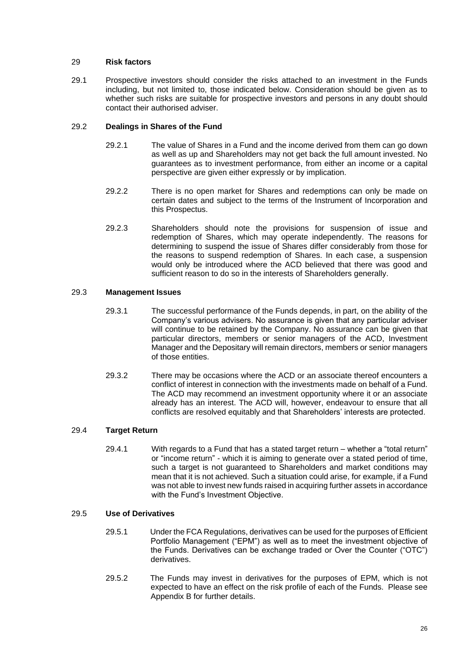# <span id="page-25-0"></span>29 **Risk factors**

29.1 Prospective investors should consider the risks attached to an investment in the Funds including, but not limited to, those indicated below. Consideration should be given as to whether such risks are suitable for prospective investors and persons in any doubt should contact their authorised adviser.

# 29.2 **Dealings in Shares of the Fund**

- 29.2.1 The value of Shares in a Fund and the income derived from them can go down as well as up and Shareholders may not get back the full amount invested. No guarantees as to investment performance, from either an income or a capital perspective are given either expressly or by implication.
- 29.2.2 There is no open market for Shares and redemptions can only be made on certain dates and subject to the terms of the Instrument of Incorporation and this Prospectus.
- 29.2.3 Shareholders should note the provisions for suspension of issue and redemption of Shares, which may operate independently. The reasons for determining to suspend the issue of Shares differ considerably from those for the reasons to suspend redemption of Shares. In each case, a suspension would only be introduced where the ACD believed that there was good and sufficient reason to do so in the interests of Shareholders generally.

# 29.3 **Management Issues**

- 29.3.1 The successful performance of the Funds depends, in part, on the ability of the Company's various advisers. No assurance is given that any particular adviser will continue to be retained by the Company. No assurance can be given that particular directors, members or senior managers of the ACD, Investment Manager and the Depositary will remain directors, members or senior managers of those entities.
- 29.3.2 There may be occasions where the ACD or an associate thereof encounters a conflict of interest in connection with the investments made on behalf of a Fund. The ACD may recommend an investment opportunity where it or an associate already has an interest. The ACD will, however, endeavour to ensure that all conflicts are resolved equitably and that Shareholders' interests are protected.

# 29.4 **Target Return**

29.4.1 With regards to a Fund that has a stated target return – whether a "total return" or "income return" - which it is aiming to generate over a stated period of time, such a target is not guaranteed to Shareholders and market conditions may mean that it is not achieved. Such a situation could arise, for example, if a Fund was not able to invest new funds raised in acquiring further assets in accordance with the Fund's Investment Objective.

# 29.5 **Use of Derivatives**

- 29.5.1 Under the FCA Regulations, derivatives can be used for the purposes of Efficient Portfolio Management ("EPM") as well as to meet the investment objective of the Funds. Derivatives can be exchange traded or Over the Counter ("OTC") derivatives.
- 29.5.2 The Funds may invest in derivatives for the purposes of EPM, which is not expected to have an effect on the risk profile of each of the Funds. Please see Appendix B for further details.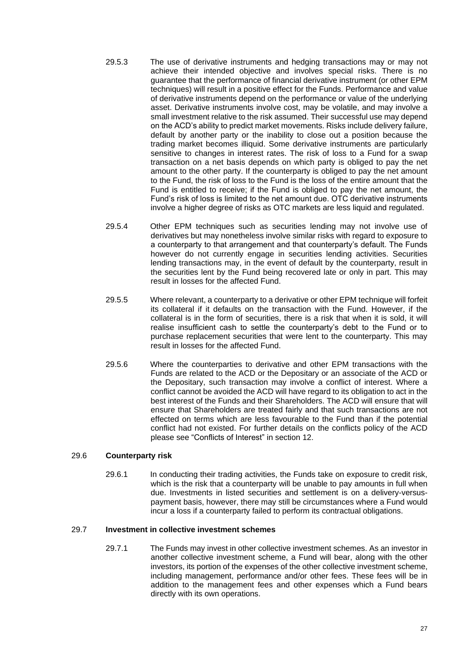- 29.5.3 The use of derivative instruments and hedging transactions may or may not achieve their intended objective and involves special risks. There is no guarantee that the performance of financial derivative instrument (or other EPM techniques) will result in a positive effect for the Funds. Performance and value of derivative instruments depend on the performance or value of the underlying asset. Derivative instruments involve cost, may be volatile, and may involve a small investment relative to the risk assumed. Their successful use may depend on the ACD's ability to predict market movements. Risks include delivery failure, default by another party or the inability to close out a position because the trading market becomes illiquid. Some derivative instruments are particularly sensitive to changes in interest rates. The risk of loss to a Fund for a swap transaction on a net basis depends on which party is obliged to pay the net amount to the other party. If the counterparty is obliged to pay the net amount to the Fund, the risk of loss to the Fund is the loss of the entire amount that the Fund is entitled to receive; if the Fund is obliged to pay the net amount, the Fund's risk of loss is limited to the net amount due. OTC derivative instruments involve a higher degree of risks as OTC markets are less liquid and regulated.
- 29.5.4 Other EPM techniques such as securities lending may not involve use of derivatives but may nonetheless involve similar risks with regard to exposure to a counterparty to that arrangement and that counterparty's default. The Funds however do not currently engage in securities lending activities. Securities lending transactions may, in the event of default by the counterparty, result in the securities lent by the Fund being recovered late or only in part. This may result in losses for the affected Fund.
- 29.5.5 Where relevant, a counterparty to a derivative or other EPM technique will forfeit its collateral if it defaults on the transaction with the Fund. However, if the collateral is in the form of securities, there is a risk that when it is sold, it will realise insufficient cash to settle the counterparty's debt to the Fund or to purchase replacement securities that were lent to the counterparty. This may result in losses for the affected Fund.
- 29.5.6 Where the counterparties to derivative and other EPM transactions with the Funds are related to the ACD or the Depositary or an associate of the ACD or the Depositary, such transaction may involve a conflict of interest. Where a conflict cannot be avoided the ACD will have regard to its obligation to act in the best interest of the Funds and their Shareholders. The ACD will ensure that will ensure that Shareholders are treated fairly and that such transactions are not effected on terms which are less favourable to the Fund than if the potential conflict had not existed. For further details on the conflicts policy of the ACD please see "Conflicts of Interest" in section 12.

# 29.6 **Counterparty risk**

29.6.1 In conducting their trading activities, the Funds take on exposure to credit risk, which is the risk that a counterparty will be unable to pay amounts in full when due. Investments in listed securities and settlement is on a delivery-versuspayment basis, however, there may still be circumstances where a Fund would incur a loss if a counterparty failed to perform its contractual obligations.

### 29.7 **Investment in collective investment schemes**

29.7.1 The Funds may invest in other collective investment schemes. As an investor in another collective investment scheme, a Fund will bear, along with the other investors, its portion of the expenses of the other collective investment scheme, including management, performance and/or other fees. These fees will be in addition to the management fees and other expenses which a Fund bears directly with its own operations.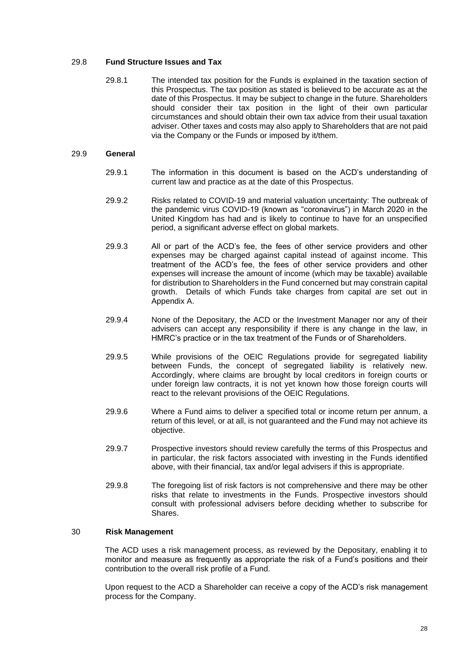# 29.8 **Fund Structure Issues and Tax**

29.8.1 The intended tax position for the Funds is explained in the taxation section of this Prospectus. The tax position as stated is believed to be accurate as at the date of this Prospectus. It may be subject to change in the future. Shareholders should consider their tax position in the light of their own particular circumstances and should obtain their own tax advice from their usual taxation adviser. Other taxes and costs may also apply to Shareholders that are not paid via the Company or the Funds or imposed by it/them.

# 29.9 **General**

- 29.9.1 The information in this document is based on the ACD's understanding of current law and practice as at the date of this Prospectus.
- 29.9.2 Risks related to COVID-19 and material valuation uncertainty: The outbreak of the pandemic virus COVID-19 (known as "coronavirus") in March 2020 in the United Kingdom has had and is likely to continue to have for an unspecified period, a significant adverse effect on global markets.
- 29.9.3 All or part of the ACD's fee, the fees of other service providers and other expenses may be charged against capital instead of against income. This treatment of the ACD's fee, the fees of other service providers and other expenses will increase the amount of income (which may be taxable) available for distribution to Shareholders in the Fund concerned but may constrain capital growth. Details of which Funds take charges from capital are set out in Appendix A.
- 29.9.4 None of the Depositary, the ACD or the Investment Manager nor any of their advisers can accept any responsibility if there is any change in the law, in HMRC's practice or in the tax treatment of the Funds or of Shareholders.
- 29.9.5 While provisions of the OEIC Regulations provide for segregated liability between Funds, the concept of segregated liability is relatively new. Accordingly, where claims are brought by local creditors in foreign courts or under foreign law contracts, it is not yet known how those foreign courts will react to the relevant provisions of the OEIC Regulations.
- 29.9.6 Where a Fund aims to deliver a specified total or income return per annum, a return of this level, or at all, is not guaranteed and the Fund may not achieve its objective.
- 29.9.7 Prospective investors should review carefully the terms of this Prospectus and in particular, the risk factors associated with investing in the Funds identified above, with their financial, tax and/or legal advisers if this is appropriate.
- 29.9.8 The foregoing list of risk factors is not comprehensive and there may be other risks that relate to investments in the Funds. Prospective investors should consult with professional advisers before deciding whether to subscribe for Shares.

### <span id="page-27-0"></span>30 **Risk Management**

The ACD uses a risk management process, as reviewed by the Depositary, enabling it to monitor and measure as frequently as appropriate the risk of a Fund's positions and their contribution to the overall risk profile of a Fund.

Upon request to the ACD a Shareholder can receive a copy of the ACD's risk management process for the Company.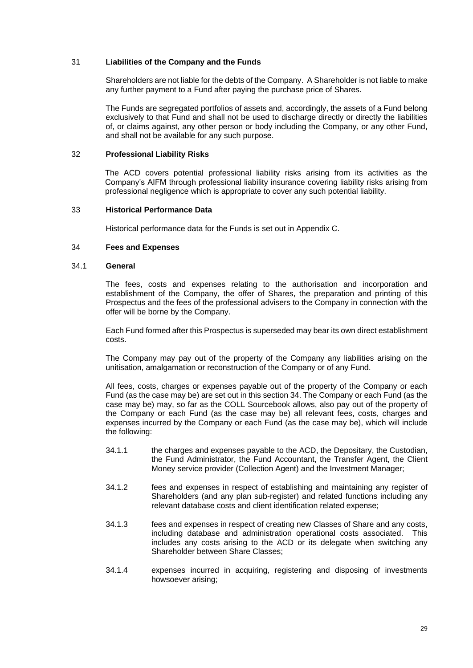# <span id="page-28-0"></span>31 **Liabilities of the Company and the Funds**

Shareholders are not liable for the debts of the Company. A Shareholder is not liable to make any further payment to a Fund after paying the purchase price of Shares.

The Funds are segregated portfolios of assets and, accordingly, the assets of a Fund belong exclusively to that Fund and shall not be used to discharge directly or directly the liabilities of, or claims against, any other person or body including the Company, or any other Fund, and shall not be available for any such purpose.

### <span id="page-28-1"></span>32 **Professional Liability Risks**

The ACD covers potential professional liability risks arising from its activities as the Company's AIFM through professional liability insurance covering liability risks arising from professional negligence which is appropriate to cover any such potential liability.

#### <span id="page-28-2"></span>33 **Historical Performance Data**

Historical performance data for the Funds is set out in Appendix C.

# <span id="page-28-3"></span>34 **Fees and Expenses**

# 34.1 **General**

The fees, costs and expenses relating to the authorisation and incorporation and establishment of the Company, the offer of Shares, the preparation and printing of this Prospectus and the fees of the professional advisers to the Company in connection with the offer will be borne by the Company.

Each Fund formed after this Prospectus is superseded may bear its own direct establishment costs.

The Company may pay out of the property of the Company any liabilities arising on the unitisation, amalgamation or reconstruction of the Company or of any Fund.

All fees, costs, charges or expenses payable out of the property of the Company or each Fund (as the case may be) are set out in this sectio[n 34.](#page-28-3) The Company or each Fund (as the case may be) may, so far as the COLL Sourcebook allows, also pay out of the property of the Company or each Fund (as the case may be) all relevant fees, costs, charges and expenses incurred by the Company or each Fund (as the case may be), which will include the following:

- 34.1.1 the charges and expenses payable to the ACD, the Depositary, the Custodian, the Fund Administrator, the Fund Accountant, the Transfer Agent, the Client Money service provider (Collection Agent) and the Investment Manager;
- 34.1.2 fees and expenses in respect of establishing and maintaining any register of Shareholders (and any plan sub-register) and related functions including any relevant database costs and client identification related expense;
- 34.1.3 fees and expenses in respect of creating new Classes of Share and any costs, including database and administration operational costs associated. This includes any costs arising to the ACD or its delegate when switching any Shareholder between Share Classes;
- 34.1.4 expenses incurred in acquiring, registering and disposing of investments howsoever arising;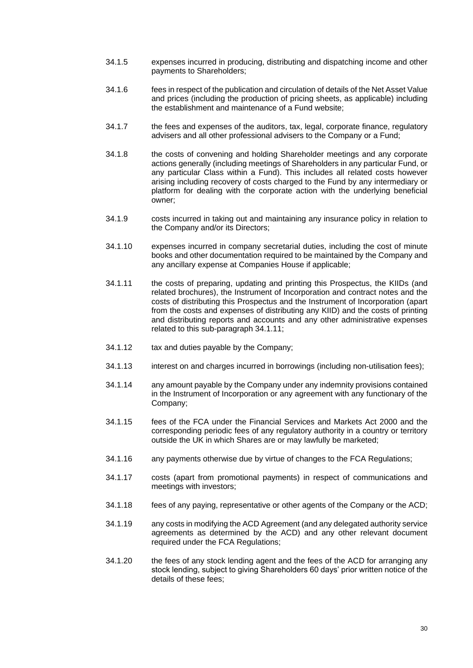- 34.1.5 expenses incurred in producing, distributing and dispatching income and other payments to Shareholders;
- 34.1.6 fees in respect of the publication and circulation of details of the Net Asset Value and prices (including the production of pricing sheets, as applicable) including the establishment and maintenance of a Fund website;
- 34.1.7 the fees and expenses of the auditors, tax, legal, corporate finance, regulatory advisers and all other professional advisers to the Company or a Fund;
- 34.1.8 the costs of convening and holding Shareholder meetings and any corporate actions generally (including meetings of Shareholders in any particular Fund, or any particular Class within a Fund). This includes all related costs however arising including recovery of costs charged to the Fund by any intermediary or platform for dealing with the corporate action with the underlying beneficial owner;
- 34.1.9 costs incurred in taking out and maintaining any insurance policy in relation to the Company and/or its Directors;
- 34.1.10 expenses incurred in company secretarial duties, including the cost of minute books and other documentation required to be maintained by the Company and any ancillary expense at Companies House if applicable;
- <span id="page-29-0"></span>34.1.11 the costs of preparing, updating and printing this Prospectus, the KIIDs (and related brochures), the Instrument of Incorporation and contract notes and the costs of distributing this Prospectus and the Instrument of Incorporation (apart from the costs and expenses of distributing any KIID) and the costs of printing and distributing reports and accounts and any other administrative expenses related to this sub-paragraph [34.1.11;](#page-29-0)
- 34.1.12 tax and duties payable by the Company;
- 34.1.13 interest on and charges incurred in borrowings (including non-utilisation fees);
- 34.1.14 any amount payable by the Company under any indemnity provisions contained in the Instrument of Incorporation or any agreement with any functionary of the Company;
- 34.1.15 fees of the FCA under the Financial Services and Markets Act 2000 and the corresponding periodic fees of any regulatory authority in a country or territory outside the UK in which Shares are or may lawfully be marketed;
- 34.1.16 any payments otherwise due by virtue of changes to the FCA Regulations;
- 34.1.17 costs (apart from promotional payments) in respect of communications and meetings with investors;
- 34.1.18 fees of any paying, representative or other agents of the Company or the ACD;
- 34.1.19 any costs in modifying the ACD Agreement (and any delegated authority service agreements as determined by the ACD) and any other relevant document required under the FCA Regulations;
- 34.1.20 the fees of any stock lending agent and the fees of the ACD for arranging any stock lending, subject to giving Shareholders 60 days' prior written notice of the details of these fees;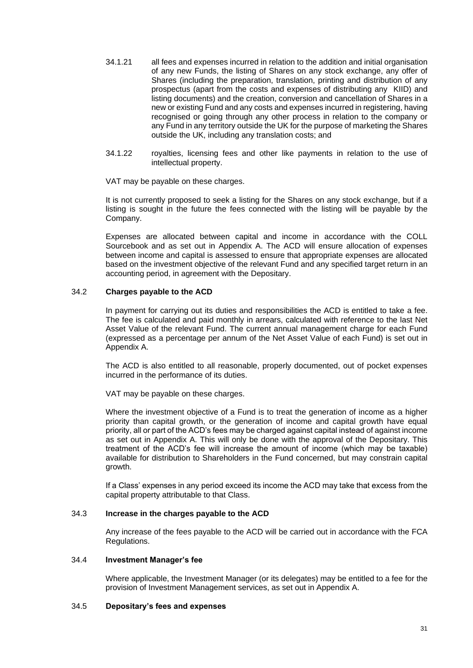- 34.1.21 all fees and expenses incurred in relation to the addition and initial organisation of any new Funds, the listing of Shares on any stock exchange, any offer of Shares (including the preparation, translation, printing and distribution of any prospectus (apart from the costs and expenses of distributing any KIID) and listing documents) and the creation, conversion and cancellation of Shares in a new or existing Fund and any costs and expenses incurred in registering, having recognised or going through any other process in relation to the company or any Fund in any territory outside the UK for the purpose of marketing the Shares outside the UK, including any translation costs; and
- 34.1.22 royalties, licensing fees and other like payments in relation to the use of intellectual property.

VAT may be payable on these charges.

It is not currently proposed to seek a listing for the Shares on any stock exchange, but if a listing is sought in the future the fees connected with the listing will be payable by the Company.

Expenses are allocated between capital and income in accordance with the COLL Sourcebook and as set out in Appendix A. The ACD will ensure allocation of expenses between income and capital is assessed to ensure that appropriate expenses are allocated based on the investment objective of the relevant Fund and any specified target return in an accounting period, in agreement with the Depositary.

# 34.2 **Charges payable to the ACD**

In payment for carrying out its duties and responsibilities the ACD is entitled to take a fee. The fee is calculated and paid monthly in arrears, calculated with reference to the last Net Asset Value of the relevant Fund. The current annual management charge for each Fund (expressed as a percentage per annum of the Net Asset Value of each Fund) is set out in Appendix A.

The ACD is also entitled to all reasonable, properly documented, out of pocket expenses incurred in the performance of its duties.

VAT may be payable on these charges.

Where the investment objective of a Fund is to treat the generation of income as a higher priority than capital growth, or the generation of income and capital growth have equal priority, all or part of the ACD's fees may be charged against capital instead of against income as set out in Appendix A. This will only be done with the approval of the Depositary. This treatment of the ACD's fee will increase the amount of income (which may be taxable) available for distribution to Shareholders in the Fund concerned, but may constrain capital growth.

If a Class' expenses in any period exceed its income the ACD may take that excess from the capital property attributable to that Class.

# 34.3 **Increase in the charges payable to the ACD**

Any increase of the fees payable to the ACD will be carried out in accordance with the FCA Regulations.

# 34.4 **Investment Manager's fee**

Where applicable, the Investment Manager (or its delegates) may be entitled to a fee for the provision of Investment Management services, as set out in Appendix A.

#### 34.5 **Depositary's fees and expenses**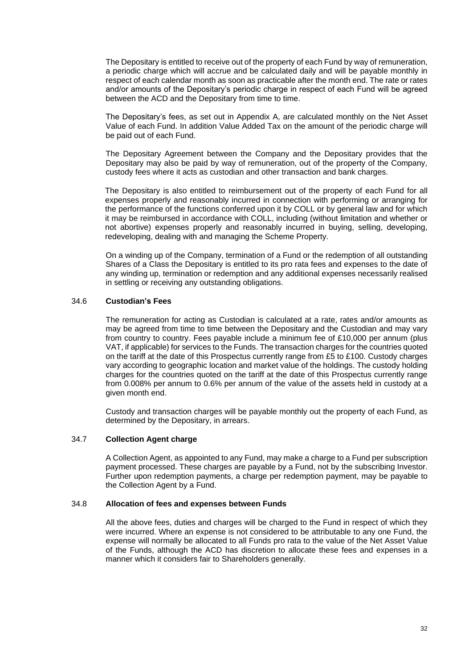The Depositary is entitled to receive out of the property of each Fund by way of remuneration, a periodic charge which will accrue and be calculated daily and will be payable monthly in respect of each calendar month as soon as practicable after the month end. The rate or rates and/or amounts of the Depositary's periodic charge in respect of each Fund will be agreed between the ACD and the Depositary from time to time.

The Depositary's fees, as set out in Appendix A, are calculated monthly on the Net Asset Value of each Fund. In addition Value Added Tax on the amount of the periodic charge will be paid out of each Fund.

The Depositary Agreement between the Company and the Depositary provides that the Depositary may also be paid by way of remuneration, out of the property of the Company, custody fees where it acts as custodian and other transaction and bank charges.

The Depositary is also entitled to reimbursement out of the property of each Fund for all expenses properly and reasonably incurred in connection with performing or arranging for the performance of the functions conferred upon it by COLL or by general law and for which it may be reimbursed in accordance with COLL, including (without limitation and whether or not abortive) expenses properly and reasonably incurred in buying, selling, developing, redeveloping, dealing with and managing the Scheme Property.

On a winding up of the Company, termination of a Fund or the redemption of all outstanding Shares of a Class the Depositary is entitled to its pro rata fees and expenses to the date of any winding up, termination or redemption and any additional expenses necessarily realised in settling or receiving any outstanding obligations.

## 34.6 **Custodian's Fees**

The remuneration for acting as Custodian is calculated at a rate, rates and/or amounts as may be agreed from time to time between the Depositary and the Custodian and may vary from country to country. Fees payable include a minimum fee of £10,000 per annum (plus VAT, if applicable) for services to the Funds. The transaction charges for the countries quoted on the tariff at the date of this Prospectus currently range from £5 to £100. Custody charges vary according to geographic location and market value of the holdings. The custody holding charges for the countries quoted on the tariff at the date of this Prospectus currently range from 0.008% per annum to 0.6% per annum of the value of the assets held in custody at a given month end.

Custody and transaction charges will be payable monthly out the property of each Fund, as determined by the Depositary, in arrears.

# 34.7 **Collection Agent charge**

A Collection Agent, as appointed to any Fund, may make a charge to a Fund per subscription payment processed. These charges are payable by a Fund, not by the subscribing Investor. Further upon redemption payments, a charge per redemption payment, may be payable to the Collection Agent by a Fund.

#### 34.8 **Allocation of fees and expenses between Funds**

All the above fees, duties and charges will be charged to the Fund in respect of which they were incurred. Where an expense is not considered to be attributable to any one Fund, the expense will normally be allocated to all Funds pro rata to the value of the Net Asset Value of the Funds, although the ACD has discretion to allocate these fees and expenses in a manner which it considers fair to Shareholders generally.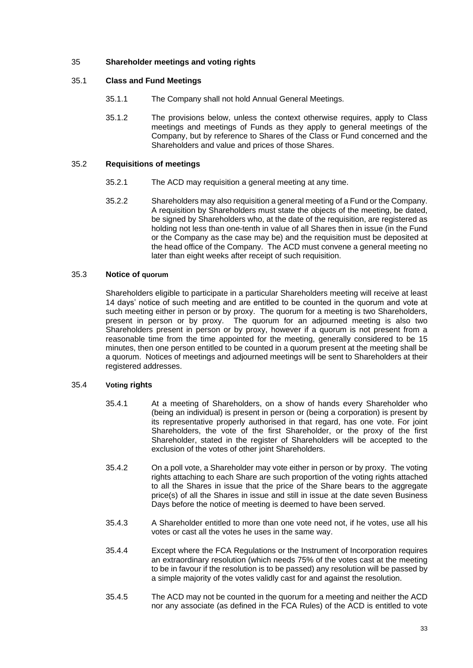# <span id="page-32-0"></span>35 **Shareholder meetings and voting rights**

# 35.1 **Class and Fund Meetings**

- 35.1.1 The Company shall not hold Annual General Meetings.
- 35.1.2 The provisions below, unless the context otherwise requires, apply to Class meetings and meetings of Funds as they apply to general meetings of the Company, but by reference to Shares of the Class or Fund concerned and the Shareholders and value and prices of those Shares.

# 35.2 **Requisitions of meetings**

- 35.2.1 The ACD may requisition a general meeting at any time.
- 35.2.2 Shareholders may also requisition a general meeting of a Fund or the Company. A requisition by Shareholders must state the objects of the meeting, be dated, be signed by Shareholders who, at the date of the requisition, are registered as holding not less than one-tenth in value of all Shares then in issue (in the Fund or the Company as the case may be) and the requisition must be deposited at the head office of the Company. The ACD must convene a general meeting no later than eight weeks after receipt of such requisition.

# 35.3 **Notice of quorum**

Shareholders eligible to participate in a particular Shareholders meeting will receive at least 14 days' notice of such meeting and are entitled to be counted in the quorum and vote at such meeting either in person or by proxy. The quorum for a meeting is two Shareholders, present in person or by proxy. The quorum for an adjourned meeting is also two Shareholders present in person or by proxy, however if a quorum is not present from a reasonable time from the time appointed for the meeting, generally considered to be 15 minutes, then one person entitled to be counted in a quorum present at the meeting shall be a quorum. Notices of meetings and adjourned meetings will be sent to Shareholders at their registered addresses.

#### 35.4 **Voting rights**

- 35.4.1 At a meeting of Shareholders, on a show of hands every Shareholder who (being an individual) is present in person or (being a corporation) is present by its representative properly authorised in that regard, has one vote. For joint Shareholders, the vote of the first Shareholder, or the proxy of the first Shareholder, stated in the register of Shareholders will be accepted to the exclusion of the votes of other joint Shareholders.
- 35.4.2 On a poll vote, a Shareholder may vote either in person or by proxy. The voting rights attaching to each Share are such proportion of the voting rights attached to all the Shares in issue that the price of the Share bears to the aggregate price(s) of all the Shares in issue and still in issue at the date seven Business Days before the notice of meeting is deemed to have been served.
- 35.4.3 A Shareholder entitled to more than one vote need not, if he votes, use all his votes or cast all the votes he uses in the same way.
- 35.4.4 Except where the FCA Regulations or the Instrument of Incorporation requires an extraordinary resolution (which needs 75% of the votes cast at the meeting to be in favour if the resolution is to be passed) any resolution will be passed by a simple majority of the votes validly cast for and against the resolution.
- 35.4.5 The ACD may not be counted in the quorum for a meeting and neither the ACD nor any associate (as defined in the FCA Rules) of the ACD is entitled to vote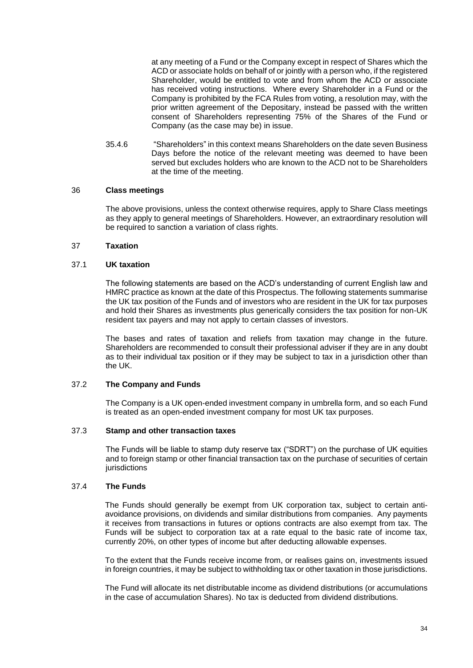at any meeting of a Fund or the Company except in respect of Shares which the ACD or associate holds on behalf of or jointly with a person who, if the registered Shareholder, would be entitled to vote and from whom the ACD or associate has received voting instructions. Where every Shareholder in a Fund or the Company is prohibited by the FCA Rules from voting, a resolution may, with the prior written agreement of the Depositary, instead be passed with the written consent of Shareholders representing 75% of the Shares of the Fund or Company (as the case may be) in issue.

35.4.6 "Shareholders" in this context means Shareholders on the date seven Business Days before the notice of the relevant meeting was deemed to have been served but excludes holders who are known to the ACD not to be Shareholders at the time of the meeting.

#### <span id="page-33-0"></span>36 **Class meetings**

The above provisions, unless the context otherwise requires, apply to Share Class meetings as they apply to general meetings of Shareholders. However, an extraordinary resolution will be required to sanction a variation of class rights.

# <span id="page-33-1"></span>37 **Taxation**

#### 37.1 **UK taxation**

The following statements are based on the ACD's understanding of current English law and HMRC practice as known at the date of this Prospectus. The following statements summarise the UK tax position of the Funds and of investors who are resident in the UK for tax purposes and hold their Shares as investments plus generically considers the tax position for non-UK resident tax payers and may not apply to certain classes of investors.

The bases and rates of taxation and reliefs from taxation may change in the future. Shareholders are recommended to consult their professional adviser if they are in any doubt as to their individual tax position or if they may be subject to tax in a jurisdiction other than the UK.

# 37.2 **The Company and Funds**

The Company is a UK open-ended investment company in umbrella form, and so each Fund is treated as an open-ended investment company for most UK tax purposes.

# 37.3 **Stamp and other transaction taxes**

The Funds will be liable to stamp duty reserve tax ("SDRT") on the purchase of UK equities and to foreign stamp or other financial transaction tax on the purchase of securities of certain *iurisdictions* 

### 37.4 **The Funds**

The Funds should generally be exempt from UK corporation tax, subject to certain antiavoidance provisions, on dividends and similar distributions from companies. Any payments it receives from transactions in futures or options contracts are also exempt from tax. The Funds will be subject to corporation tax at a rate equal to the basic rate of income tax, currently 20%, on other types of income but after deducting allowable expenses.

To the extent that the Funds receive income from, or realises gains on, investments issued in foreign countries, it may be subject to withholding tax or other taxation in those jurisdictions.

The Fund will allocate its net distributable income as dividend distributions (or accumulations in the case of accumulation Shares). No tax is deducted from dividend distributions.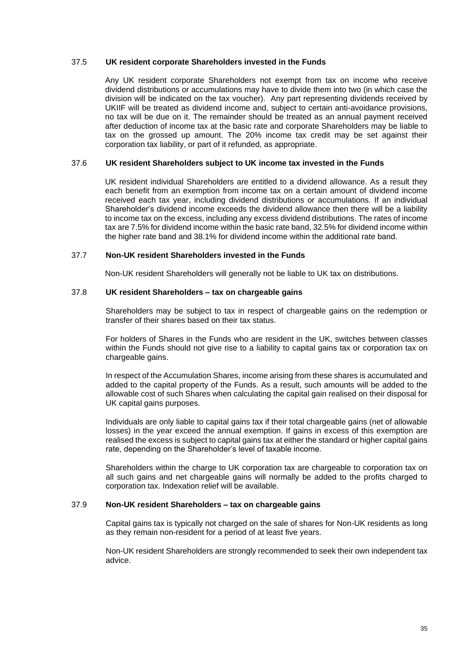#### 37.5 **UK resident corporate Shareholders invested in the Funds**

Any UK resident corporate Shareholders not exempt from tax on income who receive dividend distributions or accumulations may have to divide them into two (in which case the division will be indicated on the tax voucher). Any part representing dividends received by UKIIF will be treated as dividend income and, subject to certain anti-avoidance provisions, no tax will be due on it. The remainder should be treated as an annual payment received after deduction of income tax at the basic rate and corporate Shareholders may be liable to tax on the grossed up amount. The 20% income tax credit may be set against their corporation tax liability, or part of it refunded, as appropriate.

# 37.6 **UK resident Shareholders subject to UK income tax invested in the Funds**

UK resident individual Shareholders are entitled to a dividend allowance. As a result they each benefit from an exemption from income tax on a certain amount of dividend income received each tax year, including dividend distributions or accumulations. If an individual Shareholder's dividend income exceeds the dividend allowance then there will be a liability to income tax on the excess, including any excess dividend distributions. The rates of income tax are 7.5% for dividend income within the basic rate band, 32.5% for dividend income within the higher rate band and 38.1% for dividend income within the additional rate band.

### 37.7 **Non-UK resident Shareholders invested in the Funds**

Non-UK resident Shareholders will generally not be liable to UK tax on distributions.

# 37.8 **UK resident Shareholders – tax on chargeable gains**

Shareholders may be subject to tax in respect of chargeable gains on the redemption or transfer of their shares based on their tax status.

For holders of Shares in the Funds who are resident in the UK, switches between classes within the Funds should not give rise to a liability to capital gains tax or corporation tax on chargeable gains.

In respect of the Accumulation Shares, income arising from these shares is accumulated and added to the capital property of the Funds. As a result, such amounts will be added to the allowable cost of such Shares when calculating the capital gain realised on their disposal for UK capital gains purposes.

Individuals are only liable to capital gains tax if their total chargeable gains (net of allowable losses) in the year exceed the annual exemption. If gains in excess of this exemption are realised the excess is subject to capital gains tax at either the standard or higher capital gains rate, depending on the Shareholder's level of taxable income.

Shareholders within the charge to UK corporation tax are chargeable to corporation tax on all such gains and net chargeable gains will normally be added to the profits charged to corporation tax. Indexation relief will be available.

# 37.9 **Non-UK resident Shareholders – tax on chargeable gains**

Capital gains tax is typically not charged on the sale of shares for Non-UK residents as long as they remain non-resident for a period of at least five years.

Non-UK resident Shareholders are strongly recommended to seek their own independent tax advice.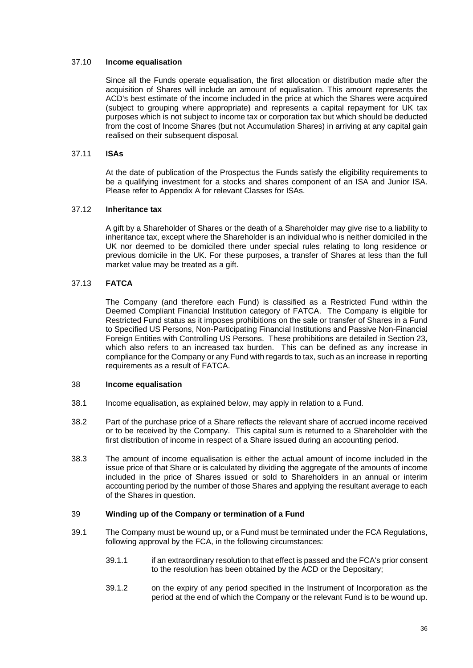### 37.10 **Income equalisation**

Since all the Funds operate equalisation, the first allocation or distribution made after the acquisition of Shares will include an amount of equalisation. This amount represents the ACD's best estimate of the income included in the price at which the Shares were acquired (subject to grouping where appropriate) and represents a capital repayment for UK tax purposes which is not subject to income tax or corporation tax but which should be deducted from the cost of Income Shares (but not Accumulation Shares) in arriving at any capital gain realised on their subsequent disposal.

# 37.11 **ISAs**

At the date of publication of the Prospectus the Funds satisfy the eligibility requirements to be a qualifying investment for a stocks and shares component of an ISA and Junior ISA. Please refer to Appendix A for relevant Classes for ISAs.

#### 37.12 **Inheritance tax**

A gift by a Shareholder of Shares or the death of a Shareholder may give rise to a liability to inheritance tax, except where the Shareholder is an individual who is neither domiciled in the UK nor deemed to be domiciled there under special rules relating to long residence or previous domicile in the UK. For these purposes, a transfer of Shares at less than the full market value may be treated as a gift.

# 37.13 **FATCA**

The Company (and therefore each Fund) is classified as a Restricted Fund within the Deemed Compliant Financial Institution category of FATCA. The Company is eligible for Restricted Fund status as it imposes prohibitions on the sale or transfer of Shares in a Fund to Specified US Persons, Non-Participating Financial Institutions and Passive Non-Financial Foreign Entities with Controlling US Persons. These prohibitions are detailed in Section 23, which also refers to an increased tax burden. This can be defined as any increase in compliance for the Company or any Fund with regards to tax, such as an increase in reporting requirements as a result of FATCA.

#### <span id="page-35-0"></span>38 **Income equalisation**

- 38.1 Income equalisation, as explained below, may apply in relation to a Fund.
- 38.2 Part of the purchase price of a Share reflects the relevant share of accrued income received or to be received by the Company. This capital sum is returned to a Shareholder with the first distribution of income in respect of a Share issued during an accounting period.
- 38.3 The amount of income equalisation is either the actual amount of income included in the issue price of that Share or is calculated by dividing the aggregate of the amounts of income included in the price of Shares issued or sold to Shareholders in an annual or interim accounting period by the number of those Shares and applying the resultant average to each of the Shares in question.

#### <span id="page-35-1"></span>39 **Winding up of the Company or termination of a Fund**

- 39.1 The Company must be wound up, or a Fund must be terminated under the FCA Regulations, following approval by the FCA, in the following circumstances:
	- 39.1.1 if an extraordinary resolution to that effect is passed and the FCA's prior consent to the resolution has been obtained by the ACD or the Depositary;
	- 39.1.2 on the expiry of any period specified in the Instrument of Incorporation as the period at the end of which the Company or the relevant Fund is to be wound up.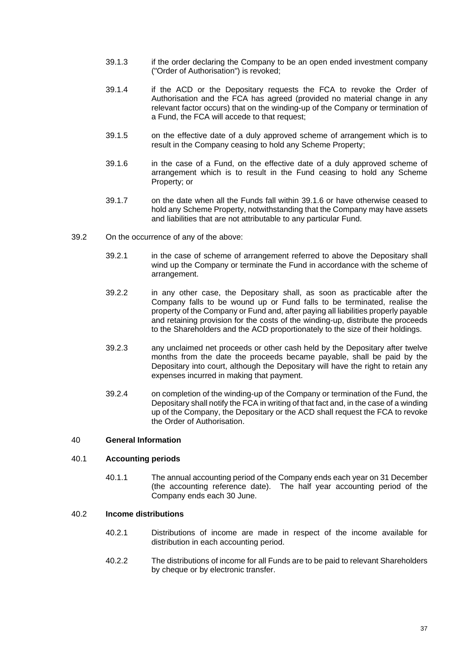- 39.1.3 if the order declaring the Company to be an open ended investment company ("Order of Authorisation") is revoked;
- 39.1.4 if the ACD or the Depositary requests the FCA to revoke the Order of Authorisation and the FCA has agreed (provided no material change in any relevant factor occurs) that on the winding-up of the Company or termination of a Fund, the FCA will accede to that request;
- 39.1.5 on the effective date of a duly approved scheme of arrangement which is to result in the Company ceasing to hold any Scheme Property;
- <span id="page-36-1"></span>39.1.6 in the case of a Fund, on the effective date of a duly approved scheme of arrangement which is to result in the Fund ceasing to hold any Scheme Property; or
- 39.1.7 on the date when all the Funds fall within [39.1.6](#page-36-1) or have otherwise ceased to hold any Scheme Property, notwithstanding that the Company may have assets and liabilities that are not attributable to any particular Fund.
- 39.2 On the occurrence of any of the above:
	- 39.2.1 in the case of scheme of arrangement referred to above the Depositary shall wind up the Company or terminate the Fund in accordance with the scheme of arrangement.
	- 39.2.2 in any other case, the Depositary shall, as soon as practicable after the Company falls to be wound up or Fund falls to be terminated, realise the property of the Company or Fund and, after paying all liabilities properly payable and retaining provision for the costs of the winding-up, distribute the proceeds to the Shareholders and the ACD proportionately to the size of their holdings.
	- 39.2.3 any unclaimed net proceeds or other cash held by the Depositary after twelve months from the date the proceeds became payable, shall be paid by the Depositary into court, although the Depositary will have the right to retain any expenses incurred in making that payment.
	- 39.2.4 on completion of the winding-up of the Company or termination of the Fund, the Depositary shall notify the FCA in writing of that fact and, in the case of a winding up of the Company, the Depositary or the ACD shall request the FCA to revoke the Order of Authorisation.

## <span id="page-36-0"></span>40 **General Information**

#### 40.1 **Accounting periods**

40.1.1 The annual accounting period of the Company ends each year on 31 December (the accounting reference date). The half year accounting period of the Company ends each 30 June.

#### 40.2 **Income distributions**

- 40.2.1 Distributions of income are made in respect of the income available for distribution in each accounting period.
- 40.2.2 The distributions of income for all Funds are to be paid to relevant Shareholders by cheque or by electronic transfer.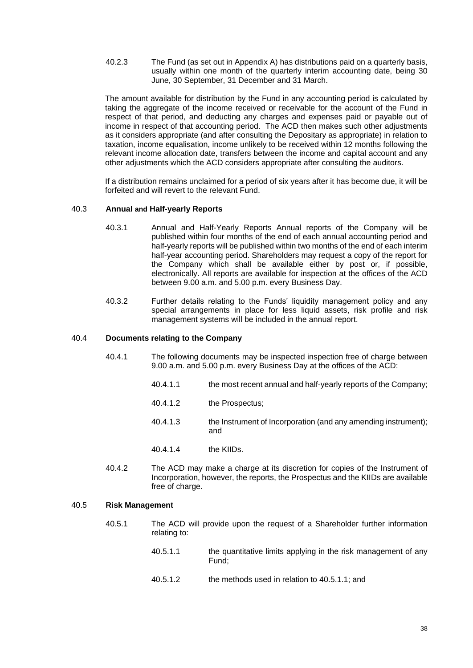40.2.3 The Fund (as set out in Appendix A) has distributions paid on a quarterly basis, usually within one month of the quarterly interim accounting date, being 30 June, 30 September, 31 December and 31 March.

The amount available for distribution by the Fund in any accounting period is calculated by taking the aggregate of the income received or receivable for the account of the Fund in respect of that period, and deducting any charges and expenses paid or payable out of income in respect of that accounting period. The ACD then makes such other adjustments as it considers appropriate (and after consulting the Depositary as appropriate) in relation to taxation, income equalisation, income unlikely to be received within 12 months following the relevant income allocation date, transfers between the income and capital account and any other adjustments which the ACD considers appropriate after consulting the auditors.

If a distribution remains unclaimed for a period of six years after it has become due, it will be forfeited and will revert to the relevant Fund.

# 40.3 **Annual and Half-yearly Reports**

- 40.3.1 Annual and Half-Yearly Reports Annual reports of the Company will be published within four months of the end of each annual accounting period and half-yearly reports will be published within two months of the end of each interim half-year accounting period. Shareholders may request a copy of the report for the Company which shall be available either by post or, if possible, electronically. All reports are available for inspection at the offices of the ACD between 9.00 a.m. and 5.00 p.m. every Business Day.
- 40.3.2 Further details relating to the Funds' liquidity management policy and any special arrangements in place for less liquid assets, risk profile and risk management systems will be included in the annual report.

#### 40.4 **Documents relating to the Company**

- 40.4.1 The following documents may be inspected inspection free of charge between 9.00 a.m. and 5.00 p.m. every Business Day at the offices of the ACD:
	- 40.4.1.1 the most recent annual and half-yearly reports of the Company;
		- 40.4.1.2 the Prospectus;
		- 40.4.1.3 the Instrument of Incorporation (and any amending instrument); and
	- 40.4.1.4 the KIIDs.
- 40.4.2 The ACD may make a charge at its discretion for copies of the Instrument of Incorporation, however, the reports, the Prospectus and the KIIDs are available free of charge.

#### <span id="page-37-0"></span>40.5 **Risk Management**

- <span id="page-37-1"></span>40.5.1 The ACD will provide upon the request of a Shareholder further information relating to:
	- 40.5.1.1 the quantitative limits applying in the risk management of any Fund;
	- 40.5.1.2 the methods used in relation to [40.5.1.1;](#page-37-1) and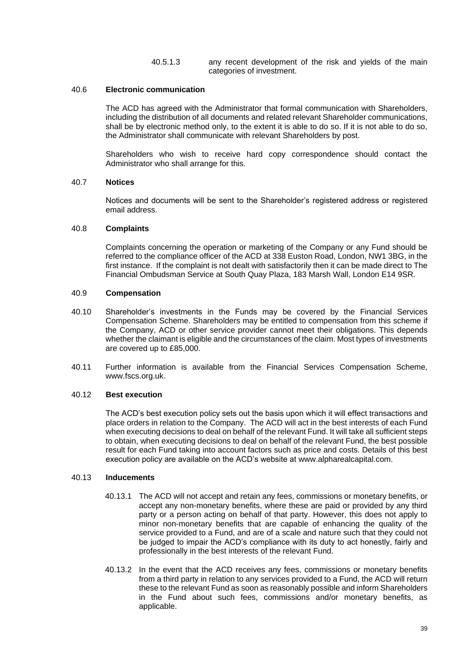40.5.1.3 any recent development of the risk and yields of the main categories of investment.

### 40.6 **Electronic communication**

The ACD has agreed with the Administrator that formal communication with Shareholders, including the distribution of all documents and related relevant Shareholder communications, shall be by electronic method only, to the extent it is able to do so. If it is not able to do so, the Administrator shall communicate with relevant Shareholders by post.

Shareholders who wish to receive hard copy correspondence should contact the Administrator who shall arrange for this.

# 40.7 **Notices**

Notices and documents will be sent to the Shareholder's registered address or registered email address.

#### 40.8 **Complaints**

Complaints concerning the operation or marketing of the Company or any Fund should be referred to the compliance officer of the ACD at 338 Euston Road, London, NW1 3BG, in the first instance. If the complaint is not dealt with satisfactorily then it can be made direct to The Financial Ombudsman Service at South Quay Plaza, 183 Marsh Wall, London E14 9SR.

# 40.9 **Compensation**

- 40.10 Shareholder's investments in the Funds may be covered by the Financial Services Compensation Scheme. Shareholders may be entitled to compensation from this scheme if the Company, ACD or other service provider cannot meet their obligations. This depends whether the claimant is eligible and the circumstances of the claim. Most types of investments are covered up to £85,000.
- 40.11 Further information is available from the Financial Services Compensation Scheme, [www.fscs.org.uk.](http://www.fscs.org.uk/)

# 40.12 **Best execution**

The ACD's best execution policy sets out the basis upon which it will effect transactions and place orders in relation to the Company. The ACD will act in the best interests of each Fund when executing decisions to deal on behalf of the relevant Fund. It will take all sufficient steps to obtain, when executing decisions to deal on behalf of the relevant Fund, the best possible result for each Fund taking into account factors such as price and costs. Details of this best execution policy are available on the ACD's website at www.alpharealcapital.com.

# 40.13 **Inducements**

- 40.13.1 The ACD will not accept and retain any fees, commissions or monetary benefits, or accept any non-monetary benefits, where these are paid or provided by any third party or a person acting on behalf of that party. However, this does not apply to minor non-monetary benefits that are capable of enhancing the quality of the service provided to a Fund, and are of a scale and nature such that they could not be judged to impair the ACD's compliance with its duty to act honestly, fairly and professionally in the best interests of the relevant Fund.
- 40.13.2 In the event that the ACD receives any fees, commissions or monetary benefits from a third party in relation to any services provided to a Fund, the ACD will return these to the relevant Fund as soon as reasonably possible and inform Shareholders in the Fund about such fees, commissions and/or monetary benefits, as applicable.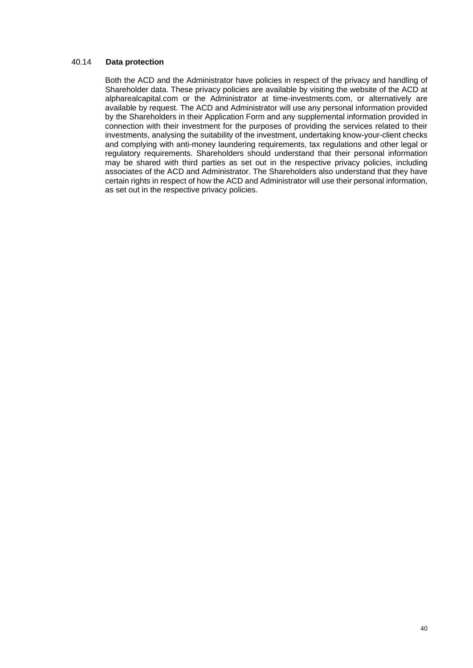### 40.14 **Data protection**

Both the ACD and the Administrator have policies in respect of the privacy and handling of Shareholder data. These privacy policies are available by visiting the website of the ACD at alpharealcapital.com or the Administrator at time-investments.com, or alternatively are available by request. The ACD and Administrator will use any personal information provided by the Shareholders in their Application Form and any supplemental information provided in connection with their investment for the purposes of providing the services related to their investments, analysing the suitability of the investment, undertaking know-your-client checks and complying with anti-money laundering requirements, tax regulations and other legal or regulatory requirements. Shareholders should understand that their personal information may be shared with third parties as set out in the respective privacy policies, including associates of the ACD and Administrator. The Shareholders also understand that they have certain rights in respect of how the ACD and Administrator will use their personal information, as set out in the respective privacy policies.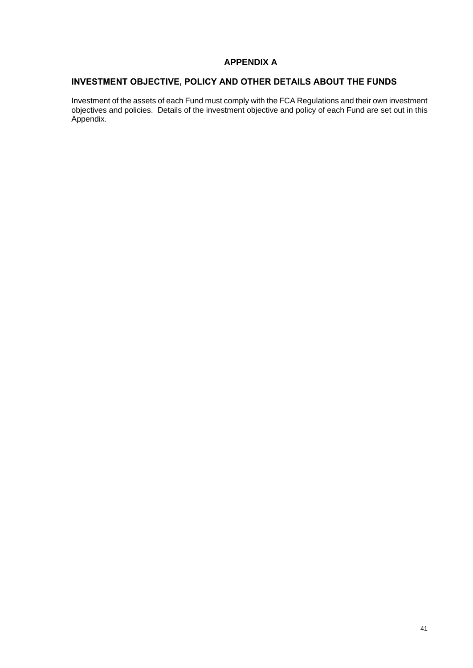# **.APPENDIX A**

# **INVESTMENT OBJECTIVE, POLICY AND OTHER DETAILS ABOUT THE FUNDS**

Investment of the assets of each Fund must comply with the FCA Regulations and their own investment objectives and policies. Details of the investment objective and policy of each Fund are set out in this Appendix.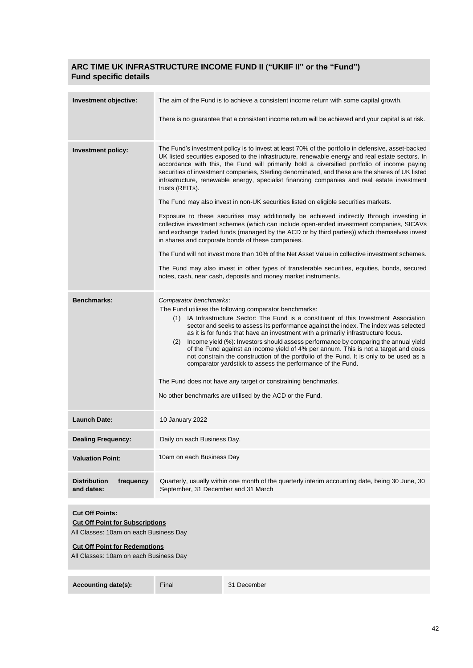# **ARC TIME UK INFRASTRUCTURE INCOME FUND II ("UKIIF II" or the "Fund") Fund specific details**

| Investment objective:                                                                                                                                                                        | The aim of the Fund is to achieve a consistent income return with some capital growth.                                                                                                                                                                                                                                                                                                                                                                                                                                                                                                                                                                                                                                                                                                                                             |
|----------------------------------------------------------------------------------------------------------------------------------------------------------------------------------------------|------------------------------------------------------------------------------------------------------------------------------------------------------------------------------------------------------------------------------------------------------------------------------------------------------------------------------------------------------------------------------------------------------------------------------------------------------------------------------------------------------------------------------------------------------------------------------------------------------------------------------------------------------------------------------------------------------------------------------------------------------------------------------------------------------------------------------------|
|                                                                                                                                                                                              | There is no guarantee that a consistent income return will be achieved and your capital is at risk.                                                                                                                                                                                                                                                                                                                                                                                                                                                                                                                                                                                                                                                                                                                                |
|                                                                                                                                                                                              |                                                                                                                                                                                                                                                                                                                                                                                                                                                                                                                                                                                                                                                                                                                                                                                                                                    |
| <b>Investment policy:</b>                                                                                                                                                                    | The Fund's investment policy is to invest at least 70% of the portfolio in defensive, asset-backed<br>UK listed securities exposed to the infrastructure, renewable energy and real estate sectors. In<br>accordance with this, the Fund will primarily hold a diversified portfolio of income paying<br>securities of investment companies, Sterling denominated, and these are the shares of UK listed<br>infrastructure, renewable energy, specialist financing companies and real estate investment<br>trusts (REITs).                                                                                                                                                                                                                                                                                                         |
|                                                                                                                                                                                              | The Fund may also invest in non-UK securities listed on eligible securities markets.                                                                                                                                                                                                                                                                                                                                                                                                                                                                                                                                                                                                                                                                                                                                               |
|                                                                                                                                                                                              | Exposure to these securities may additionally be achieved indirectly through investing in<br>collective investment schemes (which can include open-ended investment companies, SICAVs<br>and exchange traded funds (managed by the ACD or by third parties)) which themselves invest<br>in shares and corporate bonds of these companies.                                                                                                                                                                                                                                                                                                                                                                                                                                                                                          |
|                                                                                                                                                                                              | The Fund will not invest more than 10% of the Net Asset Value in collective investment schemes.                                                                                                                                                                                                                                                                                                                                                                                                                                                                                                                                                                                                                                                                                                                                    |
|                                                                                                                                                                                              | The Fund may also invest in other types of transferable securities, equities, bonds, secured<br>notes, cash, near cash, deposits and money market instruments.                                                                                                                                                                                                                                                                                                                                                                                                                                                                                                                                                                                                                                                                     |
| <b>Benchmarks:</b>                                                                                                                                                                           | Comparator benchmarks:<br>The Fund utilises the following comparator benchmarks:<br>(1) IA Infrastructure Sector: The Fund is a constituent of this Investment Association<br>sector and seeks to assess its performance against the index. The index was selected<br>as it is for funds that have an investment with a primarily infrastructure focus.<br>Income yield (%): Investors should assess performance by comparing the annual yield<br>(2)<br>of the Fund against an income yield of 4% per annum. This is not a target and does<br>not constrain the construction of the portfolio of the Fund. It is only to be used as a<br>comparator yardstick to assess the performance of the Fund.<br>The Fund does not have any target or constraining benchmarks.<br>No other benchmarks are utilised by the ACD or the Fund. |
| <b>Launch Date:</b>                                                                                                                                                                          | 10 January 2022                                                                                                                                                                                                                                                                                                                                                                                                                                                                                                                                                                                                                                                                                                                                                                                                                    |
| <b>Dealing Frequency:</b>                                                                                                                                                                    | Daily on each Business Day.                                                                                                                                                                                                                                                                                                                                                                                                                                                                                                                                                                                                                                                                                                                                                                                                        |
| <b>Valuation Point:</b>                                                                                                                                                                      | 10am on each Business Day                                                                                                                                                                                                                                                                                                                                                                                                                                                                                                                                                                                                                                                                                                                                                                                                          |
| <b>Distribution</b><br>frequency<br>and dates:                                                                                                                                               | Quarterly, usually within one month of the quarterly interim accounting date, being 30 June, 30<br>September, 31 December and 31 March                                                                                                                                                                                                                                                                                                                                                                                                                                                                                                                                                                                                                                                                                             |
| <b>Cut Off Points:</b><br><b>Cut Off Point for Subscriptions</b><br>All Classes: 10am on each Business Day<br><b>Cut Off Point for Redemptions</b><br>All Classes: 10am on each Business Day |                                                                                                                                                                                                                                                                                                                                                                                                                                                                                                                                                                                                                                                                                                                                                                                                                                    |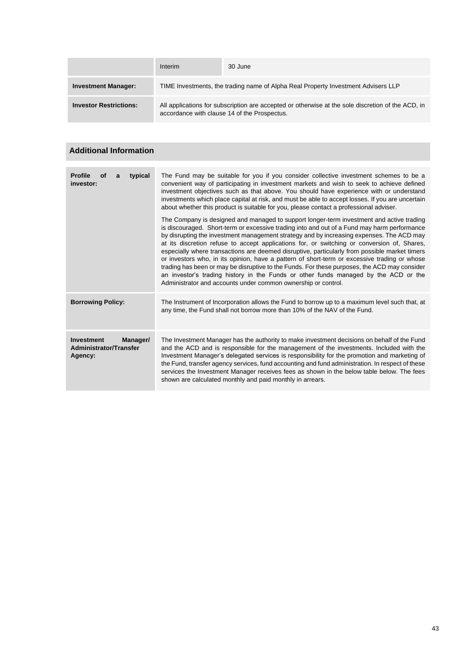|                               | Interim                                                                                                                                           | 30 June |  |
|-------------------------------|---------------------------------------------------------------------------------------------------------------------------------------------------|---------|--|
| <b>Investment Manager:</b>    | TIME Investments, the trading name of Alpha Real Property Investment Advisers LLP                                                                 |         |  |
| <b>Investor Restrictions:</b> | All applications for subscription are accepted or otherwise at the sole discretion of the ACD, in<br>accordance with clause 14 of the Prospectus. |         |  |

# **Additional Information**

| <b>Profile</b><br>typical<br>Οf<br>a<br>investor:                  | The Fund may be suitable for you if you consider collective investment schemes to be a<br>convenient way of participating in investment markets and wish to seek to achieve defined<br>investment objectives such as that above. You should have experience with or understand<br>investments which place capital at risk, and must be able to accept losses. If you are uncertain<br>about whether this product is suitable for you, please contact a professional adviser.<br>The Company is designed and managed to support longer-term investment and active trading<br>is discouraged. Short-term or excessive trading into and out of a Fund may harm performance<br>by disrupting the investment management strategy and by increasing expenses. The ACD may<br>at its discretion refuse to accept applications for, or switching or conversion of, Shares,<br>especially where transactions are deemed disruptive, particularly from possible market timers<br>or investors who, in its opinion, have a pattern of short-term or excessive trading or whose<br>trading has been or may be disruptive to the Funds. For these purposes, the ACD may consider<br>an investor's trading history in the Funds or other funds managed by the ACD or the<br>Administrator and accounts under common ownership or control. |
|--------------------------------------------------------------------|-----------------------------------------------------------------------------------------------------------------------------------------------------------------------------------------------------------------------------------------------------------------------------------------------------------------------------------------------------------------------------------------------------------------------------------------------------------------------------------------------------------------------------------------------------------------------------------------------------------------------------------------------------------------------------------------------------------------------------------------------------------------------------------------------------------------------------------------------------------------------------------------------------------------------------------------------------------------------------------------------------------------------------------------------------------------------------------------------------------------------------------------------------------------------------------------------------------------------------------------------------------------------------------------------------------------------------|
| <b>Borrowing Policy:</b>                                           | The Instrument of Incorporation allows the Fund to borrow up to a maximum level such that, at<br>any time, the Fund shall not borrow more than 10% of the NAV of the Fund.                                                                                                                                                                                                                                                                                                                                                                                                                                                                                                                                                                                                                                                                                                                                                                                                                                                                                                                                                                                                                                                                                                                                                  |
| <b>Investment</b><br>Manager/<br>Administrator/Transfer<br>Agency: | The Investment Manager has the authority to make investment decisions on behalf of the Fund<br>and the ACD and is responsible for the management of the investments. Included with the<br>Investment Manager's delegated services is responsibility for the promotion and marketing of<br>the Fund, transfer agency services, fund accounting and fund administration. In respect of these<br>services the Investment Manager receives fees as shown in the below table below. The fees<br>shown are calculated monthly and paid monthly in arrears.                                                                                                                                                                                                                                                                                                                                                                                                                                                                                                                                                                                                                                                                                                                                                                        |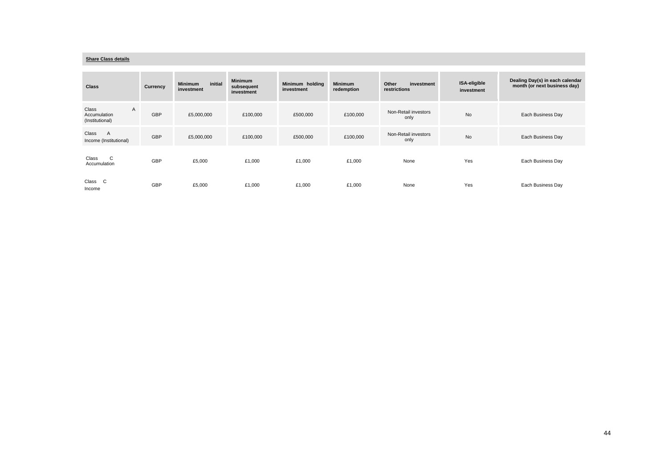#### **Share Class details**

| <b>Class</b>                                  | <b>Currency</b> | initial<br><b>Minimum</b><br>investment | <b>Minimum</b><br>subsequent<br>investment | Minimum holding<br>investment | <b>Minimum</b><br>redemption | Other<br>investment<br>restrictions | ISA-eligible<br>investment | Dealing Day(s) in each calendar<br>month (or next business day) |
|-----------------------------------------------|-----------------|-----------------------------------------|--------------------------------------------|-------------------------------|------------------------------|-------------------------------------|----------------------------|-----------------------------------------------------------------|
| Class<br>A<br>Accumulation<br>(Institutional) | <b>GBP</b>      | £5,000,000                              | £100,000                                   | £500,000                      | £100,000                     | Non-Retail investors<br>only        | <b>No</b>                  | Each Business Day                                               |
| Class<br>A<br>Income (Institutional)          | GBP             | £5,000,000                              | £100,000                                   | £500,000                      | £100,000                     | Non-Retail investors<br>only        | <b>No</b>                  | Each Business Day                                               |
| C<br>Class<br>Accumulation                    | GBP             | £5,000                                  | £1,000                                     | £1,000                        | £1,000                       | None                                | Yes                        | Each Business Day                                               |
| Class<br>C<br>Income                          | GBP             | £5,000                                  | £1,000                                     | £1,000                        | £1,000                       | None                                | Yes                        | Each Business Day                                               |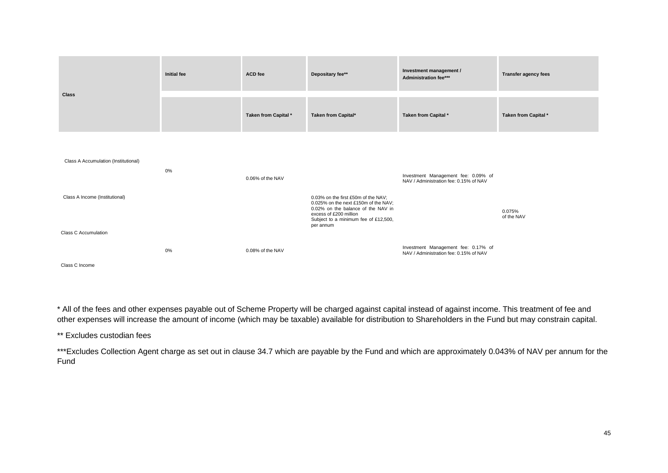|                                      | <b>Initial fee</b> | ACD fee              | Depositary fee**                                                                                                                                                                                 | Investment management /<br>Administration fee***                              | <b>Transfer agency fees</b> |
|--------------------------------------|--------------------|----------------------|--------------------------------------------------------------------------------------------------------------------------------------------------------------------------------------------------|-------------------------------------------------------------------------------|-----------------------------|
| <b>Class</b>                         |                    | Taken from Capital * | Taken from Capital*                                                                                                                                                                              | Taken from Capital *                                                          | Taken from Capital *        |
| Class A Accumulation (Institutional) | 0%                 | 0.06% of the NAV     |                                                                                                                                                                                                  | Investment Management fee: 0.09% of<br>NAV / Administration fee: 0.15% of NAV |                             |
| Class A Income (Institutional)       |                    |                      | 0.03% on the first £50m of the NAV;<br>0.025% on the next £150m of the NAV;<br>0.02% on the balance of the NAV in<br>excess of £200 million<br>Subject to a minimum fee of £12,500,<br>per annum |                                                                               | 0.075%<br>of the NAV        |
| <b>Class C Accumulation</b>          | $0\%$              | 0.08% of the NAV     |                                                                                                                                                                                                  | Investment Management fee: 0.17% of<br>NAV / Administration fee: 0.15% of NAV |                             |
| Class C Income                       |                    |                      |                                                                                                                                                                                                  |                                                                               |                             |

\* All of the fees and other expenses payable out of Scheme Property will be charged against capital instead of against income. This treatment of fee and other expenses will increase the amount of income (which may be taxable) available for distribution to Shareholders in the Fund but may constrain capital.

\*\* Excludes custodian fees

\*\*\*Excludes Collection Agent charge as set out in clause 34.7 which are payable by the Fund and which are approximately 0.043% of NAV per annum for the Fund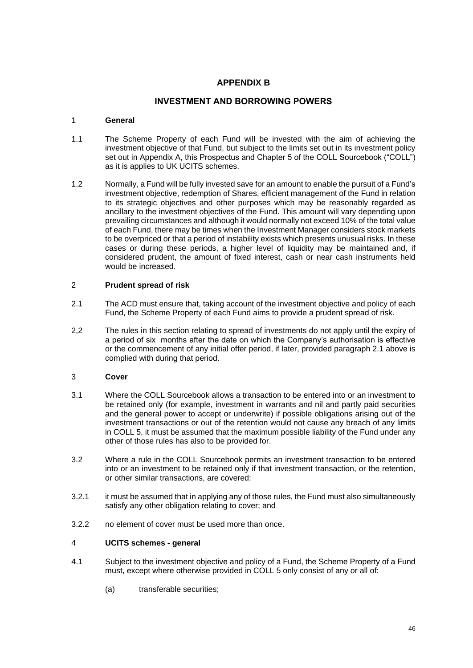# **APPENDIX B**

# **INVESTMENT AND BORROWING POWERS**

# 1 **General**

- 1.1 The Scheme Property of each Fund will be invested with the aim of achieving the investment objective of that Fund, but subject to the limits set out in its investment policy set out in Appendix A, this Prospectus and Chapter 5 of the COLL Sourcebook ("COLL") as it is applies to UK UCITS schemes.
- 1.2 Normally, a Fund will be fully invested save for an amount to enable the pursuit of a Fund's investment objective, redemption of Shares, efficient management of the Fund in relation to its strategic objectives and other purposes which may be reasonably regarded as ancillary to the investment objectives of the Fund. This amount will vary depending upon prevailing circumstances and although it would normally not exceed 10% of the total value of each Fund, there may be times when the Investment Manager considers stock markets to be overpriced or that a period of instability exists which presents unusual risks. In these cases or during these periods, a higher level of liquidity may be maintained and, if considered prudent, the amount of fixed interest, cash or near cash instruments held would be increased.

# <span id="page-45-0"></span>2 **Prudent spread of risk**

- 2.1 The ACD must ensure that, taking account of the investment objective and policy of each Fund, the Scheme Property of each Fund aims to provide a prudent spread of risk.
- 2,2 The rules in this section relating to spread of investments do not apply until the expiry of a period of six months after the date on which the Company's authorisation is effective or the commencement of any initial offer period, if later, provided paragraph 2.1 above is complied with during that period.

# 3 **Cover**

- 3.1 Where the COLL Sourcebook allows a transaction to be entered into or an investment to be retained only (for example, investment in warrants and nil and partly paid securities and the general power to accept or underwrite) if possible obligations arising out of the investment transactions or out of the retention would not cause any breach of any limits in COLL 5, it must be assumed that the maximum possible liability of the Fund under any other of those rules has also to be provided for.
- 3.2 Where a rule in the COLL Sourcebook permits an investment transaction to be entered into or an investment to be retained only if that investment transaction, or the retention, or other similar transactions, are covered:
- 3.2.1 it must be assumed that in applying any of those rules, the Fund must also simultaneously satisfy any other obligation relating to cover; and
- 3.2.2 no element of cover must be used more than once.

# 4 **UCITS schemes - general**

- 4.1 Subject to the investment objective and policy of a Fund, the Scheme Property of a Fund must, except where otherwise provided in COLL 5 only consist of any or all of:
	- (a) transferable securities;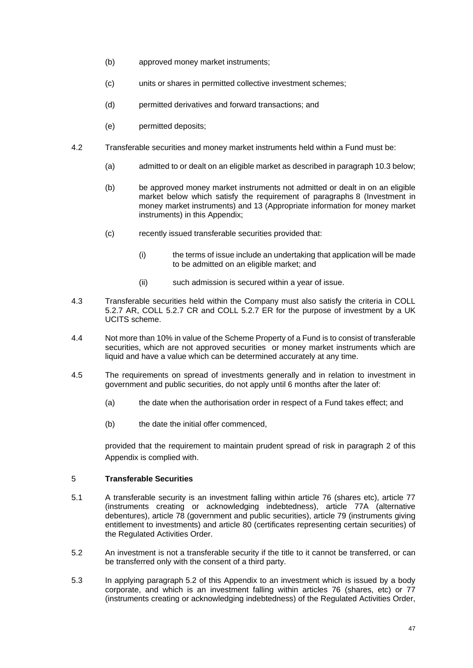- (b) approved money market instruments;
- (c) units or shares in permitted collective investment schemes;
- (d) permitted derivatives and forward transactions; and
- (e) permitted deposits;
- 4.2 Transferable securities and money market instruments held within a Fund must be:
	- (a) admitted to or dealt on an eligible market as described in paragrap[h 10.3](#page-49-0) below;
	- (b) be approved money market instruments not admitted or dealt in on an eligible market below which satisfy the requirement of paragraphs [8](#page-48-0) (Investment in money market instruments) and [13](#page-51-0) (Appropriate information for money market instruments) in this Appendix;
	- (c) recently issued transferable securities provided that:
		- (i) the terms of issue include an undertaking that application will be made to be admitted on an eligible market; and
		- (ii) such admission is secured within a year of issue.
- 4.3 Transferable securities held within the Company must also satisfy the criteria in COLL 5.2.7 AR, COLL 5.2.7 CR and COLL 5.2.7 ER for the purpose of investment by a UK UCITS scheme.
- 4.4 Not more than 10% in value of the Scheme Property of a Fund is to consist of transferable securities, which are not approved securities or money market instruments which are liquid and have a value which can be determined accurately at any time.
- 4.5 The requirements on spread of investments generally and in relation to investment in government and public securities, do not apply until 6 months after the later of:
	- (a) the date when the authorisation order in respect of a Fund takes effect; and
	- (b) the date the initial offer commenced,

provided that the requirement to maintain prudent spread of risk in paragraph [2](#page-45-0) of this Appendix is complied with.

# 5 **Transferable Securities**

- 5.1 A transferable security is an investment falling within article 76 (shares etc), article 77 (instruments creating or acknowledging indebtedness), article 77A (alternative debentures), article 78 (government and public securities), article 79 (instruments giving entitlement to investments) and article 80 (certificates representing certain securities) of the Regulated Activities Order.
- <span id="page-46-0"></span>5.2 An investment is not a transferable security if the title to it cannot be transferred, or can be transferred only with the consent of a third party.
- 5.3 In applying paragraph [5.2](#page-46-0) of this Appendix to an investment which is issued by a body corporate, and which is an investment falling within articles 76 (shares, etc) or 77 (instruments creating or acknowledging indebtedness) of the Regulated Activities Order,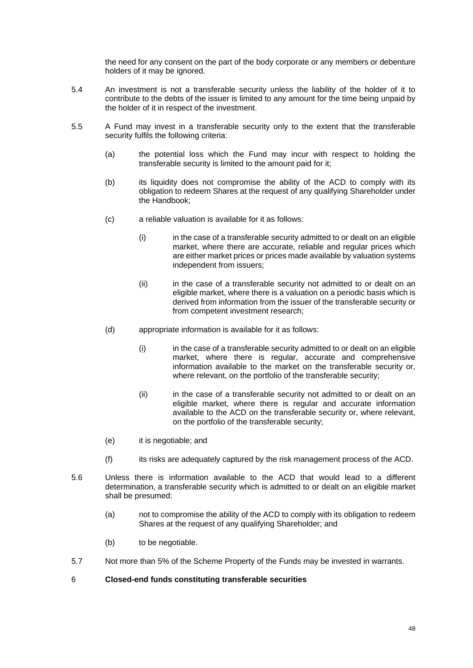the need for any consent on the part of the body corporate or any members or debenture holders of it may be ignored.

- 5.4 An investment is not a transferable security unless the liability of the holder of it to contribute to the debts of the issuer is limited to any amount for the time being unpaid by the holder of it in respect of the investment.
- <span id="page-47-0"></span>5.5 A Fund may invest in a transferable security only to the extent that the transferable security fulfils the following criteria:
	- (a) the potential loss which the Fund may incur with respect to holding the transferable security is limited to the amount paid for it;
	- (b) its liquidity does not compromise the ability of the ACD to comply with its obligation to redeem Shares at the request of any qualifying Shareholder under the Handbook;
	- (c) a reliable valuation is available for it as follows:
		- (i) in the case of a transferable security admitted to or dealt on an eligible market, where there are accurate, reliable and regular prices which are either market prices or prices made available by valuation systems independent from issuers;
		- (ii) in the case of a transferable security not admitted to or dealt on an eligible market, where there is a valuation on a periodic basis which is derived from information from the issuer of the transferable security or from competent investment research;
	- (d) appropriate information is available for it as follows:
		- (i) in the case of a transferable security admitted to or dealt on an eligible market, where there is regular, accurate and comprehensive information available to the market on the transferable security or, where relevant, on the portfolio of the transferable security;
		- (ii) in the case of a transferable security not admitted to or dealt on an eligible market, where there is regular and accurate information available to the ACD on the transferable security or, where relevant, on the portfolio of the transferable security;
	- (e) it is negotiable; and
	- (f) its risks are adequately captured by the risk management process of the ACD.
- <span id="page-47-1"></span>5.6 Unless there is information available to the ACD that would lead to a different determination, a transferable security which is admitted to or dealt on an eligible market shall be presumed:
	- (a) not to compromise the ability of the ACD to comply with its obligation to redeem Shares at the request of any qualifying Shareholder; and
	- (b) to be negotiable.
- 5.7 Not more than 5% of the Scheme Property of the Funds may be invested in warrants.

# 6 **Closed-end funds constituting transferable securities**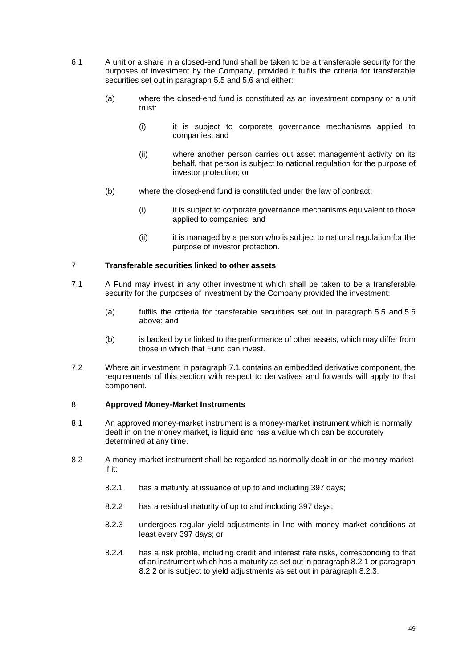- 6.1 A unit or a share in a closed-end fund shall be taken to be a transferable security for the purposes of investment by the Company, provided it fulfils the criteria for transferable securities set out in paragraph [5.5](#page-47-0) and [5.6](#page-47-1) and either:
	- (a) where the closed-end fund is constituted as an investment company or a unit trust:
		- (i) it is subject to corporate governance mechanisms applied to companies; and
		- (ii) where another person carries out asset management activity on its behalf, that person is subject to national regulation for the purpose of investor protection; or
	- (b) where the closed-end fund is constituted under the law of contract:
		- (i) it is subject to corporate governance mechanisms equivalent to those applied to companies; and
		- (ii) it is managed by a person who is subject to national regulation for the purpose of investor protection.

# 7 **Transferable securities linked to other assets**

- <span id="page-48-1"></span>7.1 A Fund may invest in any other investment which shall be taken to be a transferable security for the purposes of investment by the Company provided the investment:
	- (a) fulfils the criteria for transferable securities set out in paragraph [5.5](#page-47-0) and [5.6](#page-47-1) above; and
	- (b) is backed by or linked to the performance of other assets, which may differ from those in which that Fund can invest.
- 7.2 Where an investment in paragraph [7.1](#page-48-1) contains an embedded derivative component, the requirements of this section with respect to derivatives and forwards will apply to that component.

# <span id="page-48-0"></span>8 **Approved Money-Market Instruments**

- 8.1 An approved money-market instrument is a money-market instrument which is normally dealt in on the money market, is liquid and has a value which can be accurately determined at any time.
- <span id="page-48-4"></span><span id="page-48-3"></span><span id="page-48-2"></span>8.2 A money-market instrument shall be regarded as normally dealt in on the money market if it:
	- 8.2.1 has a maturity at issuance of up to and including 397 days;
	- 8.2.2 has a residual maturity of up to and including 397 days;
	- 8.2.3 undergoes regular yield adjustments in line with money market conditions at least every 397 days; or
	- 8.2.4 has a risk profile, including credit and interest rate risks, corresponding to that of an instrument which has a maturity as set out in paragrap[h 8.2.1](#page-48-2) or paragraph [8.2.2](#page-48-3) or is subject to yield adjustments as set out in paragraph [8.2.3.](#page-48-4)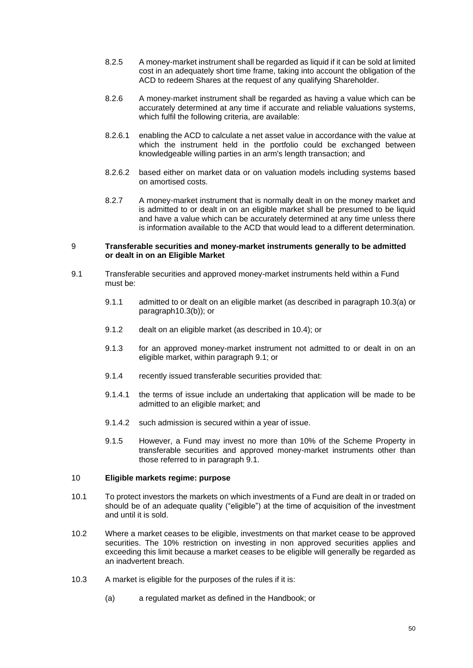- 8.2.5 A money-market instrument shall be regarded as liquid if it can be sold at limited cost in an adequately short time frame, taking into account the obligation of the ACD to redeem Shares at the request of any qualifying Shareholder.
- 8.2.6 A money-market instrument shall be regarded as having a value which can be accurately determined at any time if accurate and reliable valuations systems, which fulfil the following criteria, are available:
- 8.2.6.1 enabling the ACD to calculate a net asset value in accordance with the value at which the instrument held in the portfolio could be exchanged between knowledgeable willing parties in an arm's length transaction; and
- 8.2.6.2 based either on market data or on valuation models including systems based on amortised costs.
- 8.2.7 A money-market instrument that is normally dealt in on the money market and is admitted to or dealt in on an eligible market shall be presumed to be liquid and have a value which can be accurately determined at any time unless there is information available to the ACD that would lead to a different determination.

### 9 **Transferable securities and money-market instruments generally to be admitted or dealt in on an Eligible Market**

- <span id="page-49-2"></span>9.1 Transferable securities and approved money-market instruments held within a Fund must be:
	- 9.1.1 admitted to or dealt on an eligible market (as described in paragraph [10.3\(a\)](#page-49-1) or paragrap[h10.3\(b\)\)](#page-50-0); or
	- 9.1.2 dealt on an eligible market (as described in [10.4\)](#page-50-1); or
	- 9.1.3 for an approved money-market instrument not admitted to or dealt in on an eligible market, within paragraph [9.1;](#page-49-2) or
	- 9.1.4 recently issued transferable securities provided that:
	- 9.1.4.1 the terms of issue include an undertaking that application will be made to be admitted to an eligible market; and
	- 9.1.4.2 such admission is secured within a year of issue.
	- 9.1.5 However, a Fund may invest no more than 10% of the Scheme Property in transferable securities and approved money-market instruments other than those referred to in paragraph [9.1.](#page-49-2)

# 10 **Eligible markets regime: purpose**

- 10.1 To protect investors the markets on which investments of a Fund are dealt in or traded on should be of an adequate quality ("eligible") at the time of acquisition of the investment and until it is sold.
- 10.2 Where a market ceases to be eligible, investments on that market cease to be approved securities. The 10% restriction on investing in non approved securities applies and exceeding this limit because a market ceases to be eligible will generally be regarded as an inadvertent breach.
- <span id="page-49-1"></span><span id="page-49-0"></span>10.3 A market is eligible for the purposes of the rules if it is:
	- (a) a regulated market as defined in the Handbook; or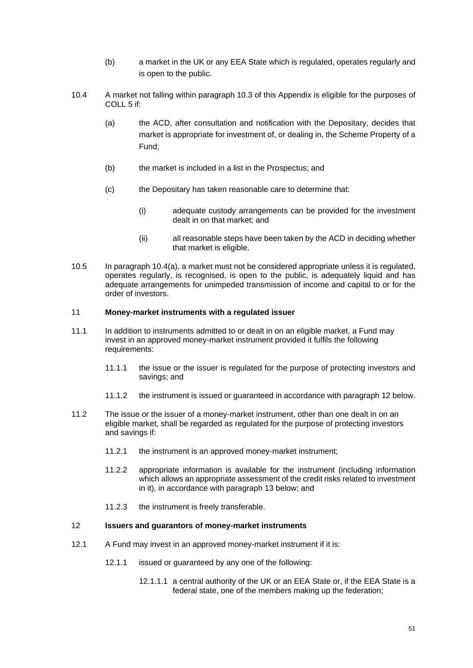- (b) a market in the UK or any EEA State which is regulated, operates regularly and is open to the public.
- <span id="page-50-2"></span><span id="page-50-1"></span><span id="page-50-0"></span>10.4 A market not falling within paragraph [10.3](#page-49-0) of this Appendix is eligible for the purposes of COLL 5 if:
	- (a) the ACD, after consultation and notification with the Depositary, decides that market is appropriate for investment of, or dealing in, the Scheme Property of a Fund;
	- (b) the market is included in a list in the Prospectus; and
	- (c) the Depositary has taken reasonable care to determine that:
		- (i) adequate custody arrangements can be provided for the investment dealt in on that market; and
		- (ii) all reasonable steps have been taken by the ACD in deciding whether that market is eligible.
- 10.5 In paragraph [10.4\(a\),](#page-50-2) a market must not be considered appropriate unless it is regulated, operates regularly, is recognised, is open to the public, is adequately liquid and has adequate arrangements for unimpeded transmission of income and capital to or for the order of investors.

# 11 **Money-market instruments with a regulated issuer**

- 11.1 In addition to instruments admitted to or dealt in on an eligible market, a Fund may invest in an approved money-market instrument provided it fulfils the following requirements:
	- 11.1.1 the issue or the issuer is regulated for the purpose of protecting investors and savings; and
	- 11.1.2 the instrument is issued or guaranteed in accordance with paragraph [12](#page-50-3) below.
- 11.2 The issue or the issuer of a money-market instrument, other than one dealt in on an eligible market, shall be regarded as regulated for the purpose of protecting investors and savings if:
	- 11.2.1 the instrument is an approved money-market instrument;
	- 11.2.2 appropriate information is available for the instrument (including information which allows an appropriate assessment of the credit risks related to investment in it), in accordance with paragraph [13](#page-51-0) below; and
	- 11.2.3 the instrument is freely transferable.

# <span id="page-50-3"></span>12 **Issuers and guarantors of money-market instruments**

- <span id="page-50-4"></span>12.1 A Fund may invest in an approved money-market instrument if it is:
	- 12.1.1 issued or guaranteed by any one of the following:
		- 12.1.1.1 a central authority of the UK or an EEA State or, if the EEA State is a federal state, one of the members making up the federation;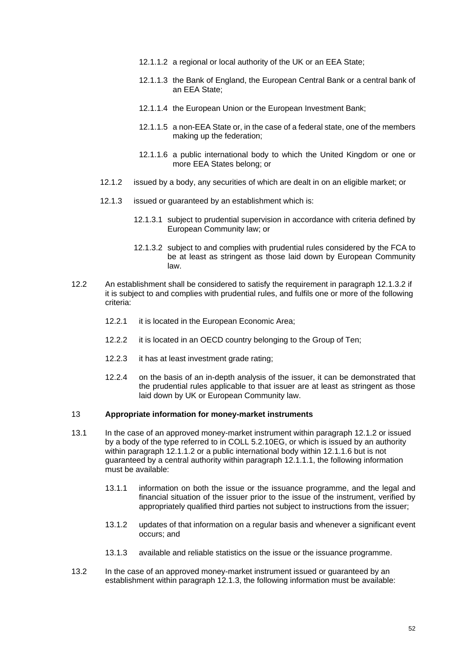- <span id="page-51-3"></span>12.1.1.2 a regional or local authority of the UK or an EEA State;
- 12.1.1.3 the Bank of England, the European Central Bank or a central bank of an EEA State;
- <span id="page-51-6"></span>12.1.1.4 the European Union or the European Investment Bank;
- 12.1.1.5 a non-EEA State or, in the case of a federal state, one of the members making up the federation;
- 12.1.1.6 a public international body to which the United Kingdom or one or more EEA States belong; or
- <span id="page-51-7"></span><span id="page-51-4"></span><span id="page-51-2"></span>12.1.2 issued by a body, any securities of which are dealt in on an eligible market; or
- <span id="page-51-5"></span>12.1.3 issued or guaranteed by an establishment which is:
	- 12.1.3.1 subject to prudential supervision in accordance with criteria defined by European Community law; or
	- 12.1.3.2 subject to and complies with prudential rules considered by the FCA to be at least as stringent as those laid down by European Community law.
- <span id="page-51-1"></span>12.2 An establishment shall be considered to satisfy the requirement in paragraph [12.1.3.2](#page-51-1) if it is subject to and complies with prudential rules, and fulfils one or more of the following criteria:
	- 12.2.1 it is located in the European Economic Area;
	- 12.2.2 it is located in an OECD country belonging to the Group of Ten;
	- 12.2.3 it has at least investment grade rating;
	- 12.2.4 on the basis of an in-depth analysis of the issuer, it can be demonstrated that the prudential rules applicable to that issuer are at least as stringent as those laid down by UK or European Community law.

#### <span id="page-51-0"></span>13 **Appropriate information for money-market instruments**

- 13.1 In the case of an approved money-market instrument within paragraph [12.1.2](#page-51-2) or issued by a body of the type referred to in COLL 5.2.10EG, or which is issued by an authority within paragraph [12.1.1.2](#page-51-3) or a public international body within [12.1.1.6](#page-51-4) but is not guaranteed by a central authority within paragraph [12.1.1.1,](#page-50-4) the following information must be available:
	- 13.1.1 information on both the issue or the issuance programme, and the legal and financial situation of the issuer prior to the issue of the instrument, verified by appropriately qualified third parties not subject to instructions from the issuer;
	- 13.1.2 updates of that information on a regular basis and whenever a significant event occurs; and
	- 13.1.3 available and reliable statistics on the issue or the issuance programme.
- 13.2 In the case of an approved money-market instrument issued or guaranteed by an establishment within paragraph [12.1.3,](#page-51-5) the following information must be available: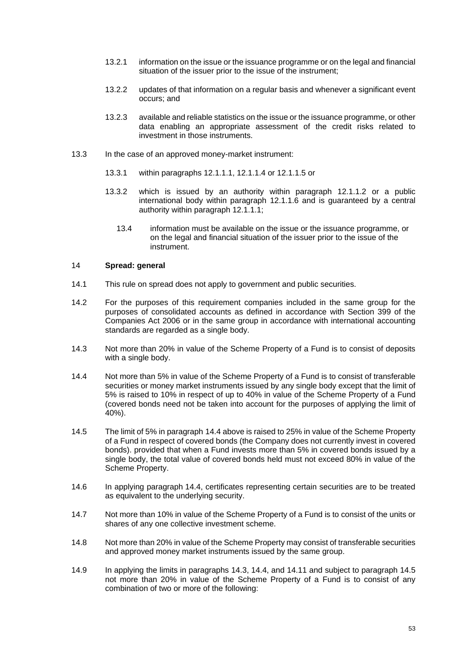- 13.2.1 information on the issue or the issuance programme or on the legal and financial situation of the issuer prior to the issue of the instrument;
- 13.2.2 updates of that information on a regular basis and whenever a significant event occurs; and
- 13.2.3 available and reliable statistics on the issue or the issuance programme, or other data enabling an appropriate assessment of the credit risks related to investment in those instruments.
- 13.3 In the case of an approved money-market instrument:
	- 13.3.1 within paragraphs [12.1.1.1,](#page-50-4) [12.1.1.4](#page-51-6) or [12.1.1.5](#page-51-7) or
	- 13.3.2 which is issued by an authority within paragraph [12.1.1.2](#page-51-3) or a public international body within paragraph [12.1.1.6](#page-51-4) and is guaranteed by a central authority within paragraph [12.1.1.1;](#page-50-4)
		- 13.4 information must be available on the issue or the issuance programme, or on the legal and financial situation of the issuer prior to the issue of the instrument.

#### <span id="page-52-4"></span>14 **Spread: general**

- 14.1 This rule on spread does not apply to government and public securities.
- 14.2 For the purposes of this requirement companies included in the same group for the purposes of consolidated accounts as defined in accordance with Section 399 of the Companies Act 2006 or in the same group in accordance with international accounting standards are regarded as a single body.
- <span id="page-52-1"></span>14.3 Not more than 20% in value of the Scheme Property of a Fund is to consist of deposits with a single body.
- <span id="page-52-0"></span>14.4 Not more than 5% in value of the Scheme Property of a Fund is to consist of transferable securities or money market instruments issued by any single body except that the limit of 5% is raised to 10% in respect of up to 40% in value of the Scheme Property of a Fund (covered bonds need not be taken into account for the purposes of applying the limit of 40%).
- <span id="page-52-2"></span>14.5 The limit of 5% in paragraph [14.4](#page-52-0) above is raised to 25% in value of the Scheme Property of a Fund in respect of covered bonds (the Company does not currently invest in covered bonds). provided that when a Fund invests more than 5% in covered bonds issued by a single body, the total value of covered bonds held must not exceed 80% in value of the Scheme Property.
- 14.6 In applying paragraph [14.4,](#page-52-0) certificates representing certain securities are to be treated as equivalent to the underlying security.
- 14.7 Not more than 10% in value of the Scheme Property of a Fund is to consist of the units or shares of any one collective investment scheme.
- 14.8 Not more than 20% in value of the Scheme Property may consist of transferable securities and approved money market instruments issued by the same group.
- <span id="page-52-3"></span>14.9 In applying the limits in paragraphs [14.3,](#page-52-1) [14.4,](#page-52-0) and [14.11](#page-53-0) and subject to paragraph [14.5](#page-52-2) not more than 20% in value of the Scheme Property of a Fund is to consist of any combination of two or more of the following: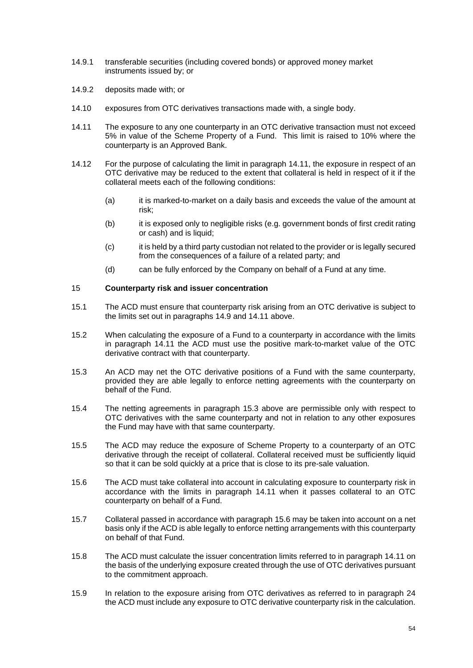- 14.9.1 transferable securities (including covered bonds) or approved money market instruments issued by; or
- 14.9.2 deposits made with; or
- 14.10 exposures from OTC derivatives transactions made with, a single body.
- <span id="page-53-0"></span>14.11 The exposure to any one counterparty in an OTC derivative transaction must not exceed 5% in value of the Scheme Property of a Fund. This limit is raised to 10% where the counterparty is an Approved Bank.
- 14.12 For the purpose of calculating the limit in paragraph [14.11,](#page-53-0) the exposure in respect of an OTC derivative may be reduced to the extent that collateral is held in respect of it if the collateral meets each of the following conditions:
	- (a) it is marked-to-market on a daily basis and exceeds the value of the amount at risk;
	- (b) it is exposed only to negligible risks (e.g. government bonds of first credit rating or cash) and is liquid;
	- (c) it is held by a third party custodian not related to the provider or is legally secured from the consequences of a failure of a related party; and
	- (d) can be fully enforced by the Company on behalf of a Fund at any time.

### 15 **Counterparty risk and issuer concentration**

- 15.1 The ACD must ensure that counterparty risk arising from an OTC derivative is subject to the limits set out in paragraphs [14.9](#page-52-3) and [14.11](#page-53-0) above.
- 15.2 When calculating the exposure of a Fund to a counterparty in accordance with the limits in paragraph [14.11](#page-53-0) the ACD must use the positive mark-to-market value of the OTC derivative contract with that counterparty.
- <span id="page-53-1"></span>15.3 An ACD may net the OTC derivative positions of a Fund with the same counterparty, provided they are able legally to enforce netting agreements with the counterparty on behalf of the Fund.
- 15.4 The netting agreements in paragraph [15.3](#page-53-1) above are permissible only with respect to OTC derivatives with the same counterparty and not in relation to any other exposures the Fund may have with that same counterparty.
- 15.5 The ACD may reduce the exposure of Scheme Property to a counterparty of an OTC derivative through the receipt of collateral. Collateral received must be sufficiently liquid so that it can be sold quickly at a price that is close to its pre-sale valuation.
- <span id="page-53-2"></span>15.6 The ACD must take collateral into account in calculating exposure to counterparty risk in accordance with the limits in paragraph [14.11](#page-53-0) when it passes collateral to an OTC counterparty on behalf of a Fund.
- 15.7 Collateral passed in accordance with paragraph [15.6](#page-53-2) may be taken into account on a net basis only if the ACD is able legally to enforce netting arrangements with this counterparty on behalf of that Fund.
- 15.8 The ACD must calculate the issuer concentration limits referred to in paragraph [14.11](#page-53-0) on the basis of the underlying exposure created through the use of OTC derivatives pursuant to the commitment approach.
- 15.9 In relation to the exposure arising from OTC derivatives as referred to in paragraph [24](#page-59-0) the ACD must include any exposure to OTC derivative counterparty risk in the calculation.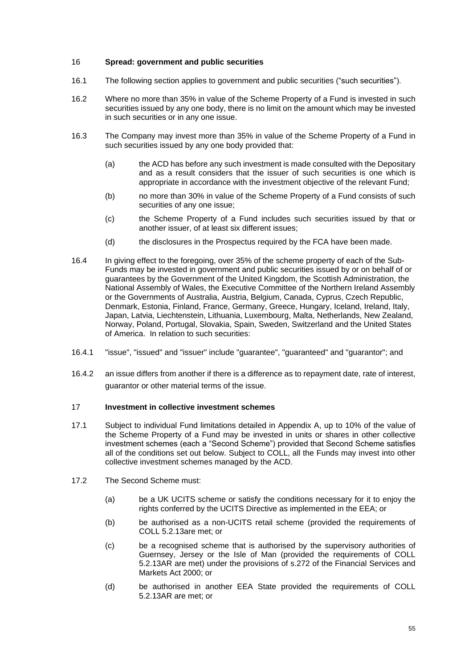# <span id="page-54-2"></span>16 **Spread: government and public securities**

- 16.1 The following section applies to government and public securities ("such securities").
- 16.2 Where no more than 35% in value of the Scheme Property of a Fund is invested in such securities issued by any one body, there is no limit on the amount which may be invested in such securities or in any one issue.
- 16.3 The Company may invest more than 35% in value of the Scheme Property of a Fund in such securities issued by any one body provided that:
	- (a) the ACD has before any such investment is made consulted with the Depositary and as a result considers that the issuer of such securities is one which is appropriate in accordance with the investment objective of the relevant Fund;
	- (b) no more than 30% in value of the Scheme Property of a Fund consists of such securities of any one issue;
	- (c) the Scheme Property of a Fund includes such securities issued by that or another issuer, of at least six different issues;
	- (d) the disclosures in the Prospectus required by the FCA have been made.
- 16.4 In giving effect to the foregoing, over 35% of the scheme property of each of the Sub-Funds may be invested in government and public securities issued by or on behalf of or guarantees by the Government of the United Kingdom, the Scottish Administration, the National Assembly of Wales, the Executive Committee of the Northern Ireland Assembly or the Governments of Australia, Austria, Belgium, Canada, Cyprus, Czech Republic, Denmark, Estonia, Finland, France, Germany, Greece, Hungary, Iceland, Ireland, Italy, Japan, Latvia, Liechtenstein, Lithuania, Luxembourg, Malta, Netherlands, New Zealand, Norway, Poland, Portugal, Slovakia, Spain, Sweden, Switzerland and the United States of America. In relation to such securities:
- 16.4.1 "issue", "issued" and "issuer" include "guarantee", "guaranteed" and "guarantor"; and
- 16.4.2 an issue differs from another if there is a difference as to repayment date, rate of interest, guarantor or other material terms of the issue.

#### <span id="page-54-1"></span>17 **Investment in collective investment schemes**

- <span id="page-54-0"></span>17.1 Subject to individual Fund limitations detailed in Appendix A, up to 10% of the value of the Scheme Property of a Fund may be invested in units or shares in other collective investment schemes (each a "Second Scheme") provided that Second Scheme satisfies all of the conditions set out below. Subject to COLL, all the Funds may invest into other collective investment schemes managed by the ACD.
- 17.2 The Second Scheme must:
	- (a) be a UK UCITS scheme or satisfy the conditions necessary for it to enjoy the rights conferred by the UCITS Directive as implemented in the EEA; or
	- (b) be authorised as a non-UCITS retail scheme (provided the requirements of COLL 5.2.13are met; or
	- (c) be a recognised scheme that is authorised by the supervisory authorities of Guernsey, Jersey or the Isle of Man (provided the requirements of COLL 5.2.13AR are met) under the provisions of s.272 of the Financial Services and Markets Act 2000; or
	- (d) be authorised in another EEA State provided the requirements of COLL 5.2.13AR are met; or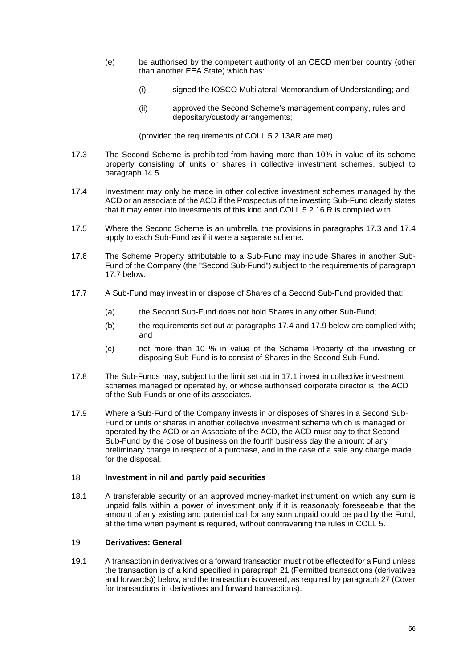- (e) be authorised by the competent authority of an OECD member country (other than another EEA State) which has:
	- (i) signed the IOSCO Multilateral Memorandum of Understanding; and
	- (ii) approved the Second Scheme's management company, rules and depositary/custody arrangements;

(provided the requirements of COLL 5.2.13AR are met)

- <span id="page-55-0"></span>17.3 The Second Scheme is prohibited from having more than 10% in value of its scheme property consisting of units or shares in collective investment schemes, subject to paragraph 14.5.
- <span id="page-55-1"></span>17.4 Investment may only be made in other collective investment schemes managed by the ACD or an associate of the ACD if the Prospectus of the investing Sub-Fund clearly states that it may enter into investments of this kind and COLL 5.2.16 R is complied with.
- 17.5 Where the Second Scheme is an umbrella, the provisions in paragraphs [17.3](#page-55-0) and [17.4](#page-55-1) apply to each Sub-Fund as if it were a separate scheme.
- 17.6 The Scheme Property attributable to a Sub-Fund may include Shares in another Sub-Fund of the Company (the "Second Sub-Fund") subject to the requirements of paragraph [17.7 below.](#page-55-2)
- <span id="page-55-2"></span>17.7 A Sub-Fund may invest in or dispose of Shares of a Second Sub-Fund provided that:
	- (a) the Second Sub-Fund does not hold Shares in any other Sub-Fund;
	- (b) the requirements set out at paragraphs [17.4](#page-55-1) and [17.9](#page-55-3) below are complied with; and
	- (c) not more than 10 % in value of the Scheme Property of the investing or disposing Sub-Fund is to consist of Shares in the Second Sub-Fund.
- 17.8 The Sub-Funds may, subject to the limit set out in [17.1](#page-54-0) invest in collective investment schemes managed or operated by, or whose authorised corporate director is, the ACD of the Sub-Funds or one of its associates.
- <span id="page-55-3"></span>17.9 Where a Sub-Fund of the Company invests in or disposes of Shares in a Second Sub-Fund or units or shares in another collective investment scheme which is managed or operated by the ACD or an Associate of the ACD, the ACD must pay to that Second Sub-Fund by the close of business on the fourth business day the amount of any preliminary charge in respect of a purchase, and in the case of a sale any charge made for the disposal.

# 18 **Investment in nil and partly paid securities**

18.1 A transferable security or an approved money-market instrument on which any sum is unpaid falls within a power of investment only if it is reasonably foreseeable that the amount of any existing and potential call for any sum unpaid could be paid by the Fund, at the time when payment is required, without contravening the rules in COLL 5.

# <span id="page-55-4"></span>19 **Derivatives: General**

19.1 A transaction in derivatives or a forward transaction must not be effected for a Fund unless the transaction is of a kind specified in paragraph [21](#page-57-0) (Permitted transactions (derivatives and forwards)) below, and the transaction is covered, as required by paragraph [27](#page-60-0) (Cover for transactions in derivatives and forward transactions).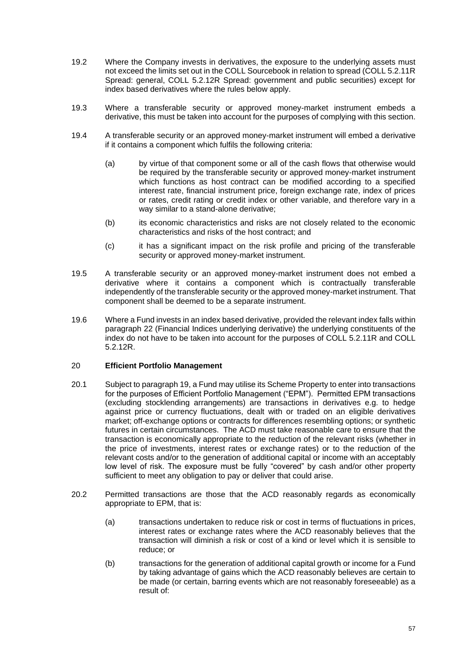- 19.2 Where the Company invests in derivatives, the exposure to the underlying assets must not exceed the limits set out in the COLL Sourcebook in relation to spread (COLL 5.2.11R Spread: general, COLL 5.2.12R Spread: government and public securities) except for index based derivatives where the rules below apply.
- 19.3 Where a transferable security or approved money-market instrument embeds a derivative, this must be taken into account for the purposes of complying with this section.
- 19.4 A transferable security or an approved money-market instrument will embed a derivative if it contains a component which fulfils the following criteria:
	- (a) by virtue of that component some or all of the cash flows that otherwise would be required by the transferable security or approved money-market instrument which functions as host contract can be modified according to a specified interest rate, financial instrument price, foreign exchange rate, index of prices or rates, credit rating or credit index or other variable, and therefore vary in a way similar to a stand-alone derivative;
	- (b) its economic characteristics and risks are not closely related to the economic characteristics and risks of the host contract; and
	- (c) it has a significant impact on the risk profile and pricing of the transferable security or approved money-market instrument.
- 19.5 A transferable security or an approved money-market instrument does not embed a derivative where it contains a component which is contractually transferable independently of the transferable security or the approved money-market instrument. That component shall be deemed to be a separate instrument.
- 19.6 Where a Fund invests in an index based derivative, provided the relevant index falls within paragraph [22](#page-57-1) (Financial Indices underlying derivative) the underlying constituents of the index do not have to be taken into account for the purposes of COLL 5.2.11R and COLL 5.2.12R.

#### 20 **Efficient Portfolio Management**

- 20.1 Subject to paragrap[h 19,](#page-55-4) a Fund may utilise its Scheme Property to enter into transactions for the purposes of Efficient Portfolio Management ("EPM"). Permitted EPM transactions (excluding stocklending arrangements) are transactions in derivatives e.g. to hedge against price or currency fluctuations, dealt with or traded on an eligible derivatives market; off-exchange options or contracts for differences resembling options; or synthetic futures in certain circumstances. The ACD must take reasonable care to ensure that the transaction is economically appropriate to the reduction of the relevant risks (whether in the price of investments, interest rates or exchange rates) or to the reduction of the relevant costs and/or to the generation of additional capital or income with an acceptably low level of risk. The exposure must be fully "covered" by cash and/or other property sufficient to meet any obligation to pay or deliver that could arise.
- 20.2 Permitted transactions are those that the ACD reasonably regards as economically appropriate to EPM, that is:
	- (a) transactions undertaken to reduce risk or cost in terms of fluctuations in prices, interest rates or exchange rates where the ACD reasonably believes that the transaction will diminish a risk or cost of a kind or level which it is sensible to reduce; or
	- (b) transactions for the generation of additional capital growth or income for a Fund by taking advantage of gains which the ACD reasonably believes are certain to be made (or certain, barring events which are not reasonably foreseeable) as a result of: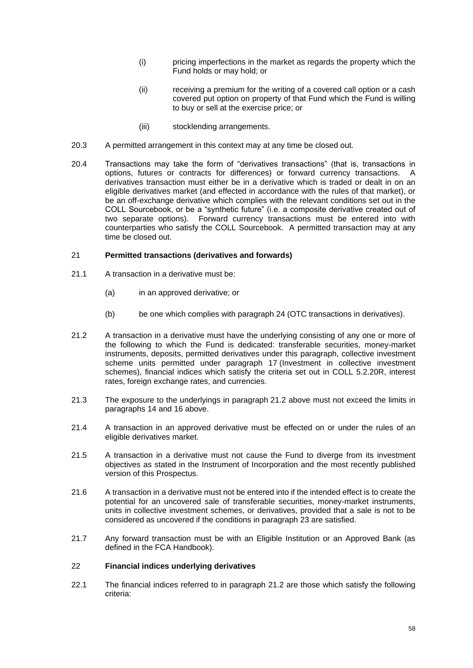- (i) pricing imperfections in the market as regards the property which the Fund holds or may hold; or
- (ii) receiving a premium for the writing of a covered call option or a cash covered put option on property of that Fund which the Fund is willing to buy or sell at the exercise price; or
- (iii) stocklending arrangements.
- 20.3 A permitted arrangement in this context may at any time be closed out.
- 20.4 Transactions may take the form of "derivatives transactions" (that is, transactions in options, futures or contracts for differences) or forward currency transactions. A derivatives transaction must either be in a derivative which is traded or dealt in on an eligible derivatives market (and effected in accordance with the rules of that market), or be an off-exchange derivative which complies with the relevant conditions set out in the COLL Sourcebook, or be a "synthetic future" (i.e. a composite derivative created out of two separate options). Forward currency transactions must be entered into with counterparties who satisfy the COLL Sourcebook. A permitted transaction may at any time be closed out.

### <span id="page-57-0"></span>21 **Permitted transactions (derivatives and forwards)**

- <span id="page-57-3"></span>21.1 A transaction in a derivative must be:
	- (a) in an approved derivative; or
	- (b) be one which complies with paragraph [24](#page-59-0) (OTC transactions in derivatives).
- <span id="page-57-2"></span>21.2 A transaction in a derivative must have the underlying consisting of any one or more of the following to which the Fund is dedicated: transferable securities, money-market instruments, deposits, permitted derivatives under this paragraph, collective investment scheme units permitted under paragraph [17](#page-54-1) (Investment in collective investment schemes), financial indices which satisfy the criteria set out in COLL 5.2.20R, interest rates, foreign exchange rates, and currencies.
- 21.3 The exposure to the underlyings in paragraph [21.2](#page-57-2) above must not exceed the limits in paragraphs [14](#page-52-4) and [16](#page-54-2) above.
- 21.4 A transaction in an approved derivative must be effected on or under the rules of an eligible derivatives market.
- 21.5 A transaction in a derivative must not cause the Fund to diverge from its investment objectives as stated in the Instrument of Incorporation and the most recently published version of this Prospectus.
- 21.6 A transaction in a derivative must not be entered into if the intended effect is to create the potential for an uncovered sale of transferable securities, money-market instruments, units in collective investment schemes, or derivatives, provided that a sale is not to be considered as uncovered if the conditions in paragraph [23](#page-58-0) are satisfied.
- 21.7 Any forward transaction must be with an Eligible Institution or an Approved Bank (as defined in the FCA Handbook).

#### <span id="page-57-1"></span>22 **Financial indices underlying derivatives**

22.1 The financial indices referred to in paragraph [21.2](#page-57-2) are those which satisfy the following criteria: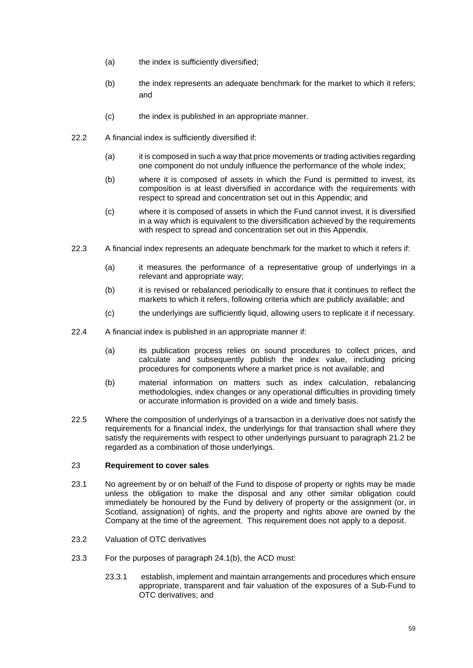- (a) the index is sufficiently diversified;
- (b) the index represents an adequate benchmark for the market to which it refers; and
- (c) the index is published in an appropriate manner.
- 22.2 A financial index is sufficiently diversified if:
	- (a) it is composed in such a way that price movements or trading activities regarding one component do not unduly influence the performance of the whole index;
	- (b) where it is composed of assets in which the Fund is permitted to invest, its composition is at least diversified in accordance with the requirements with respect to spread and concentration set out in this Appendix; and
	- (c) where it is composed of assets in which the Fund cannot invest, it is diversified in a way which is equivalent to the diversification achieved by the requirements with respect to spread and concentration set out in this Appendix.
- 22.3 A financial index represents an adequate benchmark for the market to which it refers if:
	- (a) it measures the performance of a representative group of underlyings in a relevant and appropriate way;
	- (b) it is revised or rebalanced periodically to ensure that it continues to reflect the markets to which it refers, following criteria which are publicly available; and
	- (c) the underlyings are sufficiently liquid, allowing users to replicate it if necessary.
- 22.4 A financial index is published in an appropriate manner if:
	- (a) its publication process relies on sound procedures to collect prices, and calculate and subsequently publish the index value, including pricing procedures for components where a market price is not available; and
	- (b) material information on matters such as index calculation, rebalancing methodologies, index changes or any operational difficulties in providing timely or accurate information is provided on a wide and timely basis.
- 22.5 Where the composition of underlyings of a transaction in a derivative does not satisfy the requirements for a financial index, the underlyings for that transaction shall where they satisfy the requirements with respect to other underlyings pursuant to paragraph [21.2](#page-57-2) be regarded as a combination of those underlyings.

### <span id="page-58-0"></span>23 **Requirement to cover sales**

- 23.1 No agreement by or on behalf of the Fund to dispose of property or rights may be made unless the obligation to make the disposal and any other similar obligation could immediately be honoured by the Fund by delivery of property or the assignment (or, in Scotland, assignation) of rights, and the property and rights above are owned by the Company at the time of the agreement. This requirement does not apply to a deposit.
- 23.2 Valuation of OTC derivatives
- <span id="page-58-1"></span>23.3 For the purposes of paragraph [24.1\(b\),](#page-59-1) the ACD must:
	- 23.3.1 establish, implement and maintain arrangements and procedures which ensure appropriate, transparent and fair valuation of the exposures of a Sub-Fund to OTC derivatives; and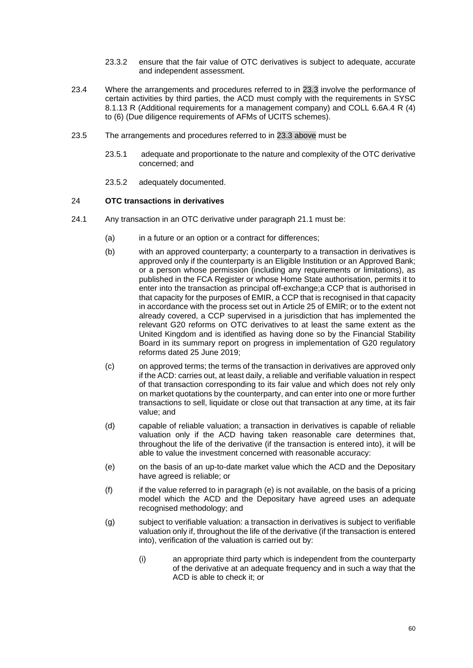- 23.3.2 ensure that the fair value of OTC derivatives is subject to adequate, accurate and independent assessment.
- 23.4 Where the arrangements and procedures referred to in [23.3](#page-58-1) involve the performance of certain activities by third parties, the ACD must comply with the requirements in SYSC 8.1.13 R (Additional requirements for a management company) and COLL 6.6A.4 R (4) to (6) (Due diligence requirements of AFMs of UCITS schemes).
- 23.5 The arrangements and procedures referred to in [23.3 above](#page-58-1) must be
	- 23.5.1 adequate and proportionate to the nature and complexity of the OTC derivative concerned; and
	- 23.5.2 adequately documented.

# <span id="page-59-0"></span>24 **OTC transactions in derivatives**

- <span id="page-59-2"></span><span id="page-59-1"></span>24.1 Any transaction in an OTC derivative under paragraph [21.1](#page-57-3) must be:
	- (a) in a future or an option or a contract for differences;
	- (b) with an approved counterparty; a counterparty to a transaction in derivatives is approved only if the counterparty is an Eligible Institution or an Approved Bank; or a person whose permission (including any requirements or limitations), as published in the FCA Register or whose Home State authorisation, permits it to enter into the transaction as principal off-exchange;a CCP that is authorised in that capacity for the purposes of EMIR, a CCP that is recognised in that capacity in accordance with the process set out in Article 25 of EMIR; or to the extent not already covered, a CCP supervised in a jurisdiction that has implemented the relevant G20 reforms on OTC derivatives to at least the same extent as the United Kingdom and is identified as having done so by the Financial Stability Board in its summary report on progress in implementation of G20 regulatory reforms dated 25 June 2019;
	- (c) on approved terms; the terms of the transaction in derivatives are approved only if the ACD: carries out, at least daily, a reliable and verifiable valuation in respect of that transaction corresponding to its fair value and which does not rely only on market quotations by the counterparty, and can enter into one or more further transactions to sell, liquidate or close out that transaction at any time, at its fair value; and
	- (d) capable of reliable valuation; a transaction in derivatives is capable of reliable valuation only if the ACD having taken reasonable care determines that, throughout the life of the derivative (if the transaction is entered into), it will be able to value the investment concerned with reasonable accuracy:
	- (e) on the basis of an up-to-date market value which the ACD and the Depositary have agreed is reliable; or
	- (f) if the value referred to in paragraph [\(e\)](#page-59-2) is not available, on the basis of a pricing model which the ACD and the Depositary have agreed uses an adequate recognised methodology; and
	- (g) subject to verifiable valuation: a transaction in derivatives is subject to verifiable valuation only if, throughout the life of the derivative (if the transaction is entered into), verification of the valuation is carried out by:
		- (i) an appropriate third party which is independent from the counterparty of the derivative at an adequate frequency and in such a way that the ACD is able to check it; or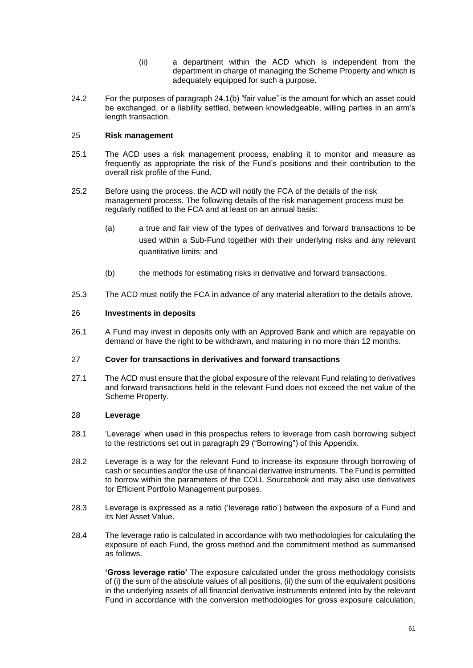- (ii) a department within the ACD which is independent from the department in charge of managing the Scheme Property and which is adequately equipped for such a purpose.
- 24.2 For the purposes of paragraph [24.1\(b\)](#page-59-1) "fair value" is the amount for which an asset could be exchanged, or a liability settled, between knowledgeable, willing parties in an arm's length transaction.

# 25 **Risk management**

- 25.1 The ACD uses a risk management process, enabling it to monitor and measure as frequently as appropriate the risk of the Fund's positions and their contribution to the overall risk profile of the Fund.
- 25.2 Before using the process, the ACD will notify the FCA of the details of the risk management process. The following details of the risk management process must be regularly notified to the FCA and at least on an annual basis:
	- (a) a true and fair view of the types of derivatives and forward transactions to be used within a Sub-Fund together with their underlying risks and any relevant quantitative limits; and
	- (b) the methods for estimating risks in derivative and forward transactions.
- 25.3 The ACD must notify the FCA in advance of any material alteration to the details above.

# 26 **Investments in deposits**

26.1 A Fund may invest in deposits only with an Approved Bank and which are repayable on demand or have the right to be withdrawn, and maturing in no more than 12 months.

# <span id="page-60-0"></span>27 **Cover for transactions in derivatives and forward transactions**

27.1 The ACD must ensure that the global exposure of the relevant Fund relating to derivatives and forward transactions held in the relevant Fund does not exceed the net value of the Scheme Property.

# 28 **Leverage**

- 28.1 'Leverage' when used in this prospectus refers to leverage from cash borrowing subject to the restrictions set out in paragraph [29](#page-61-0) ("Borrowing") of this Appendix.
- 28.2 Leverage is a way for the relevant Fund to increase its exposure through borrowing of cash or securities and/or the use of financial derivative instruments. The Fund is permitted to borrow within the parameters of the COLL Sourcebook and may also use derivatives for Efficient Portfolio Management purposes.
- 28.3 Leverage is expressed as a ratio ('leverage ratio') between the exposure of a Fund and its Net Asset Value.
- 28.4 The leverage ratio is calculated in accordance with two methodologies for calculating the exposure of each Fund, the gross method and the commitment method as summarised as follows.

**'Gross leverage ratio'** The exposure calculated under the gross methodology consists of (i) the sum of the absolute values of all positions, (ii) the sum of the equivalent positions in the underlying assets of all financial derivative instruments entered into by the relevant Fund in accordance with the conversion methodologies for gross exposure calculation,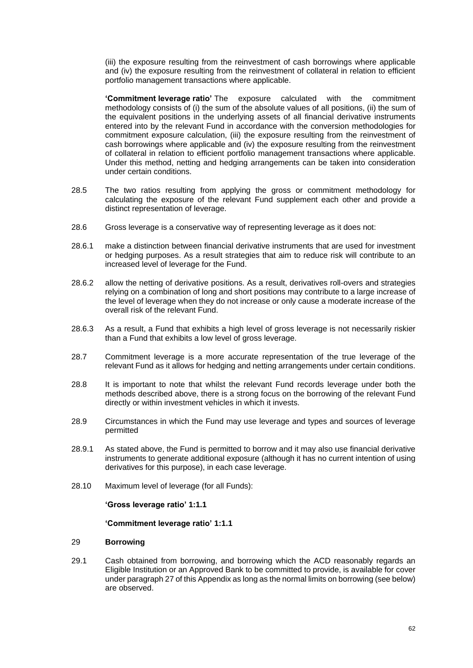(iii) the exposure resulting from the reinvestment of cash borrowings where applicable and (iv) the exposure resulting from the reinvestment of collateral in relation to efficient portfolio management transactions where applicable.

**'Commitment leverage ratio'** The exposure calculated with the commitment methodology consists of (i) the sum of the absolute values of all positions, (ii) the sum of the equivalent positions in the underlying assets of all financial derivative instruments entered into by the relevant Fund in accordance with the conversion methodologies for commitment exposure calculation, (iii) the exposure resulting from the reinvestment of cash borrowings where applicable and (iv) the exposure resulting from the reinvestment of collateral in relation to efficient portfolio management transactions where applicable. Under this method, netting and hedging arrangements can be taken into consideration under certain conditions.

- 28.5 The two ratios resulting from applying the gross or commitment methodology for calculating the exposure of the relevant Fund supplement each other and provide a distinct representation of leverage.
- 28.6 Gross leverage is a conservative way of representing leverage as it does not:
- 28.6.1 make a distinction between financial derivative instruments that are used for investment or hedging purposes. As a result strategies that aim to reduce risk will contribute to an increased level of leverage for the Fund.
- 28.6.2 allow the netting of derivative positions. As a result, derivatives roll-overs and strategies relying on a combination of long and short positions may contribute to a large increase of the level of leverage when they do not increase or only cause a moderate increase of the overall risk of the relevant Fund.
- 28.6.3 As a result, a Fund that exhibits a high level of gross leverage is not necessarily riskier than a Fund that exhibits a low level of gross leverage.
- 28.7 Commitment leverage is a more accurate representation of the true leverage of the relevant Fund as it allows for hedging and netting arrangements under certain conditions.
- 28.8 It is important to note that whilst the relevant Fund records leverage under both the methods described above, there is a strong focus on the borrowing of the relevant Fund directly or within investment vehicles in which it invests.
- 28.9 Circumstances in which the Fund may use leverage and types and sources of leverage permitted
- 28.9.1 As stated above, the Fund is permitted to borrow and it may also use financial derivative instruments to generate additional exposure (although it has no current intention of using derivatives for this purpose), in each case leverage.
- 28.10 Maximum level of leverage (for all Funds):

**'Gross leverage ratio' 1:1.1**

#### **'Commitment leverage ratio' 1:1.1**

# <span id="page-61-0"></span>29 **Borrowing**

29.1 Cash obtained from borrowing, and borrowing which the ACD reasonably regards an Eligible Institution or an Approved Bank to be committed to provide, is available for cover under paragraph [27](#page-60-0) of this Appendix as long as the normal limits on borrowing (see below) are observed.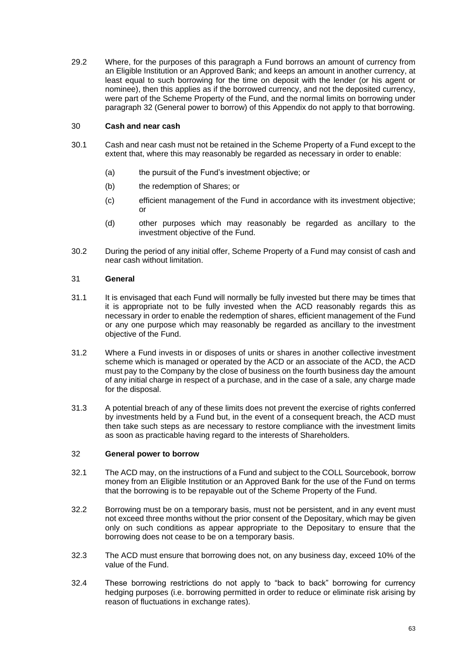29.2 Where, for the purposes of this paragraph a Fund borrows an amount of currency from an Eligible Institution or an Approved Bank; and keeps an amount in another currency, at least equal to such borrowing for the time on deposit with the lender (or his agent or nominee), then this applies as if the borrowed currency, and not the deposited currency, were part of the Scheme Property of the Fund, and the normal limits on borrowing under paragraph [32](#page-62-0) (General power to borrow) of this Appendix do not apply to that borrowing.

# 30 **Cash and near cash**

- 30.1 Cash and near cash must not be retained in the Scheme Property of a Fund except to the extent that, where this may reasonably be regarded as necessary in order to enable:
	- (a) the pursuit of the Fund's investment objective; or
	- (b) the redemption of Shares; or
	- (c) efficient management of the Fund in accordance with its investment objective; or
	- (d) other purposes which may reasonably be regarded as ancillary to the investment objective of the Fund.
- 30.2 During the period of any initial offer, Scheme Property of a Fund may consist of cash and near cash without limitation.

# 31 **General**

- 31.1 It is envisaged that each Fund will normally be fully invested but there may be times that it is appropriate not to be fully invested when the ACD reasonably regards this as necessary in order to enable the redemption of shares, efficient management of the Fund or any one purpose which may reasonably be regarded as ancillary to the investment objective of the Fund.
- 31.2 Where a Fund invests in or disposes of units or shares in another collective investment scheme which is managed or operated by the ACD or an associate of the ACD, the ACD must pay to the Company by the close of business on the fourth business day the amount of any initial charge in respect of a purchase, and in the case of a sale, any charge made for the disposal.
- 31.3 A potential breach of any of these limits does not prevent the exercise of rights conferred by investments held by a Fund but, in the event of a consequent breach, the ACD must then take such steps as are necessary to restore compliance with the investment limits as soon as practicable having regard to the interests of Shareholders.

#### <span id="page-62-0"></span>32 **General power to borrow**

- 32.1 The ACD may, on the instructions of a Fund and subject to the COLL Sourcebook, borrow money from an Eligible Institution or an Approved Bank for the use of the Fund on terms that the borrowing is to be repayable out of the Scheme Property of the Fund.
- 32.2 Borrowing must be on a temporary basis, must not be persistent, and in any event must not exceed three months without the prior consent of the Depositary, which may be given only on such conditions as appear appropriate to the Depositary to ensure that the borrowing does not cease to be on a temporary basis.
- 32.3 The ACD must ensure that borrowing does not, on any business day, exceed 10% of the value of the Fund.
- 32.4 These borrowing restrictions do not apply to "back to back" borrowing for currency hedging purposes (i.e. borrowing permitted in order to reduce or eliminate risk arising by reason of fluctuations in exchange rates).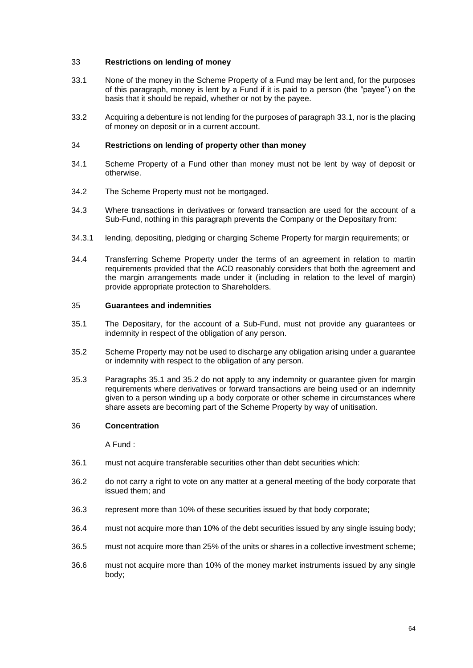# 33 **Restrictions on lending of money**

- <span id="page-63-0"></span>33.1 None of the money in the Scheme Property of a Fund may be lent and, for the purposes of this paragraph, money is lent by a Fund if it is paid to a person (the "payee") on the basis that it should be repaid, whether or not by the payee.
- 33.2 Acquiring a debenture is not lending for the purposes of paragraph [33.1,](#page-63-0) nor is the placing of money on deposit or in a current account.

### 34 **Restrictions on lending of property other than money**

- 34.1 Scheme Property of a Fund other than money must not be lent by way of deposit or otherwise.
- 34.2 The Scheme Property must not be mortgaged.
- 34.3 Where transactions in derivatives or forward transaction are used for the account of a Sub-Fund, nothing in this paragraph prevents the Company or the Depositary from:
- 34.3.1 lending, depositing, pledging or charging Scheme Property for margin requirements; or
- 34.4 Transferring Scheme Property under the terms of an agreement in relation to martin requirements provided that the ACD reasonably considers that both the agreement and the margin arrangements made under it (including in relation to the level of margin) provide appropriate protection to Shareholders.

#### 35 **Guarantees and indemnities**

- <span id="page-63-1"></span>35.1 The Depositary, for the account of a Sub-Fund, must not provide any guarantees or indemnity in respect of the obligation of any person.
- <span id="page-63-2"></span>35.2 Scheme Property may not be used to discharge any obligation arising under a guarantee or indemnity with respect to the obligation of any person.
- 35.3 Paragraphs [35.1](#page-63-1) and [35.2](#page-63-2) do not apply to any indemnity or guarantee given for margin requirements where derivatives or forward transactions are being used or an indemnity given to a person winding up a body corporate or other scheme in circumstances where share assets are becoming part of the Scheme Property by way of unitisation.

#### 36 **Concentration**

A Fund :

- 36.1 must not acquire transferable securities other than debt securities which:
- 36.2 do not carry a right to vote on any matter at a general meeting of the body corporate that issued them; and
- 36.3 represent more than 10% of these securities issued by that body corporate;
- <span id="page-63-3"></span>36.4 must not acquire more than 10% of the debt securities issued by any single issuing body;
- <span id="page-63-4"></span>36.5 must not acquire more than 25% of the units or shares in a collective investment scheme;
- <span id="page-63-5"></span>36.6 must not acquire more than 10% of the money market instruments issued by any single body;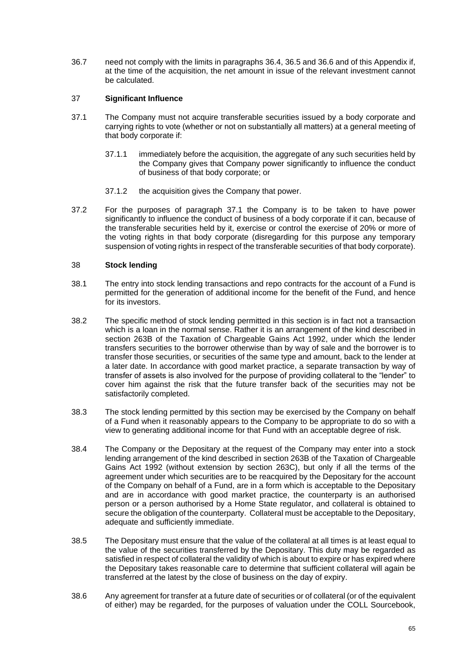36.7 need not comply with the limits in paragraphs [36.4,](#page-63-3) [36.5](#page-63-4) an[d 36.6](#page-63-5) and of this Appendix if, at the time of the acquisition, the net amount in issue of the relevant investment cannot be calculated.

# 37 **Significant Influence**

- <span id="page-64-0"></span>37.1 The Company must not acquire transferable securities issued by a body corporate and carrying rights to vote (whether or not on substantially all matters) at a general meeting of that body corporate if:
	- 37.1.1 immediately before the acquisition, the aggregate of any such securities held by the Company gives that Company power significantly to influence the conduct of business of that body corporate; or
	- 37.1.2 the acquisition gives the Company that power.
- 37.2 For the purposes of paragraph [37.1](#page-64-0) the Company is to be taken to have power significantly to influence the conduct of business of a body corporate if it can, because of the transferable securities held by it, exercise or control the exercise of 20% or more of the voting rights in that body corporate (disregarding for this purpose any temporary suspension of voting rights in respect of the transferable securities of that body corporate).

# 38 **Stock lending**

- 38.1 The entry into stock lending transactions and repo contracts for the account of a Fund is permitted for the generation of additional income for the benefit of the Fund, and hence for its investors.
- 38.2 The specific method of stock lending permitted in this section is in fact not a transaction which is a loan in the normal sense. Rather it is an arrangement of the kind described in section 263B of the Taxation of Chargeable Gains Act 1992, under which the lender transfers securities to the borrower otherwise than by way of sale and the borrower is to transfer those securities, or securities of the same type and amount, back to the lender at a later date. In accordance with good market practice, a separate transaction by way of transfer of assets is also involved for the purpose of providing collateral to the "lender" to cover him against the risk that the future transfer back of the securities may not be satisfactorily completed.
- 38.3 The stock lending permitted by this section may be exercised by the Company on behalf of a Fund when it reasonably appears to the Company to be appropriate to do so with a view to generating additional income for that Fund with an acceptable degree of risk.
- 38.4 The Company or the Depositary at the request of the Company may enter into a stock lending arrangement of the kind described in section 263B of the Taxation of Chargeable Gains Act 1992 (without extension by section 263C), but only if all the terms of the agreement under which securities are to be reacquired by the Depositary for the account of the Company on behalf of a Fund, are in a form which is acceptable to the Depositary and are in accordance with good market practice, the counterparty is an authorised person or a person authorised by a Home State regulator, and collateral is obtained to secure the obligation of the counterparty. Collateral must be acceptable to the Depositary, adequate and sufficiently immediate.
- 38.5 The Depositary must ensure that the value of the collateral at all times is at least equal to the value of the securities transferred by the Depositary. This duty may be regarded as satisfied in respect of collateral the validity of which is about to expire or has expired where the Depositary takes reasonable care to determine that sufficient collateral will again be transferred at the latest by the close of business on the day of expiry.
- 38.6 Any agreement for transfer at a future date of securities or of collateral (or of the equivalent of either) may be regarded, for the purposes of valuation under the COLL Sourcebook,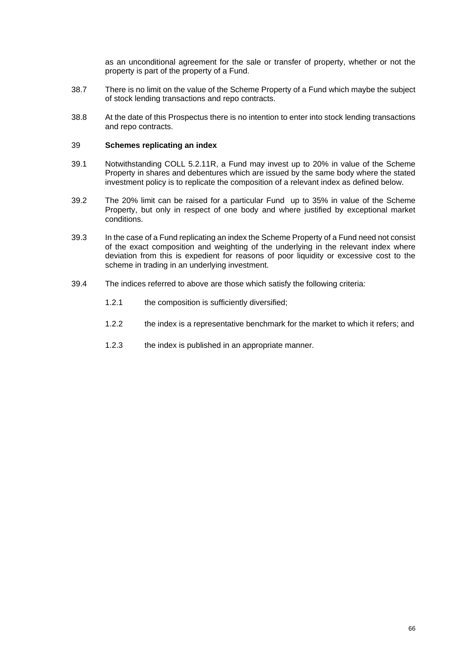as an unconditional agreement for the sale or transfer of property, whether or not the property is part of the property of a Fund.

- 38.7 There is no limit on the value of the Scheme Property of a Fund which maybe the subject of stock lending transactions and repo contracts.
- 38.8 At the date of this Prospectus there is no intention to enter into stock lending transactions and repo contracts.

#### 39 **Schemes replicating an index**

- 39.1 Notwithstanding COLL 5.2.11R, a Fund may invest up to 20% in value of the Scheme Property in shares and debentures which are issued by the same body where the stated investment policy is to replicate the composition of a relevant index as defined below.
- 39.2 The 20% limit can be raised for a particular Fund up to 35% in value of the Scheme Property, but only in respect of one body and where justified by exceptional market conditions.
- 39.3 In the case of a Fund replicating an index the Scheme Property of a Fund need not consist of the exact composition and weighting of the underlying in the relevant index where deviation from this is expedient for reasons of poor liquidity or excessive cost to the scheme in trading in an underlying investment.
- 39.4 The indices referred to above are those which satisfy the following criteria:
	- 1.2.1 the composition is sufficiently diversified;
	- 1.2.2 the index is a representative benchmark for the market to which it refers; and
	- 1.2.3 the index is published in an appropriate manner.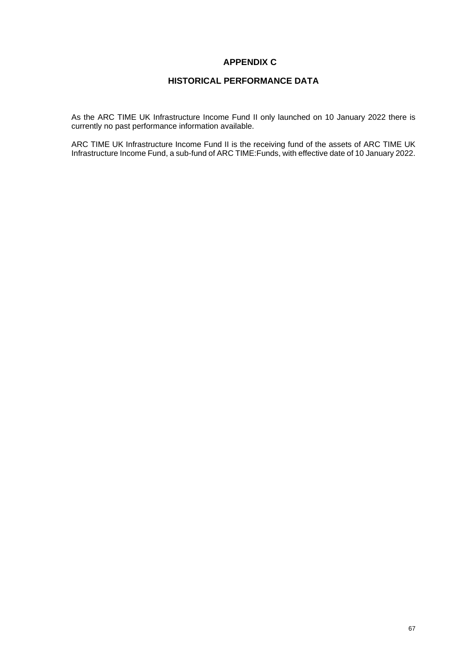# **APPENDIX C**

# **HISTORICAL PERFORMANCE DATA**

As the ARC TIME UK Infrastructure Income Fund II only launched on 10 January 2022 there is currently no past performance information available.

ARC TIME UK Infrastructure Income Fund II is the receiving fund of the assets of ARC TIME UK Infrastructure Income Fund, a sub-fund of ARC TIME:Funds, with effective date of 10 January 2022.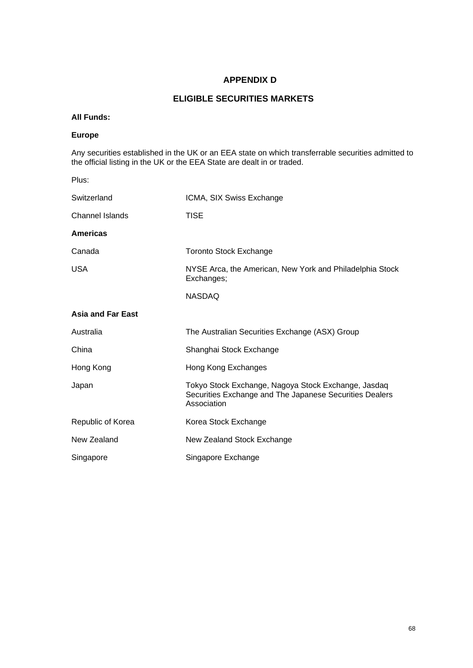# **APPENDIX D**

# **ELIGIBLE SECURITIES MARKETS**

# **All Funds:**

# **Europe**

Any securities established in the UK or an EEA state on which transferrable securities admitted to the official listing in the UK or the EEA State are dealt in or traded.

| Plus:                    |                                                                                                                               |
|--------------------------|-------------------------------------------------------------------------------------------------------------------------------|
| Switzerland              | ICMA, SIX Swiss Exchange                                                                                                      |
| <b>Channel Islands</b>   | <b>TISE</b>                                                                                                                   |
| <b>Americas</b>          |                                                                                                                               |
| Canada                   | <b>Toronto Stock Exchange</b>                                                                                                 |
| <b>USA</b>               | NYSE Arca, the American, New York and Philadelphia Stock<br>Exchanges;                                                        |
|                          | <b>NASDAQ</b>                                                                                                                 |
| <b>Asia and Far East</b> |                                                                                                                               |
| Australia                | The Australian Securities Exchange (ASX) Group                                                                                |
| China                    | Shanghai Stock Exchange                                                                                                       |
| Hong Kong                | Hong Kong Exchanges                                                                                                           |
| Japan                    | Tokyo Stock Exchange, Nagoya Stock Exchange, Jasdaq<br>Securities Exchange and The Japanese Securities Dealers<br>Association |
| Republic of Korea        | Korea Stock Exchange                                                                                                          |
| New Zealand              | New Zealand Stock Exchange                                                                                                    |
| Singapore                | Singapore Exchange                                                                                                            |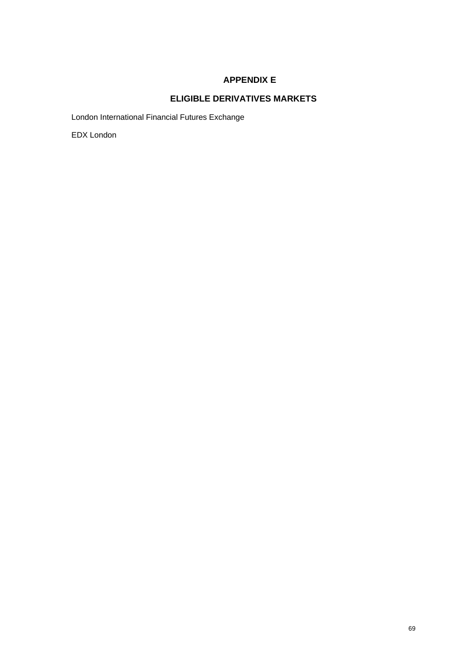# **APPENDIX E**

# **ELIGIBLE DERIVATIVES MARKETS**

London International Financial Futures Exchange

EDX London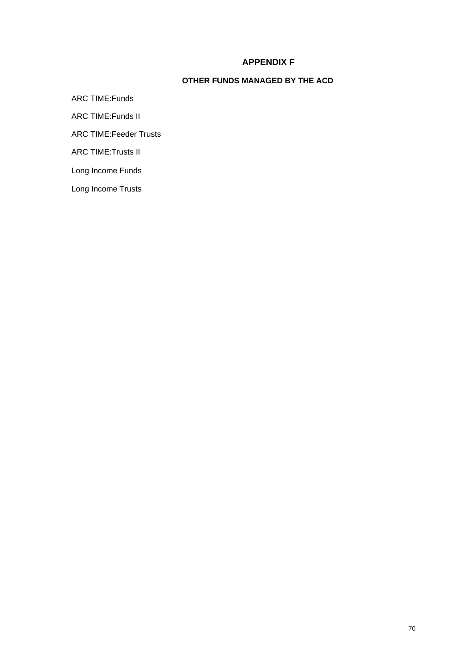# **PPENDIX G APPENDIX F**

# **OTHER FUNDS MANAGED BY THE ACD**

ARC TIME:Funds ARC TIME:Funds II ARC TIME:Feeder Trusts ARC TIME:Trusts II Long Income Funds Long Income Trusts